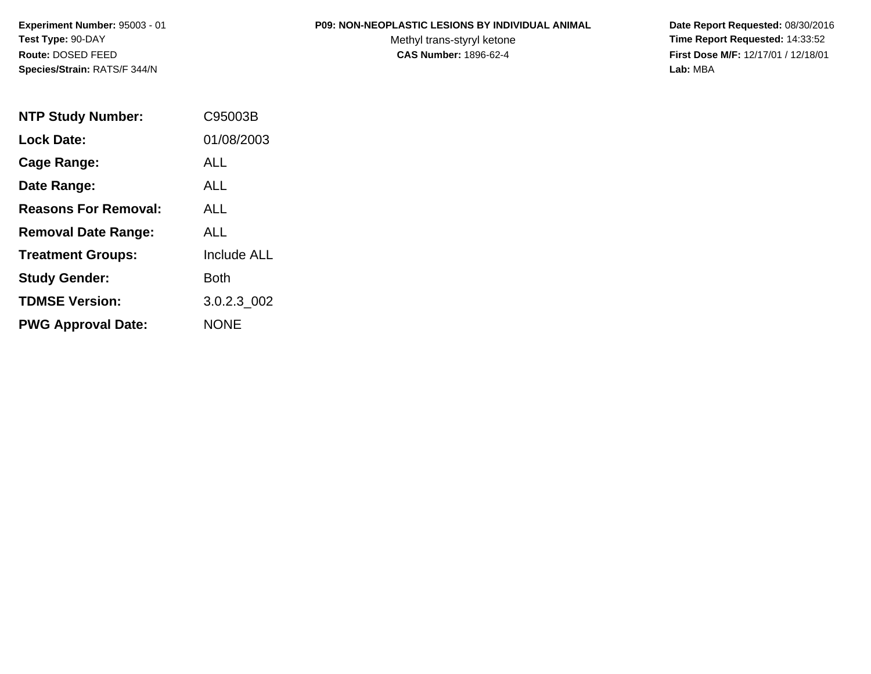#### **P09: NON-NEOPLASTIC LESIONS BY INDIVIDUAL ANIMAL**

Methyl trans-styryl ketone<br>CAS Number: 1896-62-4

| <b>NTP Study Number:</b>    | C95003B            |
|-----------------------------|--------------------|
| Lock Date:                  | 01/08/2003         |
| Cage Range:                 | ALL                |
| Date Range:                 | ALL                |
| <b>Reasons For Removal:</b> | AI I               |
| <b>Removal Date Range:</b>  | AI L               |
| <b>Treatment Groups:</b>    | <b>Include ALL</b> |
| <b>Study Gender:</b>        | <b>Both</b>        |
| <b>TDMSE Version:</b>       | 3.0.2.3 002        |
| <b>PWG Approval Date:</b>   | <b>NONE</b>        |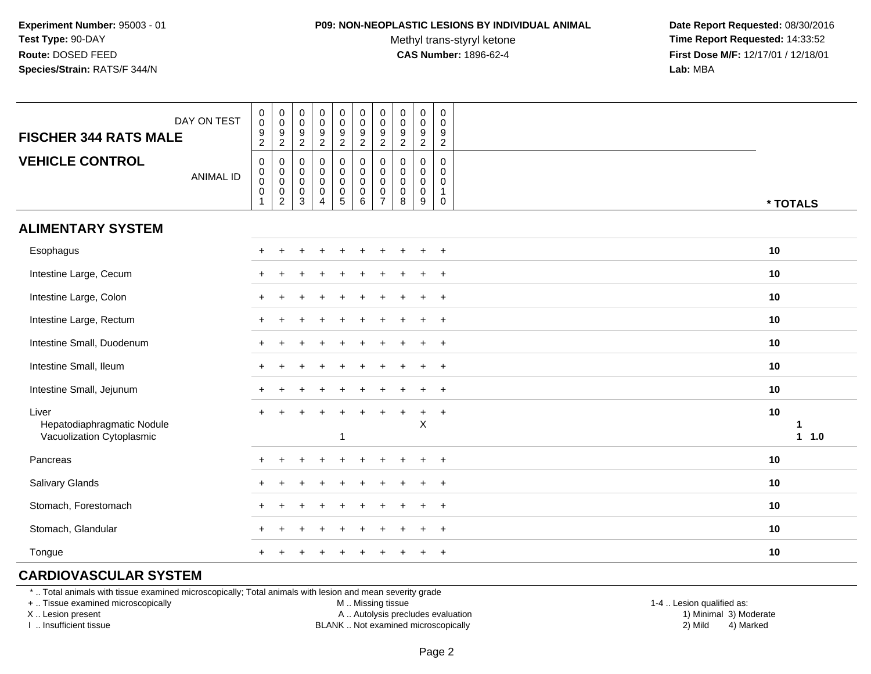#### **P09: NON-NEOPLASTIC LESIONS BY INDIVIDUAL ANIMAL**

Methyl trans-styryl ketone<br>CAS Number: 1896-62-4

 **Date Report Requested:** 08/30/2016 **Time Report Requested:** 14:33:52 **First Dose M/F:** 12/17/01 / 12/18/01<br>**Lab:** MBA **Lab:** MBA

| DAY ON TEST<br><b>FISCHER 344 RATS MALE</b>                      | $\begin{smallmatrix}0\\0\end{smallmatrix}$<br>$\boldsymbol{9}$<br>$\overline{2}$ | $\pmb{0}$<br>$\overline{0}$<br>$\frac{9}{2}$                  | $\pmb{0}$<br>$\boldsymbol{0}$<br>$\boldsymbol{9}$<br>$\overline{2}$    | 0<br>$\mathbf 0$<br>$\boldsymbol{9}$<br>$\boldsymbol{2}$                            | $\pmb{0}$<br>$\boldsymbol{0}$<br>$\frac{9}{2}$                              | $\begin{smallmatrix}0\0\0\end{smallmatrix}$<br>$\frac{9}{2}$ | $\pmb{0}$<br>$\pmb{0}$<br>$\boldsymbol{9}$<br>$\overline{2}$         | $\mathbf 0$<br>$\mathbf 0$<br>$\frac{9}{2}$                   | $\pmb{0}$<br>$\pmb{0}$<br>$\boldsymbol{9}$<br>$\sqrt{2}$    | $\pmb{0}$<br>$\boldsymbol{0}$<br>$\boldsymbol{9}$<br>$\overline{2}$ |                 |
|------------------------------------------------------------------|----------------------------------------------------------------------------------|---------------------------------------------------------------|------------------------------------------------------------------------|-------------------------------------------------------------------------------------|-----------------------------------------------------------------------------|--------------------------------------------------------------|----------------------------------------------------------------------|---------------------------------------------------------------|-------------------------------------------------------------|---------------------------------------------------------------------|-----------------|
| <b>VEHICLE CONTROL</b><br><b>ANIMAL ID</b>                       | $\mathbf 0$<br>$\mathbf 0$<br>$\mathbf 0$<br>$\mathsf{O}\xspace$<br>$\mathbf{1}$ | $\mathbf 0$<br>$\begin{matrix} 0 \\ 0 \\ 0 \\ 2 \end{matrix}$ | $\mathbf 0$<br>$\mathbf 0$<br>$\mathbf 0$<br>$\pmb{0}$<br>$\mathbf{3}$ | $\mathbf 0$<br>$\mathbf 0$<br>$\mathbf 0$<br>$\mathbf 0$<br>$\overline{\mathbf{4}}$ | $\mathbf 0$<br>$\pmb{0}$<br>$\pmb{0}$<br>$\boldsymbol{0}$<br>$\overline{5}$ | $\pmb{0}$<br>$\overline{0}$<br>0<br>$\mathsf{O}\xspace$<br>6 | $\pmb{0}$<br>$\pmb{0}$<br>$\mathbf 0$<br>$\pmb{0}$<br>$\overline{7}$ | $\mathbf 0$<br>$\mathbf 0$<br>$\mathbf 0$<br>$\mathbf 0$<br>8 | $\pmb{0}$<br>$\mathbf 0$<br>$\mathbf 0$<br>$\mathbf 0$<br>9 | 0<br>$\mathbf 0$<br>$\mathbf 0$<br>$\mathbf{1}$<br>$\mathbf 0$      | * TOTALS        |
| <b>ALIMENTARY SYSTEM</b>                                         |                                                                                  |                                                               |                                                                        |                                                                                     |                                                                             |                                                              |                                                                      |                                                               |                                                             |                                                                     |                 |
| Esophagus                                                        | $+$                                                                              |                                                               |                                                                        |                                                                                     |                                                                             |                                                              |                                                                      |                                                               |                                                             | $\ddot{}$                                                           | 10              |
| Intestine Large, Cecum                                           |                                                                                  |                                                               |                                                                        |                                                                                     |                                                                             |                                                              |                                                                      |                                                               |                                                             | $\overline{+}$                                                      | 10              |
| Intestine Large, Colon                                           |                                                                                  |                                                               |                                                                        |                                                                                     |                                                                             |                                                              |                                                                      |                                                               |                                                             | $\ddot{}$                                                           | 10              |
| Intestine Large, Rectum                                          |                                                                                  |                                                               |                                                                        |                                                                                     |                                                                             |                                                              |                                                                      |                                                               |                                                             | $\ddot{}$                                                           | 10              |
| Intestine Small, Duodenum                                        |                                                                                  |                                                               |                                                                        |                                                                                     |                                                                             |                                                              |                                                                      |                                                               |                                                             | $+$                                                                 | 10              |
| Intestine Small, Ileum                                           |                                                                                  |                                                               |                                                                        |                                                                                     |                                                                             |                                                              |                                                                      |                                                               |                                                             | $+$                                                                 | 10              |
| Intestine Small, Jejunum                                         |                                                                                  |                                                               |                                                                        |                                                                                     |                                                                             |                                                              |                                                                      |                                                               |                                                             | $+$                                                                 | 10              |
| Liver<br>Hepatodiaphragmatic Nodule<br>Vacuolization Cytoplasmic |                                                                                  |                                                               |                                                                        |                                                                                     | $\mathbf{1}$                                                                |                                                              |                                                                      |                                                               | ÷<br>$\mathsf X$                                            | $+$                                                                 | 10<br>1<br>11.0 |
| Pancreas                                                         | $\div$                                                                           |                                                               |                                                                        |                                                                                     |                                                                             |                                                              |                                                                      |                                                               |                                                             | $+$                                                                 | 10              |
| Salivary Glands                                                  |                                                                                  |                                                               |                                                                        |                                                                                     |                                                                             |                                                              |                                                                      |                                                               |                                                             | $\ddot{}$                                                           | 10              |
| Stomach, Forestomach                                             |                                                                                  |                                                               |                                                                        |                                                                                     |                                                                             |                                                              |                                                                      |                                                               |                                                             | $\ddot{}$                                                           | 10              |
| Stomach, Glandular                                               |                                                                                  |                                                               |                                                                        |                                                                                     |                                                                             |                                                              |                                                                      |                                                               |                                                             | $+$                                                                 | 10              |
| Tongue                                                           |                                                                                  |                                                               |                                                                        |                                                                                     |                                                                             |                                                              |                                                                      |                                                               | ÷                                                           | $+$                                                                 | 10              |

## **CARDIOVASCULAR SYSTEM**

\* .. Total animals with tissue examined microscopically; Total animals with lesion and mean severity grade

+ .. Tissue examined microscopically

X .. Lesion present

I .. Insufficient tissue

M .. Missing tissue

A .. Autolysis precludes evaluation

BLANK .. Not examined microscopically 2) Mild 4) Marked

1-4 .. Lesion qualified as: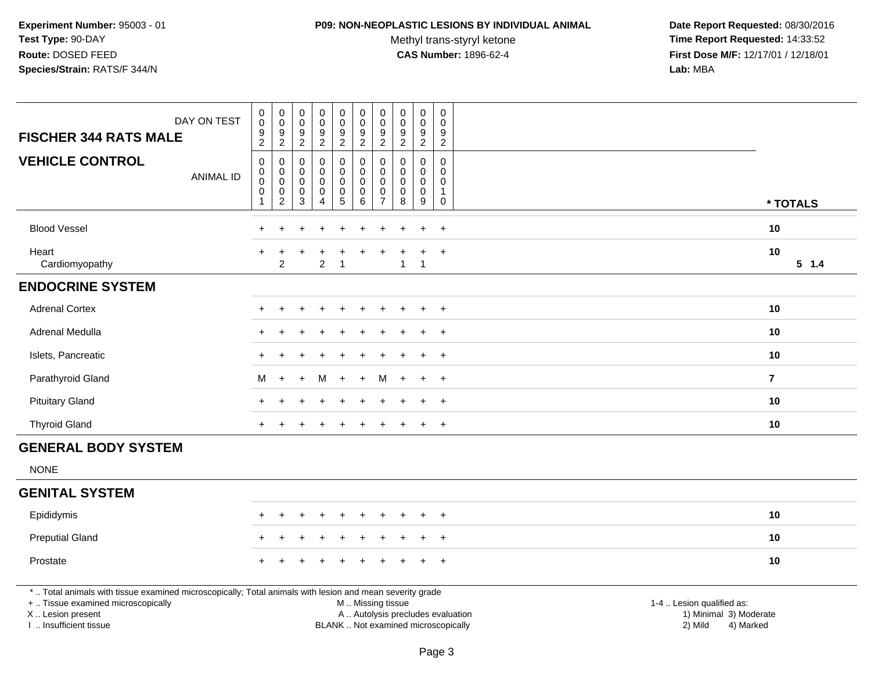#### **P09: NON-NEOPLASTIC LESIONS BY INDIVIDUAL ANIMAL**

Methyl trans-styryl ketone<br>CAS Number: 1896-62-4

| DAY ON TEST<br><b>FISCHER 344 RATS MALE</b>                                                                                                                                                   | $_{\rm 0}^{\rm 0}$<br>$\frac{9}{2}$              | $_{\rm 0}^{\rm 0}$<br>$\frac{9}{2}$                                            | 0<br>$\mathbf 0$<br>9<br>$\overline{2}$              | $\pmb{0}$<br>$\overline{0}$<br>$\boldsymbol{9}$<br>$\overline{2}$                      | $\pmb{0}$<br>$\mathbf 0$<br>$9\,$<br>$\overline{c}$                  | $\pmb{0}$<br>$\mathbf 0$<br>9<br>$\boldsymbol{2}$       | $\pmb{0}$<br>$\pmb{0}$<br>9<br>$\overline{2}$                            | $\pmb{0}$<br>$\mathbf 0$<br>$9\,$<br>$\overline{2}$ | $\pmb{0}$<br>$\pmb{0}$<br>$\boldsymbol{9}$<br>$\overline{2}$               | $\mathsf{O}\xspace$<br>$\mathbf 0$<br>9<br>$\overline{2}$             |                                                                                                                                                         |           |
|-----------------------------------------------------------------------------------------------------------------------------------------------------------------------------------------------|--------------------------------------------------|--------------------------------------------------------------------------------|------------------------------------------------------|----------------------------------------------------------------------------------------|----------------------------------------------------------------------|---------------------------------------------------------|--------------------------------------------------------------------------|-----------------------------------------------------|----------------------------------------------------------------------------|-----------------------------------------------------------------------|---------------------------------------------------------------------------------------------------------------------------------------------------------|-----------|
| <b>VEHICLE CONTROL</b><br><b>ANIMAL ID</b>                                                                                                                                                    | $\pmb{0}$<br>$\pmb{0}$<br>$\mathbf 0$<br>0<br>-1 | $\pmb{0}$<br>$\mathsf{O}\xspace$<br>$\mathbf 0$<br>$\pmb{0}$<br>$\overline{2}$ | 0<br>$\mathbf 0$<br>$\mathbf 0$<br>0<br>$\mathbf{3}$ | $\pmb{0}$<br>$\mathsf{O}\xspace$<br>$\pmb{0}$<br>$\mathbf 0$<br>$\boldsymbol{\Lambda}$ | $\mathsf 0$<br>0<br>$\mathsf{O}\xspace$<br>$\mathbf 0$<br>$\sqrt{5}$ | 0<br>$\mathbf 0$<br>$\pmb{0}$<br>$\mathbf 0$<br>$\,6\,$ | $\mathbf 0$<br>$\mathbf 0$<br>$\pmb{0}$<br>$\mathbf 0$<br>$\overline{7}$ | $\mathbf 0$<br>0<br>$\mathbf 0$<br>$\mathbf 0$<br>8 | $\mathsf{O}\xspace$<br>$\mathbf 0$<br>$\mathbf 0$<br>0<br>$\boldsymbol{9}$ | $\mathbf 0$<br>$\Omega$<br>$\mathbf 0$<br>$\mathbf{1}$<br>$\mathbf 0$ |                                                                                                                                                         | * TOTALS  |
| <b>Blood Vessel</b>                                                                                                                                                                           |                                                  |                                                                                |                                                      |                                                                                        |                                                                      |                                                         |                                                                          |                                                     |                                                                            | $+$                                                                   | 10                                                                                                                                                      |           |
| Heart<br>Cardiomyopathy                                                                                                                                                                       |                                                  | $\overline{2}$                                                                 |                                                      | 2                                                                                      | -1                                                                   |                                                         |                                                                          | $\mathbf{1}$                                        | $\mathbf{1}$                                                               | $+$                                                                   | 10                                                                                                                                                      | $5 \t1.4$ |
| <b>ENDOCRINE SYSTEM</b>                                                                                                                                                                       |                                                  |                                                                                |                                                      |                                                                                        |                                                                      |                                                         |                                                                          |                                                     |                                                                            |                                                                       |                                                                                                                                                         |           |
| <b>Adrenal Cortex</b>                                                                                                                                                                         |                                                  |                                                                                |                                                      |                                                                                        |                                                                      |                                                         |                                                                          |                                                     |                                                                            | $+$                                                                   | 10                                                                                                                                                      |           |
| Adrenal Medulla                                                                                                                                                                               |                                                  |                                                                                |                                                      |                                                                                        |                                                                      |                                                         |                                                                          |                                                     |                                                                            | $\overline{+}$                                                        | 10                                                                                                                                                      |           |
| Islets, Pancreatic                                                                                                                                                                            |                                                  |                                                                                |                                                      |                                                                                        |                                                                      |                                                         |                                                                          |                                                     | $\ddot{}$                                                                  | $+$                                                                   | 10                                                                                                                                                      |           |
| Parathyroid Gland                                                                                                                                                                             | м                                                | $+$                                                                            | $\div$                                               | м                                                                                      | $+$                                                                  | $\ddot{}$                                               | м                                                                        | $+$                                                 | $\pm$                                                                      | $+$                                                                   | $\overline{7}$                                                                                                                                          |           |
| <b>Pituitary Gland</b>                                                                                                                                                                        |                                                  |                                                                                |                                                      |                                                                                        |                                                                      |                                                         |                                                                          |                                                     |                                                                            | $\ddot{}$                                                             | 10                                                                                                                                                      |           |
| <b>Thyroid Gland</b>                                                                                                                                                                          | $+$                                              |                                                                                |                                                      |                                                                                        |                                                                      |                                                         |                                                                          |                                                     | $\ddot{}$                                                                  | $+$                                                                   | 10                                                                                                                                                      |           |
| <b>GENERAL BODY SYSTEM</b>                                                                                                                                                                    |                                                  |                                                                                |                                                      |                                                                                        |                                                                      |                                                         |                                                                          |                                                     |                                                                            |                                                                       |                                                                                                                                                         |           |
| <b>NONE</b>                                                                                                                                                                                   |                                                  |                                                                                |                                                      |                                                                                        |                                                                      |                                                         |                                                                          |                                                     |                                                                            |                                                                       |                                                                                                                                                         |           |
| <b>GENITAL SYSTEM</b>                                                                                                                                                                         |                                                  |                                                                                |                                                      |                                                                                        |                                                                      |                                                         |                                                                          |                                                     |                                                                            |                                                                       |                                                                                                                                                         |           |
| Epididymis                                                                                                                                                                                    |                                                  |                                                                                |                                                      |                                                                                        |                                                                      |                                                         |                                                                          |                                                     |                                                                            | $\ddot{}$                                                             | 10                                                                                                                                                      |           |
| <b>Preputial Gland</b>                                                                                                                                                                        |                                                  |                                                                                |                                                      |                                                                                        |                                                                      |                                                         |                                                                          |                                                     |                                                                            | $+$                                                                   | 10                                                                                                                                                      |           |
| Prostate                                                                                                                                                                                      |                                                  |                                                                                |                                                      |                                                                                        |                                                                      |                                                         |                                                                          |                                                     | $\ddot{}$                                                                  | $+$                                                                   | 10                                                                                                                                                      |           |
| *  Total animals with tissue examined microscopically; Total animals with lesion and mean severity grade<br>+  Tissue examined microscopically<br>X  Lesion present<br>I  Insufficient tissue |                                                  |                                                                                |                                                      |                                                                                        |                                                                      | M  Missing tissue                                       |                                                                          |                                                     |                                                                            |                                                                       | 1-4  Lesion qualified as:<br>A  Autolysis precludes evaluation<br>1) Minimal 3) Moderate<br>BLANK  Not examined microscopically<br>2) Mild<br>4) Marked |           |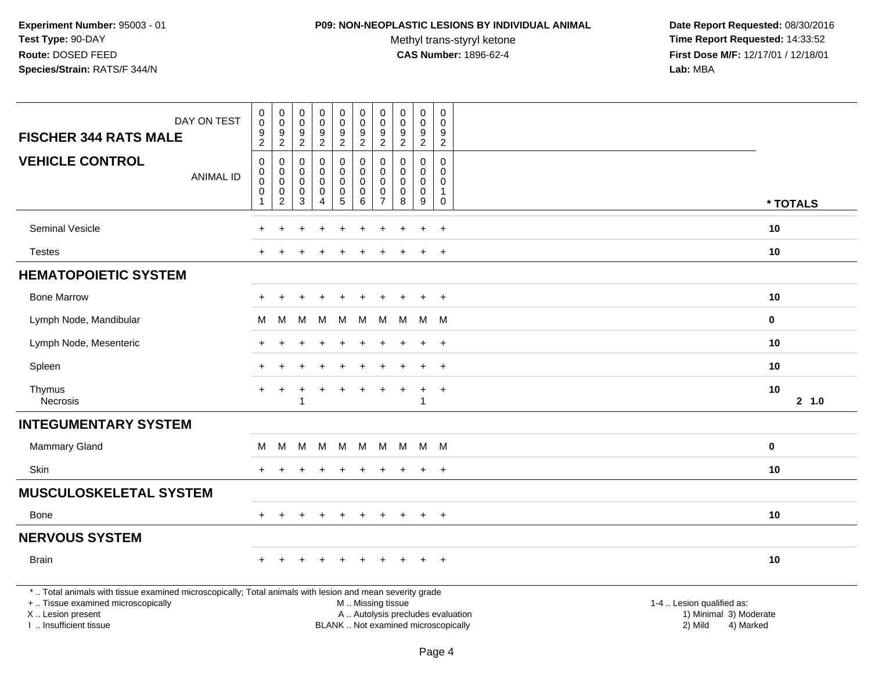### **P09: NON-NEOPLASTIC LESIONS BY INDIVIDUAL ANIMAL**

Methyl trans-styryl ketone<br>CAS Number: 1896-62-4

| DAY ON TEST<br><b>FISCHER 344 RATS MALE</b>                                                                                                                                                   | $\mathbf 0$<br>$\mathbf 0$<br>9<br>$\overline{c}$                        | $\pmb{0}$<br>$\mathsf{O}\xspace$<br>$\boldsymbol{9}$<br>$\overline{c}$ | $\boldsymbol{0}$<br>0<br>$\boldsymbol{9}$<br>$\overline{c}$ | $\pmb{0}$<br>$\mathsf 0$<br>$\overline{9}$<br>$\overline{2}$   | $\mathsf 0$<br>$\mathbf 0$<br>$9\,$<br>$\overline{2}$   | $\pmb{0}$<br>$\mathbf 0$<br>$9\,$<br>$\overline{c}$               | $\pmb{0}$<br>$\mathbf 0$<br>$\boldsymbol{9}$<br>$\overline{2}$           | $\pmb{0}$<br>$\mathbf 0$<br>9<br>$\boldsymbol{2}$          | $\pmb{0}$<br>$\pmb{0}$<br>$\boldsymbol{9}$<br>$\overline{2}$                 | $\mathsf 0$<br>$\mathbf 0$<br>9<br>$\overline{c}$                       |                                                                                                                  |
|-----------------------------------------------------------------------------------------------------------------------------------------------------------------------------------------------|--------------------------------------------------------------------------|------------------------------------------------------------------------|-------------------------------------------------------------|----------------------------------------------------------------|---------------------------------------------------------|-------------------------------------------------------------------|--------------------------------------------------------------------------|------------------------------------------------------------|------------------------------------------------------------------------------|-------------------------------------------------------------------------|------------------------------------------------------------------------------------------------------------------|
| <b>VEHICLE CONTROL</b><br><b>ANIMAL ID</b>                                                                                                                                                    | $\mathbf 0$<br>$\mathbf 0$<br>$\mathbf 0$<br>$\mathbf 0$<br>$\mathbf{1}$ | 0<br>0<br>$\pmb{0}$<br>0<br>$\overline{c}$                             | $\Omega$<br>0<br>$\mathbf 0$<br>0<br>3                      | $\mathbf 0$<br>$\mathbf 0$<br>$\pmb{0}$<br>0<br>$\overline{A}$ | $\mathbf 0$<br>0<br>$\mathbf 0$<br>0<br>$5\phantom{.0}$ | $\mathbf 0$<br>$\ddot{\mathbf{0}}$<br>$\mathbf 0$<br>0<br>$\,6\,$ | $\mathbf 0$<br>$\mathbf 0$<br>$\mathbf{0}$<br>$\Omega$<br>$\overline{7}$ | $\Omega$<br>$\mathbf 0$<br>$\mathbf 0$<br>$\mathbf 0$<br>8 | $\mathbf 0$<br>$\mathbf 0$<br>$\mathbf 0$<br>$\mathbf 0$<br>$\boldsymbol{9}$ | $\mathbf 0$<br>$\mathbf 0$<br>$\Omega$<br>$\overline{1}$<br>$\mathbf 0$ | * TOTALS                                                                                                         |
| Seminal Vesicle                                                                                                                                                                               |                                                                          |                                                                        |                                                             |                                                                |                                                         |                                                                   |                                                                          |                                                            |                                                                              | $\ddot{}$                                                               | 10                                                                                                               |
| <b>Testes</b>                                                                                                                                                                                 |                                                                          |                                                                        |                                                             |                                                                |                                                         |                                                                   |                                                                          |                                                            |                                                                              | $\div$                                                                  | 10                                                                                                               |
| <b>HEMATOPOIETIC SYSTEM</b>                                                                                                                                                                   |                                                                          |                                                                        |                                                             |                                                                |                                                         |                                                                   |                                                                          |                                                            |                                                                              |                                                                         |                                                                                                                  |
| <b>Bone Marrow</b>                                                                                                                                                                            |                                                                          |                                                                        |                                                             |                                                                |                                                         |                                                                   |                                                                          |                                                            |                                                                              | $+$                                                                     | 10                                                                                                               |
| Lymph Node, Mandibular                                                                                                                                                                        | M                                                                        | M                                                                      | м                                                           | M                                                              | M                                                       | M                                                                 | M                                                                        | M                                                          |                                                                              | M M                                                                     | $\mathbf 0$                                                                                                      |
| Lymph Node, Mesenteric                                                                                                                                                                        |                                                                          |                                                                        |                                                             |                                                                |                                                         |                                                                   |                                                                          |                                                            |                                                                              | $\overline{ }$                                                          | 10                                                                                                               |
| Spleen                                                                                                                                                                                        |                                                                          |                                                                        |                                                             |                                                                |                                                         |                                                                   |                                                                          |                                                            |                                                                              | $\div$                                                                  | 10                                                                                                               |
| Thymus<br><b>Necrosis</b>                                                                                                                                                                     | $\ddot{}$                                                                | $\div$                                                                 | -1                                                          |                                                                | ÷                                                       |                                                                   |                                                                          |                                                            | $\ddot{}$<br>$\mathbf{1}$                                                    | $\overline{+}$                                                          | 10<br>2 1.0                                                                                                      |
| <b>INTEGUMENTARY SYSTEM</b>                                                                                                                                                                   |                                                                          |                                                                        |                                                             |                                                                |                                                         |                                                                   |                                                                          |                                                            |                                                                              |                                                                         |                                                                                                                  |
| Mammary Gland                                                                                                                                                                                 | M                                                                        | M                                                                      |                                                             | M M M                                                          |                                                         | M                                                                 | M                                                                        |                                                            | M M M                                                                        |                                                                         | $\mathbf 0$                                                                                                      |
| <b>Skin</b>                                                                                                                                                                                   |                                                                          |                                                                        |                                                             |                                                                |                                                         |                                                                   | $\ddot{}$                                                                |                                                            | $\ddot{+}$                                                                   | $+$                                                                     | 10                                                                                                               |
| <b>MUSCULOSKELETAL SYSTEM</b>                                                                                                                                                                 |                                                                          |                                                                        |                                                             |                                                                |                                                         |                                                                   |                                                                          |                                                            |                                                                              |                                                                         |                                                                                                                  |
| Bone                                                                                                                                                                                          |                                                                          |                                                                        |                                                             |                                                                |                                                         |                                                                   |                                                                          |                                                            |                                                                              | $\overline{ }$                                                          | 10                                                                                                               |
| <b>NERVOUS SYSTEM</b>                                                                                                                                                                         |                                                                          |                                                                        |                                                             |                                                                |                                                         |                                                                   |                                                                          |                                                            |                                                                              |                                                                         |                                                                                                                  |
| <b>Brain</b>                                                                                                                                                                                  | $+$                                                                      | $+$                                                                    | $+$                                                         | $+$                                                            | $+$                                                     | $+$                                                               | $+$                                                                      |                                                            | $+$                                                                          | $+$                                                                     | 10                                                                                                               |
| *  Total animals with tissue examined microscopically; Total animals with lesion and mean severity grade<br>+  Tissue examined microscopically<br>X  Lesion present<br>I. Insufficient tissue |                                                                          |                                                                        |                                                             |                                                                |                                                         | M  Missing tissue<br>BLANK  Not examined microscopically          |                                                                          |                                                            |                                                                              |                                                                         | 1-4  Lesion qualified as:<br>A  Autolysis precludes evaluation<br>1) Minimal 3) Moderate<br>2) Mild<br>4) Marked |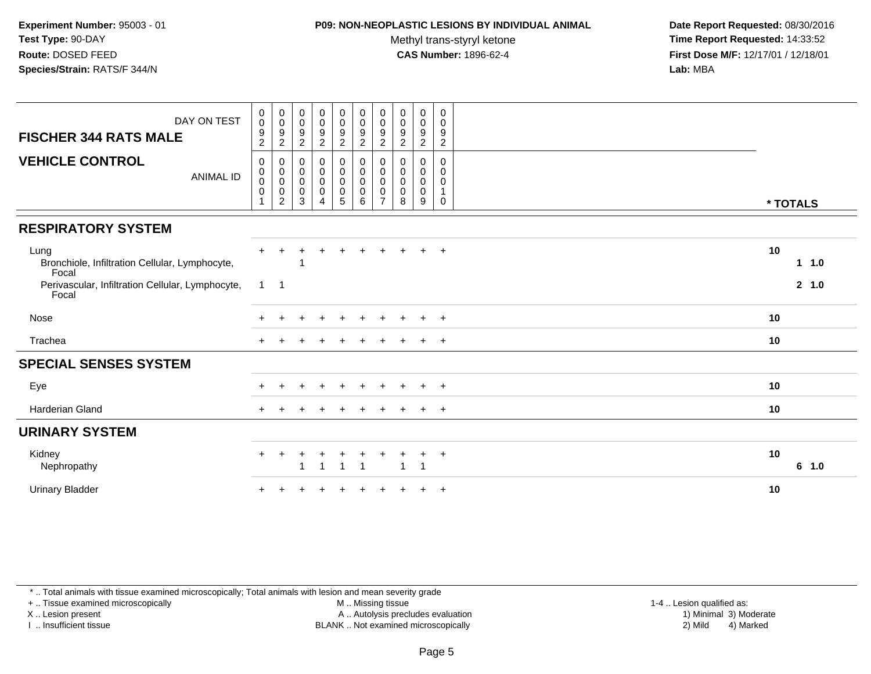### **P09: NON-NEOPLASTIC LESIONS BY INDIVIDUAL ANIMAL**

Methyl trans-styryl ketone<br>CAS Number: 1896-62-4

 **Date Report Requested:** 08/30/2016 **Time Report Requested:** 14:33:52 **First Dose M/F:** 12/17/01 / 12/18/01<br>**Lab:** MBA **Lab:** MBA

| DAY ON TEST<br><b>FISCHER 344 RATS MALE</b>                     | $\pmb{0}$<br>$\pmb{0}$<br>$\frac{9}{2}$                        | $\begin{array}{c} 0 \\ 0 \\ 9 \\ 2 \end{array}$                    | $\mathbf 0$<br>$\mathbf 0$<br>$\frac{9}{2}$                               | $\begin{smallmatrix} 0\\0 \end{smallmatrix}$<br>$\frac{9}{2}$ | $\begin{smallmatrix}0\0\0\end{smallmatrix}$<br>$\boldsymbol{9}$<br>$\overline{c}$ | $_{\rm 0}^{\rm 0}$<br>$\frac{9}{2}$                   | $\pmb{0}$<br>$\mathbf 0$<br>$\frac{9}{2}$                      | 0<br>$\mathbf 0$<br>9<br>$\overline{2}$ | $\begin{smallmatrix} 0\\0 \end{smallmatrix}$<br>$\boldsymbol{9}$<br>2 | 0<br>$\mathbf 0$<br>$\boldsymbol{9}$<br>$\overline{2}$ |          |       |
|-----------------------------------------------------------------|----------------------------------------------------------------|--------------------------------------------------------------------|---------------------------------------------------------------------------|---------------------------------------------------------------|-----------------------------------------------------------------------------------|-------------------------------------------------------|----------------------------------------------------------------|-----------------------------------------|-----------------------------------------------------------------------|--------------------------------------------------------|----------|-------|
| <b>VEHICLE CONTROL</b><br><b>ANIMAL ID</b>                      | $\pmb{0}$<br>$\mathbf 0$<br>0<br>$\mathbf 0$<br>$\overline{ }$ | $\pmb{0}$<br>$_{\rm 0}^{\rm 0}$<br>$\mathbf 0$<br>$\boldsymbol{2}$ | $\boldsymbol{0}$<br>$\pmb{0}$<br>$\mathbf 0$<br>$\pmb{0}$<br>$\mathbf{3}$ | $\pmb{0}$<br>$\overline{0}$<br>$\pmb{0}$<br>$\overline{4}$    | 0<br>$\mathsf{O}\xspace$<br>$\mathbf 0$<br>$\begin{array}{c} 0 \\ 5 \end{array}$  | $\pmb{0}$<br>$\pmb{0}$<br>$\pmb{0}$<br>$\pmb{0}$<br>6 | 0<br>$\mathbf 0$<br>$\mathbf 0$<br>$\pmb{0}$<br>$\overline{7}$ | 0<br>0<br>0<br>0<br>8                   | $\mathbf 0$<br>$\boldsymbol{0}$<br>$\boldsymbol{0}$<br>$\pmb{0}$<br>9 | 0<br>0<br>0<br>1<br>0                                  | * TOTALS |       |
| <b>RESPIRATORY SYSTEM</b>                                       |                                                                |                                                                    |                                                                           |                                                               |                                                                                   |                                                       |                                                                |                                         |                                                                       |                                                        |          |       |
| Lung<br>Bronchiole, Infiltration Cellular, Lymphocyte,<br>Focal |                                                                |                                                                    |                                                                           |                                                               | ÷                                                                                 |                                                       | ÷                                                              |                                         |                                                                       | $+$                                                    | 10       | 11.0  |
| Perivascular, Infiltration Cellular, Lymphocyte,<br>Focal       | $\mathbf{1}$                                                   | $\overline{\phantom{0}}$ 1                                         |                                                                           |                                                               |                                                                                   |                                                       |                                                                |                                         |                                                                       |                                                        |          | 2 1.0 |
| Nose                                                            |                                                                | $\pm$                                                              |                                                                           | $\pm$                                                         | $\ddot{}$                                                                         | $\ddot{}$                                             | $\ddot{}$                                                      | $\ddot{}$                               | $+$                                                                   | $+$                                                    | 10       |       |
| Trachea                                                         |                                                                |                                                                    |                                                                           |                                                               |                                                                                   |                                                       |                                                                |                                         |                                                                       | $+$                                                    | 10       |       |
| <b>SPECIAL SENSES SYSTEM</b>                                    |                                                                |                                                                    |                                                                           |                                                               |                                                                                   |                                                       |                                                                |                                         |                                                                       |                                                        |          |       |
| Eye                                                             |                                                                |                                                                    |                                                                           |                                                               |                                                                                   |                                                       |                                                                |                                         |                                                                       | $+$                                                    | 10       |       |
| Harderian Gland                                                 | $+$                                                            |                                                                    |                                                                           |                                                               | $\ddot{}$                                                                         |                                                       | $\pm$                                                          | $\pm$                                   | $+$                                                                   | $+$                                                    | 10       |       |
| <b>URINARY SYSTEM</b>                                           |                                                                |                                                                    |                                                                           |                                                               |                                                                                   |                                                       |                                                                |                                         |                                                                       |                                                        |          |       |
| Kidney<br>Nephropathy                                           | $+$                                                            | $\pm$                                                              | 1                                                                         | ÷<br>$\overline{1}$                                           | +<br>$\overline{1}$                                                               | $\overline{1}$                                        | +                                                              | $\overline{1}$                          | $\pm$<br>$\overline{1}$                                               | $+$                                                    | 10       | 6 1.0 |
| <b>Urinary Bladder</b>                                          |                                                                |                                                                    |                                                                           |                                                               |                                                                                   |                                                       |                                                                |                                         |                                                                       | $+$                                                    | 10       |       |

\* .. Total animals with tissue examined microscopically; Total animals with lesion and mean severity grade

+ .. Tissue examined microscopically

X .. Lesion present

I .. Insufficient tissue

M .. Missing tissue

Lesion present A .. Autolysis precludes evaluation 1) Minimal 3) Moderate

1-4 .. Lesion qualified as:<br>1) Minimal 3) Moderate BLANK .. Not examined microscopically 2) Mild 4) Marked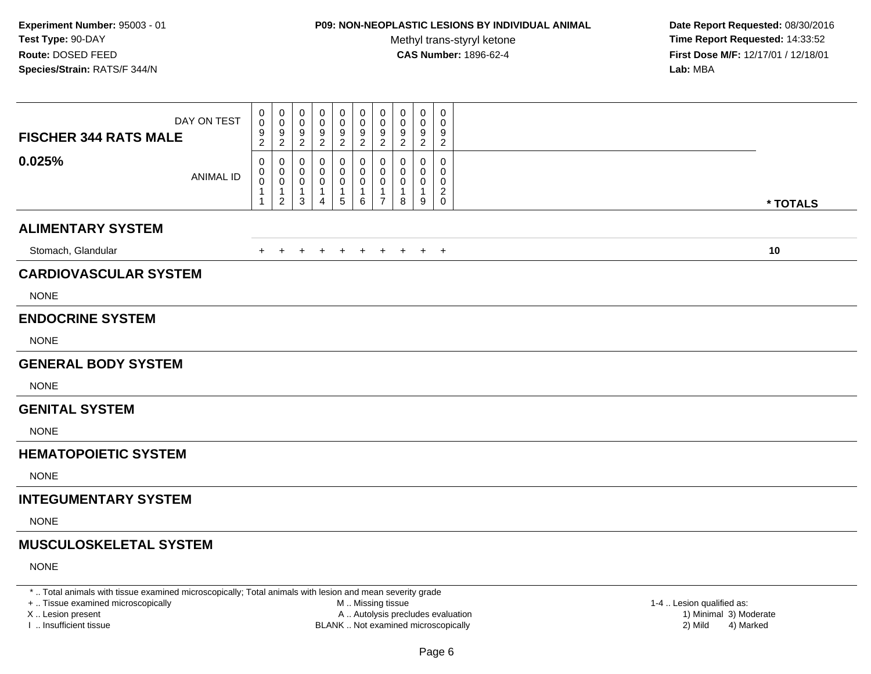## **P09: NON-NEOPLASTIC LESIONS BY INDIVIDUAL ANIMAL**

Methyl trans-styryl ketone<br>CAS Number: 1896-62-4

 **Date Report Requested:** 08/30/2016 **Time Report Requested:** 14:33:52 **First Dose M/F:** 12/17/01 / 12/18/01<br>**Lab:** MBA **Lab:** MBA

| <b>FISCHER 344 RATS MALE</b>  | DAY ON TEST      | 0<br>0<br>9<br>$\overline{2}$   | 0<br>0<br>$\frac{9}{2}$                                 | 0<br>0<br>9<br>$\overline{2}$              | 0<br>0<br>$\frac{9}{2}$ | 0<br>$\pmb{0}$<br>$\frac{9}{2}$                   | $\mathbf 0$<br>$\mathbf 0$<br>$\frac{9}{2}$    | 0<br>0<br>9<br>$\overline{2}$                                               | 0<br>0<br>9<br>$\boldsymbol{2}$ | 0<br>0<br>9<br>$\overline{a}$    | 0<br>$\mathbf 0$<br>9<br>$\overline{c}$                  |          |
|-------------------------------|------------------|---------------------------------|---------------------------------------------------------|--------------------------------------------|-------------------------|---------------------------------------------------|------------------------------------------------|-----------------------------------------------------------------------------|---------------------------------|----------------------------------|----------------------------------------------------------|----------|
| 0.025%                        | <b>ANIMAL ID</b> | 0<br>0<br>$\mathbf 0$<br>1<br>1 | 0<br>0<br>$\mathbf 0$<br>$\mathbf{1}$<br>$\overline{c}$ | 0<br>0<br>$\mathbf 0$<br>$\mathbf{1}$<br>3 | 0<br>0<br>0<br>1<br>4   | 0<br>0<br>$\pmb{0}$<br>$\mathbf{1}$<br>$\sqrt{5}$ | 0<br>0<br>$\pmb{0}$<br>$\mathbf{1}$<br>$\,6\,$ | $\mathbf 0$<br>$\mathbf 0$<br>$\mathbf 0$<br>$\mathbf{1}$<br>$\overline{7}$ | 0<br>0<br>0<br>1<br>8           | 0<br>0<br>0<br>$\mathbf{1}$<br>9 | $\mathbf{0}$<br>0<br>0<br>$\overline{a}$<br>$\mathsf{O}$ | * TOTALS |
| <b>ALIMENTARY SYSTEM</b>      |                  |                                 |                                                         |                                            |                         |                                                   |                                                |                                                                             |                                 |                                  |                                                          |          |
| Stomach, Glandular            |                  | $\pm$                           | $\pm$                                                   | $\overline{+}$                             | $\pm$                   | $\overline{ }$                                    | $\ddot{}$                                      | $+$                                                                         | $+$                             |                                  | $+$ $+$                                                  | 10       |
| <b>CARDIOVASCULAR SYSTEM</b>  |                  |                                 |                                                         |                                            |                         |                                                   |                                                |                                                                             |                                 |                                  |                                                          |          |
| <b>NONE</b>                   |                  |                                 |                                                         |                                            |                         |                                                   |                                                |                                                                             |                                 |                                  |                                                          |          |
| <b>ENDOCRINE SYSTEM</b>       |                  |                                 |                                                         |                                            |                         |                                                   |                                                |                                                                             |                                 |                                  |                                                          |          |
| <b>NONE</b>                   |                  |                                 |                                                         |                                            |                         |                                                   |                                                |                                                                             |                                 |                                  |                                                          |          |
| <b>GENERAL BODY SYSTEM</b>    |                  |                                 |                                                         |                                            |                         |                                                   |                                                |                                                                             |                                 |                                  |                                                          |          |
| <b>NONE</b>                   |                  |                                 |                                                         |                                            |                         |                                                   |                                                |                                                                             |                                 |                                  |                                                          |          |
| <b>GENITAL SYSTEM</b>         |                  |                                 |                                                         |                                            |                         |                                                   |                                                |                                                                             |                                 |                                  |                                                          |          |
| <b>NONE</b>                   |                  |                                 |                                                         |                                            |                         |                                                   |                                                |                                                                             |                                 |                                  |                                                          |          |
| <b>HEMATOPOIETIC SYSTEM</b>   |                  |                                 |                                                         |                                            |                         |                                                   |                                                |                                                                             |                                 |                                  |                                                          |          |
| <b>NONE</b>                   |                  |                                 |                                                         |                                            |                         |                                                   |                                                |                                                                             |                                 |                                  |                                                          |          |
| <b>INTEGUMENTARY SYSTEM</b>   |                  |                                 |                                                         |                                            |                         |                                                   |                                                |                                                                             |                                 |                                  |                                                          |          |
| <b>NONE</b>                   |                  |                                 |                                                         |                                            |                         |                                                   |                                                |                                                                             |                                 |                                  |                                                          |          |
| <b>MUSCULOSKELETAL SYSTEM</b> |                  |                                 |                                                         |                                            |                         |                                                   |                                                |                                                                             |                                 |                                  |                                                          |          |
| <b>NONE</b>                   |                  |                                 |                                                         |                                            |                         |                                                   |                                                |                                                                             |                                 |                                  |                                                          |          |

\* .. Total animals with tissue examined microscopically; Total animals with lesion and mean severity grade

+ .. Tissue examined microscopically

X .. Lesion present

I .. Insufficient tissue

 M .. Missing tissueA .. Autolysis precludes evaluation

1-4 .. Lesion qualified as:<br>1) Minimal 3) Moderate BLANK .. Not examined microscopically 2) Mild 4) Marked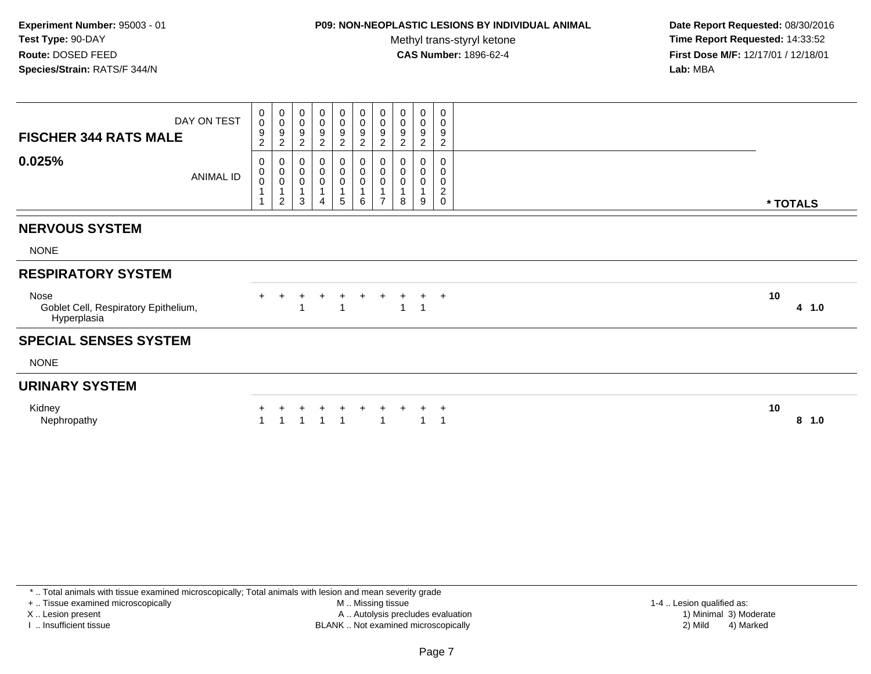### **P09: NON-NEOPLASTIC LESIONS BY INDIVIDUAL ANIMAL**

Methyl trans-styryl ketone<br>CAS Number: 1896-62-4

 **Date Report Requested:** 08/30/2016 **Time Report Requested:** 14:33:52 **First Dose M/F:** 12/17/01 / 12/18/01<br>**Lab:** MBA **Lab:** MBA

| <b>FISCHER 344 RATS MALE</b><br>0.025%                      | DAY ON TEST<br>ANIMAL ID | 0<br>$\mathbf 0$<br>9<br>$\overline{c}$<br>0<br>$\begin{smallmatrix}0\0\0\end{smallmatrix}$ | $\begin{array}{c} 0 \\ 0 \\ 9 \\ 2 \end{array}$<br>$\begin{smallmatrix}0\\0\\0\end{smallmatrix}$<br>$\mathbf{1}$ | 0<br>$\pmb{0}$<br>$\frac{9}{2}$<br>$\boldsymbol{0}$<br>$\pmb{0}$<br>$\,0\,$ | $\mathbf 0$<br>$\pmb{0}$<br>$\frac{9}{2}$<br>0<br>$\mathsf 0$<br>$\pmb{0}$<br>$\overline{1}$ | $\begin{smallmatrix}0\\0\end{smallmatrix}$<br>$\frac{9}{2}$<br>$\begin{smallmatrix}0\\0\end{smallmatrix}$<br>0<br>1 | 0<br>$\pmb{0}$<br>$\frac{9}{2}$<br>0<br>0<br>0 | $\pmb{0}$<br>$\pmb{0}$<br>$\frac{9}{2}$<br>$\pmb{0}$<br>$\pmb{0}$<br>$\pmb{0}$<br>1 | 0<br>0<br>9<br>$\overline{2}$<br>0<br>0<br>0 | 0<br>0<br>9<br>$\overline{2}$<br>0<br>$\pmb{0}$<br>0 | $\pmb{0}$<br>0<br>9<br>$\overline{2}$<br>$\mathbf 0$<br>0<br>$\pmb{0}$<br>$\overline{c}$ |                |
|-------------------------------------------------------------|--------------------------|---------------------------------------------------------------------------------------------|------------------------------------------------------------------------------------------------------------------|-----------------------------------------------------------------------------|----------------------------------------------------------------------------------------------|---------------------------------------------------------------------------------------------------------------------|------------------------------------------------|-------------------------------------------------------------------------------------|----------------------------------------------|------------------------------------------------------|------------------------------------------------------------------------------------------|----------------|
|                                                             |                          |                                                                                             | $\overline{c}$                                                                                                   | 3                                                                           | $\overline{4}$                                                                               | 5                                                                                                                   | 6                                              | $\overline{7}$                                                                      | 8                                            | 9                                                    | 0                                                                                        | * TOTALS       |
| <b>NERVOUS SYSTEM</b>                                       |                          |                                                                                             |                                                                                                                  |                                                                             |                                                                                              |                                                                                                                     |                                                |                                                                                     |                                              |                                                      |                                                                                          |                |
| <b>NONE</b>                                                 |                          |                                                                                             |                                                                                                                  |                                                                             |                                                                                              |                                                                                                                     |                                                |                                                                                     |                                              |                                                      |                                                                                          |                |
| <b>RESPIRATORY SYSTEM</b>                                   |                          |                                                                                             |                                                                                                                  |                                                                             |                                                                                              |                                                                                                                     |                                                |                                                                                     |                                              |                                                      |                                                                                          |                |
| Nose<br>Goblet Cell, Respiratory Epithelium,<br>Hyperplasia |                          |                                                                                             | $+$                                                                                                              |                                                                             |                                                                                              | ÷<br>1                                                                                                              | $\ddot{}$                                      |                                                                                     |                                              | $+$                                                  | $\overline{+}$                                                                           | 10<br>4 1.0    |
| <b>SPECIAL SENSES SYSTEM</b>                                |                          |                                                                                             |                                                                                                                  |                                                                             |                                                                                              |                                                                                                                     |                                                |                                                                                     |                                              |                                                      |                                                                                          |                |
| <b>NONE</b>                                                 |                          |                                                                                             |                                                                                                                  |                                                                             |                                                                                              |                                                                                                                     |                                                |                                                                                     |                                              |                                                      |                                                                                          |                |
| <b>URINARY SYSTEM</b>                                       |                          |                                                                                             |                                                                                                                  |                                                                             |                                                                                              |                                                                                                                     |                                                |                                                                                     |                                              |                                                      |                                                                                          |                |
| Kidney<br>Nephropathy                                       |                          |                                                                                             |                                                                                                                  |                                                                             |                                                                                              | -1                                                                                                                  |                                                | -1                                                                                  |                                              | -1                                                   | $\overline{1}$                                                                           | 10<br>8<br>1.0 |

\* .. Total animals with tissue examined microscopically; Total animals with lesion and mean severity grade

+ .. Tissue examined microscopically

X .. Lesion present

I .. Insufficient tissue

 M .. Missing tissueA .. Autolysis precludes evaluation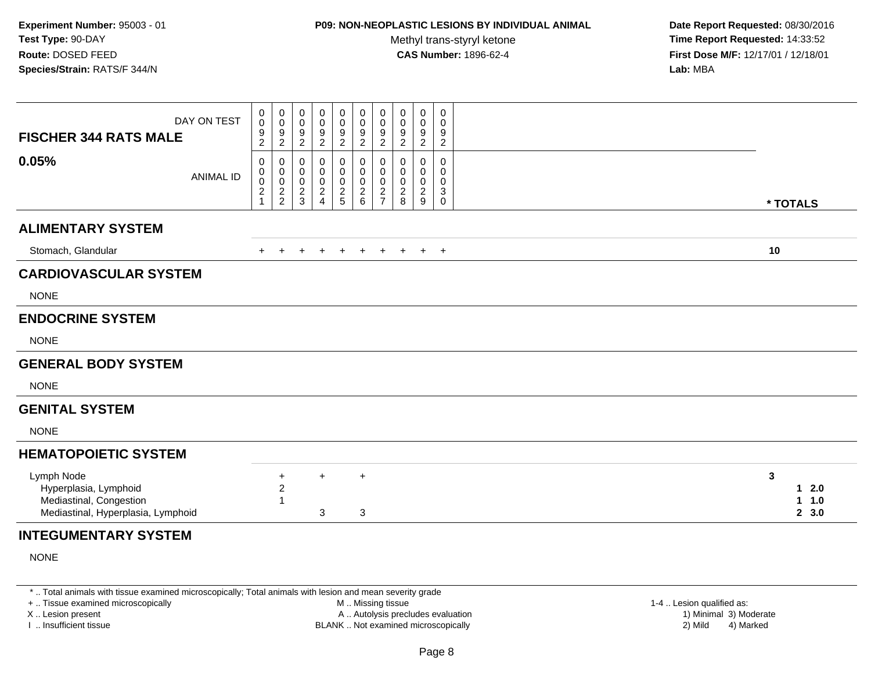## **P09: NON-NEOPLASTIC LESIONS BY INDIVIDUAL ANIMAL**

Methyl trans-styryl ketone<br>CAS Number: 1896-62-4

 **Date Report Requested:** 08/30/2016 **Time Report Requested:** 14:33:52 **First Dose M/F:** 12/17/01 / 12/18/01<br>**Lab:** MBA **Lab:** MBA

| DAY ON TEST<br><b>FISCHER 344 RATS MALE</b>                                                          |                  | 0<br>$\pmb{0}$<br>9<br>$\overline{c}$                              | 0<br>$\mathbf 0$<br>$\frac{9}{2}$                | 0<br>0<br>$\frac{9}{2}$              | 0<br>0<br>$\frac{9}{2}$            | 0<br>$\pmb{0}$<br>$\frac{9}{2}$                     | 0<br>$\mathsf{O}\xspace$<br>$\frac{9}{2}$ | 0<br>$\mathbf 0$<br>$\frac{9}{2}$                 | 0<br>0<br>9<br>$\overline{2}$             | 0<br>0<br>$\frac{9}{2}$                                            | $\mathbf 0$<br>0<br>9<br>$\overline{c}$ |                                           |  |
|------------------------------------------------------------------------------------------------------|------------------|--------------------------------------------------------------------|--------------------------------------------------|--------------------------------------|------------------------------------|-----------------------------------------------------|-------------------------------------------|---------------------------------------------------|-------------------------------------------|--------------------------------------------------------------------|-----------------------------------------|-------------------------------------------|--|
| 0.05%                                                                                                | <b>ANIMAL ID</b> | 0<br>0<br>$\mathbf 0$<br>$\overline{\mathbf{c}}$<br>$\overline{1}$ | 0<br>$\mathbf 0$<br>$\mathsf 0$<br>$\frac{2}{2}$ | 0<br>0<br>$\pmb{0}$<br>$\frac{2}{3}$ | 0<br>0<br>0<br>$\overline{c}$<br>4 | 0<br>$\boldsymbol{0}$<br>$\pmb{0}$<br>$\frac{2}{5}$ | 0<br>0<br>0<br>$\frac{2}{6}$              | $\mathbf 0$<br>0<br>$\mathbf{0}$<br>$\frac{2}{7}$ | 0<br>0<br>$\Omega$<br>$\overline{c}$<br>8 | $\Omega$<br>0<br>$\mathbf 0$<br>$\overline{c}$<br>$\boldsymbol{9}$ | $\Omega$<br>0<br>$\Omega$<br>3<br>0     | * TOTALS                                  |  |
| <b>ALIMENTARY SYSTEM</b>                                                                             |                  |                                                                    |                                                  |                                      |                                    |                                                     |                                           |                                                   |                                           |                                                                    |                                         |                                           |  |
| Stomach, Glandular                                                                                   |                  | $+$                                                                | $+$                                              | $+$                                  | $+$                                | $+$                                                 | $+$                                       | $+$                                               | $+$                                       |                                                                    | $+$ $+$                                 | 10                                        |  |
| <b>CARDIOVASCULAR SYSTEM</b>                                                                         |                  |                                                                    |                                                  |                                      |                                    |                                                     |                                           |                                                   |                                           |                                                                    |                                         |                                           |  |
| <b>NONE</b>                                                                                          |                  |                                                                    |                                                  |                                      |                                    |                                                     |                                           |                                                   |                                           |                                                                    |                                         |                                           |  |
| <b>ENDOCRINE SYSTEM</b>                                                                              |                  |                                                                    |                                                  |                                      |                                    |                                                     |                                           |                                                   |                                           |                                                                    |                                         |                                           |  |
| <b>NONE</b>                                                                                          |                  |                                                                    |                                                  |                                      |                                    |                                                     |                                           |                                                   |                                           |                                                                    |                                         |                                           |  |
| <b>GENERAL BODY SYSTEM</b>                                                                           |                  |                                                                    |                                                  |                                      |                                    |                                                     |                                           |                                                   |                                           |                                                                    |                                         |                                           |  |
| <b>NONE</b>                                                                                          |                  |                                                                    |                                                  |                                      |                                    |                                                     |                                           |                                                   |                                           |                                                                    |                                         |                                           |  |
| <b>GENITAL SYSTEM</b>                                                                                |                  |                                                                    |                                                  |                                      |                                    |                                                     |                                           |                                                   |                                           |                                                                    |                                         |                                           |  |
| <b>NONE</b>                                                                                          |                  |                                                                    |                                                  |                                      |                                    |                                                     |                                           |                                                   |                                           |                                                                    |                                         |                                           |  |
| <b>HEMATOPOIETIC SYSTEM</b>                                                                          |                  |                                                                    |                                                  |                                      |                                    |                                                     |                                           |                                                   |                                           |                                                                    |                                         |                                           |  |
| Lymph Node<br>Hyperplasia, Lymphoid<br>Mediastinal, Congestion<br>Mediastinal, Hyperplasia, Lymphoid |                  |                                                                    | $\ddot{}$<br>$\overline{c}$                      |                                      | $\ddot{}$<br>$\mathbf{3}$          |                                                     | $\ddot{}$<br>3                            |                                                   |                                           |                                                                    |                                         | $\mathbf{3}$<br>$12.0$<br>1 1.0<br>2, 3.0 |  |
| <b>INTEGUMENTARY SYSTEM</b>                                                                          |                  |                                                                    |                                                  |                                      |                                    |                                                     |                                           |                                                   |                                           |                                                                    |                                         |                                           |  |
| <b>NONE</b>                                                                                          |                  |                                                                    |                                                  |                                      |                                    |                                                     |                                           |                                                   |                                           |                                                                    |                                         |                                           |  |

\* .. Total animals with tissue examined microscopically; Total animals with lesion and mean severity grade

+ .. Tissue examined microscopically

X .. Lesion present

I .. Insufficient tissue

 M .. Missing tissueA .. Autolysis precludes evaluation

1-4 .. Lesion qualified as:<br>1) Minimal 3) Moderate BLANK .. Not examined microscopically 2) Mild 4) Marked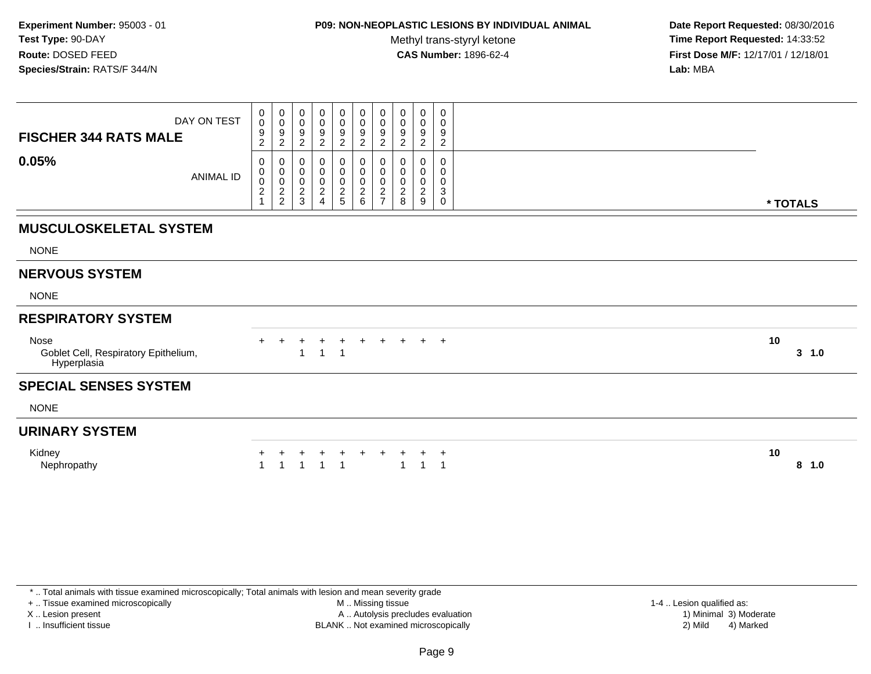### **P09: NON-NEOPLASTIC LESIONS BY INDIVIDUAL ANIMAL**

Methyl trans-styryl ketone<br>CAS Number: 1896-62-4

 **Date Report Requested:** 08/30/2016 **Time Report Requested:** 14:33:52 **First Dose M/F:** 12/17/01 / 12/18/01<br>**Lab:** MBA **Lab:** MBA

| 0<br>$\pmb{0}$<br>$\begin{array}{c} 0 \\ 0 \\ 9 \\ 2 \end{array}$<br>$\begin{smallmatrix} 0\\0 \end{smallmatrix}$<br>0<br>$\mathbf 0$<br>0<br>0<br>0<br>0<br>DAY ON TEST<br>$\mathsf{O}\xspace$<br>$\mathsf{O}$<br>$\pmb{0}$<br>$\pmb{0}$<br>$\mathbf 0$<br>0<br>0<br>0<br>$\boldsymbol{9}$<br>$\boldsymbol{9}$<br>$\frac{9}{2}$<br>$\frac{9}{2}$<br>$\boldsymbol{9}$<br>9<br>9<br>9<br>9<br><b>FISCHER 344 RATS MALE</b><br>$\sqrt{2}$<br>$\overline{c}$<br>$\boldsymbol{2}$<br>$\overline{c}$<br>$\overline{c}$<br>$\boldsymbol{2}$<br>$\overline{c}$<br>0.05%<br>0<br>0<br>0<br>0<br>0<br>0<br>0<br>0<br>$\Omega$<br>0<br>$\pmb{0}$<br>$\mathbf 0$<br>$\pmb{0}$<br>$\pmb{0}$<br>$\mathsf{O}$<br>$\pmb{0}$<br>0<br>0<br>0<br>0<br><b>ANIMAL ID</b><br>$\pmb{0}$<br>0<br>$\pmb{0}$<br>$\pmb{0}$<br>$\pmb{0}$<br>$\pmb{0}$<br>$\pmb{0}$<br>0<br>$\mathbf 0$<br>0<br>$\frac{2}{2}$<br>$\frac{2}{5}$<br>$\sqrt{2}$<br>$\frac{2}{6}$<br>$\sqrt{2}$<br>$\boldsymbol{2}$<br>$\overline{\mathbf{c}}$<br>$\overline{c}$<br>$\overline{\mathbf{c}}$<br>3<br>$\sqrt{3}$<br>$\overline{7}$<br>$\boldsymbol{9}$<br>$\overline{4}$<br>8<br>$\mathbf 0$<br>* TOTALS<br><b>MUSCULOSKELETAL SYSTEM</b><br><b>NONE</b><br><b>NERVOUS SYSTEM</b><br><b>NONE</b><br><b>RESPIRATORY SYSTEM</b><br>10<br>Nose<br>$+$<br>$\pm$<br>$+$<br>$\ddot{}$<br>$+$<br>٠<br>Goblet Cell, Respiratory Epithelium,<br>3, 1.0<br>$\overline{1}$<br>1<br>Hyperplasia<br><b>SPECIAL SENSES SYSTEM</b><br><b>NONE</b><br><b>URINARY SYSTEM</b><br>10<br>Kidney<br>$\ddot{}$<br>$\overline{ }$<br>Nephropathy<br>$8$ 1.0 |  |  |  |  |  |  |
|------------------------------------------------------------------------------------------------------------------------------------------------------------------------------------------------------------------------------------------------------------------------------------------------------------------------------------------------------------------------------------------------------------------------------------------------------------------------------------------------------------------------------------------------------------------------------------------------------------------------------------------------------------------------------------------------------------------------------------------------------------------------------------------------------------------------------------------------------------------------------------------------------------------------------------------------------------------------------------------------------------------------------------------------------------------------------------------------------------------------------------------------------------------------------------------------------------------------------------------------------------------------------------------------------------------------------------------------------------------------------------------------------------------------------------------------------------------------------------------------------------------------------------------------------------------------------------|--|--|--|--|--|--|
|                                                                                                                                                                                                                                                                                                                                                                                                                                                                                                                                                                                                                                                                                                                                                                                                                                                                                                                                                                                                                                                                                                                                                                                                                                                                                                                                                                                                                                                                                                                                                                                    |  |  |  |  |  |  |
|                                                                                                                                                                                                                                                                                                                                                                                                                                                                                                                                                                                                                                                                                                                                                                                                                                                                                                                                                                                                                                                                                                                                                                                                                                                                                                                                                                                                                                                                                                                                                                                    |  |  |  |  |  |  |
|                                                                                                                                                                                                                                                                                                                                                                                                                                                                                                                                                                                                                                                                                                                                                                                                                                                                                                                                                                                                                                                                                                                                                                                                                                                                                                                                                                                                                                                                                                                                                                                    |  |  |  |  |  |  |
|                                                                                                                                                                                                                                                                                                                                                                                                                                                                                                                                                                                                                                                                                                                                                                                                                                                                                                                                                                                                                                                                                                                                                                                                                                                                                                                                                                                                                                                                                                                                                                                    |  |  |  |  |  |  |
|                                                                                                                                                                                                                                                                                                                                                                                                                                                                                                                                                                                                                                                                                                                                                                                                                                                                                                                                                                                                                                                                                                                                                                                                                                                                                                                                                                                                                                                                                                                                                                                    |  |  |  |  |  |  |
|                                                                                                                                                                                                                                                                                                                                                                                                                                                                                                                                                                                                                                                                                                                                                                                                                                                                                                                                                                                                                                                                                                                                                                                                                                                                                                                                                                                                                                                                                                                                                                                    |  |  |  |  |  |  |
|                                                                                                                                                                                                                                                                                                                                                                                                                                                                                                                                                                                                                                                                                                                                                                                                                                                                                                                                                                                                                                                                                                                                                                                                                                                                                                                                                                                                                                                                                                                                                                                    |  |  |  |  |  |  |
|                                                                                                                                                                                                                                                                                                                                                                                                                                                                                                                                                                                                                                                                                                                                                                                                                                                                                                                                                                                                                                                                                                                                                                                                                                                                                                                                                                                                                                                                                                                                                                                    |  |  |  |  |  |  |
|                                                                                                                                                                                                                                                                                                                                                                                                                                                                                                                                                                                                                                                                                                                                                                                                                                                                                                                                                                                                                                                                                                                                                                                                                                                                                                                                                                                                                                                                                                                                                                                    |  |  |  |  |  |  |
|                                                                                                                                                                                                                                                                                                                                                                                                                                                                                                                                                                                                                                                                                                                                                                                                                                                                                                                                                                                                                                                                                                                                                                                                                                                                                                                                                                                                                                                                                                                                                                                    |  |  |  |  |  |  |
|                                                                                                                                                                                                                                                                                                                                                                                                                                                                                                                                                                                                                                                                                                                                                                                                                                                                                                                                                                                                                                                                                                                                                                                                                                                                                                                                                                                                                                                                                                                                                                                    |  |  |  |  |  |  |
|                                                                                                                                                                                                                                                                                                                                                                                                                                                                                                                                                                                                                                                                                                                                                                                                                                                                                                                                                                                                                                                                                                                                                                                                                                                                                                                                                                                                                                                                                                                                                                                    |  |  |  |  |  |  |

\* .. Total animals with tissue examined microscopically; Total animals with lesion and mean severity grade

+ .. Tissue examined microscopically

X .. Lesion present

I .. Insufficient tissue

 M .. Missing tissueA .. Autolysis precludes evaluation

BLANK .. Not examined microscopically 2) Mild 4) Marked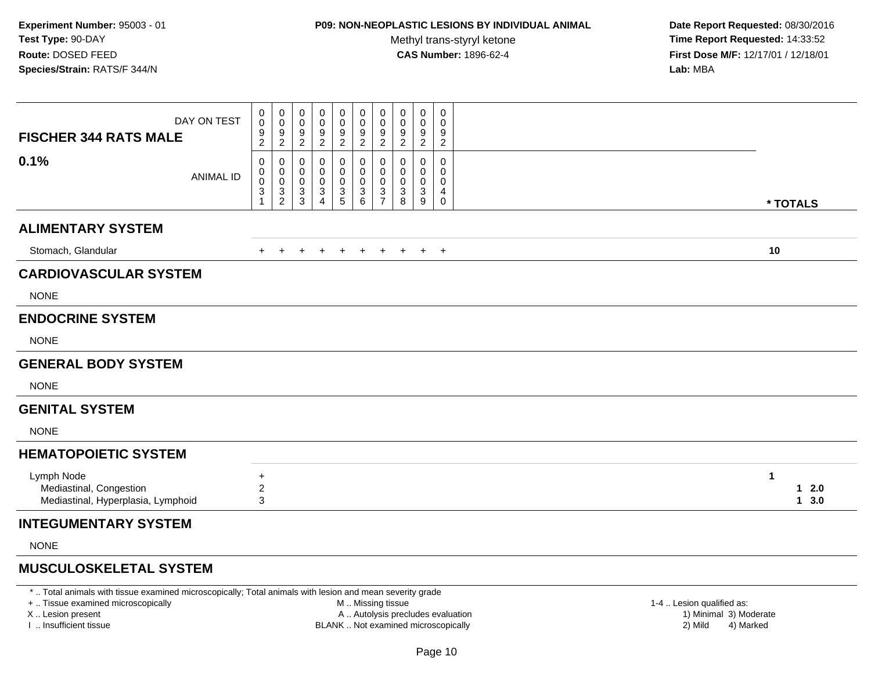## **P09: NON-NEOPLASTIC LESIONS BY INDIVIDUAL ANIMAL**

Methyl trans-styryl ketone<br>CAS Number: 1896-62-4

 **Date Report Requested:** 08/30/2016 **Time Report Requested:** 14:33:52 **First Dose M/F:** 12/17/01 / 12/18/01<br>**Lab:** MBA **Lab:** MBA

| <b>FISCHER 344 RATS MALE</b>                                                | DAY ON TEST      | 0<br>$\overline{0}$<br>$\frac{9}{2}$                       | $\begin{smallmatrix}0\0\0\end{smallmatrix}$<br>$\frac{9}{2}$      | 0<br>$\pmb{0}$<br>$\frac{9}{2}$           | 0<br>$\mathsf{O}\xspace$<br>$\frac{9}{2}$                  | 0<br>$\mathbf 0$<br>9<br>$\overline{2}$ | 0<br>$\ddot{\mathbf{0}}$<br>$\frac{9}{2}$    | 0<br>$\ddot{\mathbf{0}}$<br>9<br>$\boldsymbol{2}$ | 0<br>0<br>9<br>$\overline{c}$ | 0<br>0<br>$\frac{9}{2}$                       | 0<br>0<br>9<br>$\overline{2}$   |             |                  |
|-----------------------------------------------------------------------------|------------------|------------------------------------------------------------|-------------------------------------------------------------------|-------------------------------------------|------------------------------------------------------------|-----------------------------------------|----------------------------------------------|---------------------------------------------------|-------------------------------|-----------------------------------------------|---------------------------------|-------------|------------------|
| 0.1%                                                                        | <b>ANIMAL ID</b> | 0<br>0<br>$\boldsymbol{0}$<br>$\mathbf{3}$<br>$\mathbf{1}$ | 0<br>$\begin{smallmatrix}0\0\0\end{smallmatrix}$<br>$\frac{3}{2}$ | 0<br>$\mathbf 0$<br>$\mathbf 0$<br>$_3^3$ | 0<br>0<br>0<br>$\ensuremath{\mathsf{3}}$<br>$\overline{4}$ | 0<br>0<br>0<br>$\frac{3}{5}$            | 0<br>$\pmb{0}$<br>$\pmb{0}$<br>$\frac{3}{6}$ | 0<br>0<br>0<br>$\frac{3}{7}$                      | 0<br>0<br>0<br>3<br>8         | 0<br>0<br>0<br>$\ensuremath{\mathsf{3}}$<br>9 | 0<br>0<br>0<br>4<br>$\mathbf 0$ |             | * TOTALS         |
| <b>ALIMENTARY SYSTEM</b>                                                    |                  |                                                            |                                                                   |                                           |                                                            |                                         |                                              |                                                   |                               |                                               |                                 |             |                  |
| Stomach, Glandular                                                          |                  | $\pm$                                                      |                                                                   |                                           |                                                            |                                         |                                              |                                                   |                               |                                               | $+$                             | 10          |                  |
| <b>CARDIOVASCULAR SYSTEM</b>                                                |                  |                                                            |                                                                   |                                           |                                                            |                                         |                                              |                                                   |                               |                                               |                                 |             |                  |
| <b>NONE</b>                                                                 |                  |                                                            |                                                                   |                                           |                                                            |                                         |                                              |                                                   |                               |                                               |                                 |             |                  |
| <b>ENDOCRINE SYSTEM</b>                                                     |                  |                                                            |                                                                   |                                           |                                                            |                                         |                                              |                                                   |                               |                                               |                                 |             |                  |
| <b>NONE</b>                                                                 |                  |                                                            |                                                                   |                                           |                                                            |                                         |                                              |                                                   |                               |                                               |                                 |             |                  |
| <b>GENERAL BODY SYSTEM</b>                                                  |                  |                                                            |                                                                   |                                           |                                                            |                                         |                                              |                                                   |                               |                                               |                                 |             |                  |
| <b>NONE</b>                                                                 |                  |                                                            |                                                                   |                                           |                                                            |                                         |                                              |                                                   |                               |                                               |                                 |             |                  |
| <b>GENITAL SYSTEM</b>                                                       |                  |                                                            |                                                                   |                                           |                                                            |                                         |                                              |                                                   |                               |                                               |                                 |             |                  |
| <b>NONE</b>                                                                 |                  |                                                            |                                                                   |                                           |                                                            |                                         |                                              |                                                   |                               |                                               |                                 |             |                  |
| <b>HEMATOPOIETIC SYSTEM</b>                                                 |                  |                                                            |                                                                   |                                           |                                                            |                                         |                                              |                                                   |                               |                                               |                                 |             |                  |
| Lymph Node<br>Mediastinal, Congestion<br>Mediastinal, Hyperplasia, Lymphoid |                  | $\ddot{}$<br>$\boldsymbol{2}$<br>3                         |                                                                   |                                           |                                                            |                                         |                                              |                                                   |                               |                                               |                                 | $\mathbf 1$ | 2.0<br>1<br>13.0 |
| <b>INTEGUMENTARY SYSTEM</b>                                                 |                  |                                                            |                                                                   |                                           |                                                            |                                         |                                              |                                                   |                               |                                               |                                 |             |                  |
| <b>NONE</b>                                                                 |                  |                                                            |                                                                   |                                           |                                                            |                                         |                                              |                                                   |                               |                                               |                                 |             |                  |

## **MUSCULOSKELETAL SYSTEM**

\* .. Total animals with tissue examined microscopically; Total animals with lesion and mean severity grade

+ .. Tissue examined microscopically

X .. Lesion present

I .. Insufficient tissue

M .. Missing tissue

A .. Autolysis precludes evaluation

BLANK .. Not examined microscopically 2) Mild 4) Marked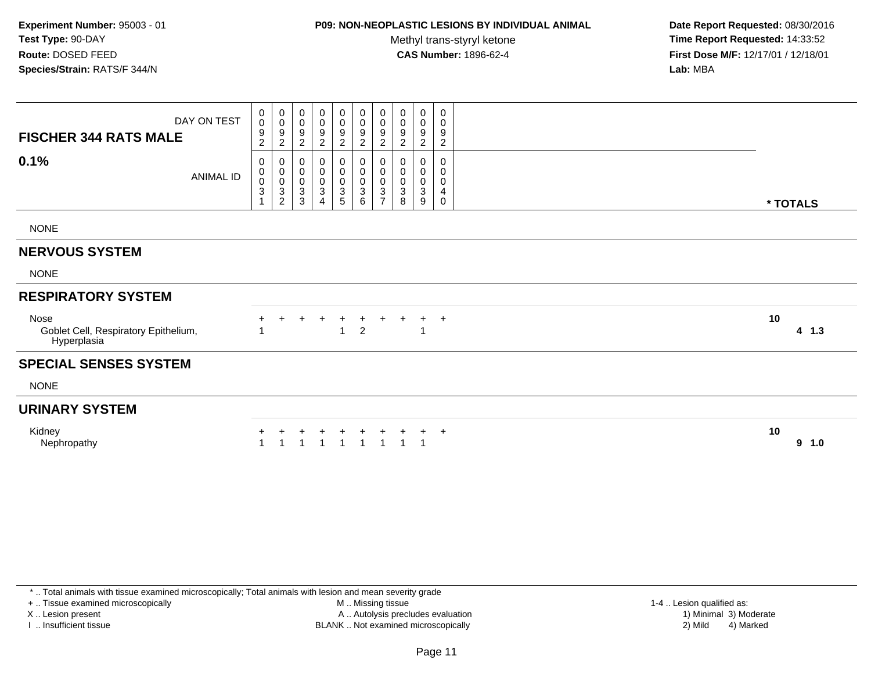## **P09: NON-NEOPLASTIC LESIONS BY INDIVIDUAL ANIMAL**

Methyl trans-styryl ketone<br>CAS Number: 1896-62-4

 **Date Report Requested:** 08/30/2016 **Time Report Requested:** 14:33:52 **First Dose M/F:** 12/17/01 / 12/18/01<br>**Lab:** MBA **Lab:** MBA

| DAY ON TEST<br><b>FISCHER 344 RATS MALE</b>                 | 0<br>$\pmb{0}$<br>$\boldsymbol{9}$<br>$\boldsymbol{2}$                     | 0<br>$\pmb{0}$<br>$\boldsymbol{9}$<br>$\overline{c}$                    | 0<br>$\pmb{0}$<br>9<br>$\overline{c}$            | 0<br>$\pmb{0}$<br>$\frac{9}{2}$                             | $\begin{smallmatrix}0\\0\end{smallmatrix}$<br>$\frac{9}{2}$ | $\mathbf 0$<br>$\mathsf 0$<br>$\frac{9}{2}$                                    | 0<br>$\pmb{0}$<br>$\boldsymbol{9}$<br>$\boldsymbol{2}$      | $\pmb{0}$<br>$\pmb{0}$<br>9<br>$\overline{c}$ | $\pmb{0}$<br>$\pmb{0}$<br>9<br>$\overline{c}$ | 0<br>0<br>9<br>$\overline{c}$ |    |          |
|-------------------------------------------------------------|----------------------------------------------------------------------------|-------------------------------------------------------------------------|--------------------------------------------------|-------------------------------------------------------------|-------------------------------------------------------------|--------------------------------------------------------------------------------|-------------------------------------------------------------|-----------------------------------------------|-----------------------------------------------|-------------------------------|----|----------|
| 0.1%<br><b>ANIMAL ID</b>                                    | 0<br>$\pmb{0}$<br>$\mathbf 0$<br>$\ensuremath{\mathsf{3}}$<br>$\mathbf{1}$ | $\mathbf 0$<br>$\pmb{0}$<br>$\pmb{0}$<br>$\mathbf{3}$<br>$\overline{c}$ | 0<br>$\pmb{0}$<br>$\pmb{0}$<br>$\mathbf{3}$<br>3 | 0<br>$\pmb{0}$<br>$\pmb{0}$<br>$\sqrt{3}$<br>$\overline{4}$ | 0<br>$\pmb{0}$<br>$\frac{0}{3}$                             | $\mathbf 0$<br>$\mathsf 0$<br>$\mathsf 0$<br>$\overline{3}$<br>$6\phantom{1}6$ | 0<br>$\pmb{0}$<br>$\pmb{0}$<br>$\sqrt{3}$<br>$\overline{7}$ | 0<br>$\pmb{0}$<br>$\pmb{0}$<br>3<br>8         | 0<br>$\mathbf 0$<br>$\pmb{0}$<br>3<br>9       | 0<br>0<br>0<br>4<br>0         |    | * TOTALS |
| <b>NONE</b>                                                 |                                                                            |                                                                         |                                                  |                                                             |                                                             |                                                                                |                                                             |                                               |                                               |                               |    |          |
| <b>NERVOUS SYSTEM</b>                                       |                                                                            |                                                                         |                                                  |                                                             |                                                             |                                                                                |                                                             |                                               |                                               |                               |    |          |
| <b>NONE</b>                                                 |                                                                            |                                                                         |                                                  |                                                             |                                                             |                                                                                |                                                             |                                               |                                               |                               |    |          |
| <b>RESPIRATORY SYSTEM</b>                                   |                                                                            |                                                                         |                                                  |                                                             |                                                             |                                                                                |                                                             |                                               |                                               |                               |    |          |
| Nose<br>Goblet Cell, Respiratory Epithelium,<br>Hyperplasia |                                                                            |                                                                         |                                                  | $^+$                                                        | $\div$<br>1                                                 | $\ddot{}$<br>$\overline{2}$                                                    |                                                             |                                               | $+$<br>$\overline{1}$                         | $^{+}$                        | 10 | 4 1.3    |
| <b>SPECIAL SENSES SYSTEM</b>                                |                                                                            |                                                                         |                                                  |                                                             |                                                             |                                                                                |                                                             |                                               |                                               |                               |    |          |
| <b>NONE</b>                                                 |                                                                            |                                                                         |                                                  |                                                             |                                                             |                                                                                |                                                             |                                               |                                               |                               |    |          |
| <b>URINARY SYSTEM</b>                                       |                                                                            |                                                                         |                                                  |                                                             |                                                             |                                                                                |                                                             |                                               |                                               |                               |    |          |
| Kidney<br>Nephropathy                                       |                                                                            |                                                                         |                                                  |                                                             |                                                             |                                                                                | $\overline{ }$                                              |                                               |                                               | $^{+}$                        | 10 | 9<br>1.0 |

+ .. Tissue examined microscopically

X .. Lesion present

I .. Insufficient tissue

 M .. Missing tissueA .. Autolysis precludes evaluation

1-4 .. Lesion qualified as:<br>1) Minimal 3) Moderate BLANK .. Not examined microscopically 2) Mild 4) Marked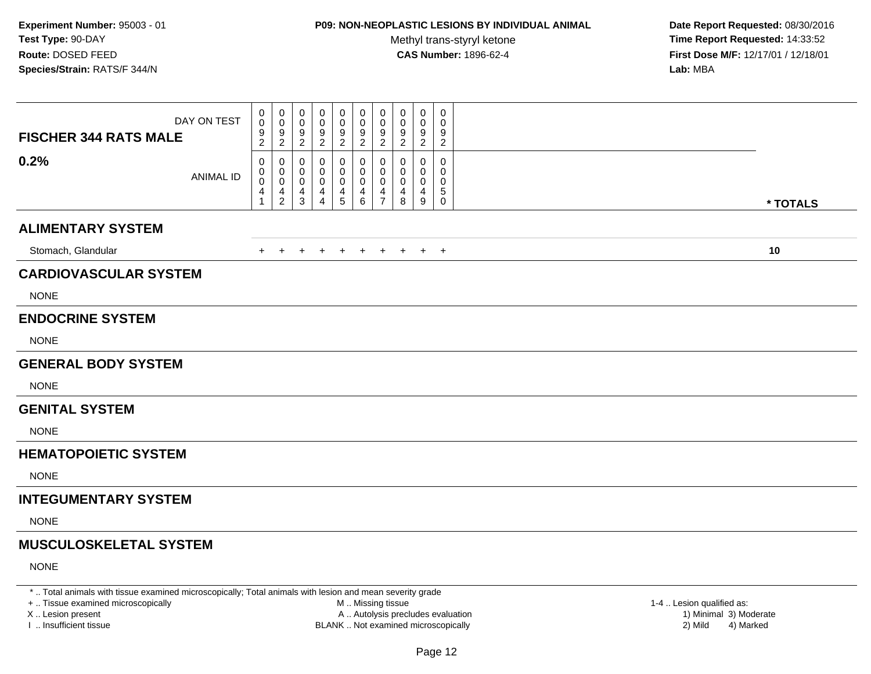## **P09: NON-NEOPLASTIC LESIONS BY INDIVIDUAL ANIMAL**

Methyl trans-styryl ketone<br>CAS Number: 1896-62-4

 **Date Report Requested:** 08/30/2016 **Time Report Requested:** 14:33:52 **First Dose M/F:** 12/17/01 / 12/18/01<br>**Lab:** MBA **Lab:** MBA

| DAY ON TEST<br><b>FISCHER 344 RATS MALE</b> | 0<br>0<br>$\frac{9}{2}$                  | 0<br>0<br>$\frac{9}{2}$                                                              | 0<br>0<br>$\frac{9}{2}$                    | 0<br>0<br>$\frac{9}{2}$       | $\boldsymbol{0}$<br>$\pmb{0}$<br>$\frac{9}{2}$        | $\mathbf 0$<br>$\pmb{0}$<br>$\frac{9}{2}$                              | 0<br>$\mathbf 0$<br>$\frac{9}{2}$                      | 0<br>0<br>9<br>$\overline{c}$ | 0<br>0<br>9<br>$\overline{2}$        | 0<br>0<br>9<br>$\overline{c}$                      |          |
|---------------------------------------------|------------------------------------------|--------------------------------------------------------------------------------------|--------------------------------------------|-------------------------------|-------------------------------------------------------|------------------------------------------------------------------------|--------------------------------------------------------|-------------------------------|--------------------------------------|----------------------------------------------------|----------|
| 0.2%<br><b>ANIMAL ID</b>                    | 0<br>0<br>$\pmb{0}$<br>4<br>$\mathbf{1}$ | 0<br>$\begin{smallmatrix}0\0\0\end{smallmatrix}$<br>$\overline{4}$<br>$\overline{2}$ | 0<br>0<br>$\mathbf 0$<br>4<br>$\mathbf{3}$ | 0<br>0<br>4<br>$\overline{4}$ | 0<br>$\boldsymbol{0}$<br>$\mathbf 0$<br>$\frac{4}{5}$ | 0<br>0<br>$\mathsf{O}\xspace$<br>$\begin{array}{c} 4 \\ 6 \end{array}$ | 0<br>$\mathbf 0$<br>$\mathbf 0$<br>4<br>$\overline{7}$ | 0<br>0<br>0<br>4<br>8         | 0<br>0<br>0<br>4<br>$\boldsymbol{9}$ | $\mathbf 0$<br>0<br>0<br>$\sqrt{5}$<br>$\mathbf 0$ | * TOTALS |
| <b>ALIMENTARY SYSTEM</b>                    |                                          |                                                                                      |                                            |                               |                                                       |                                                                        |                                                        |                               |                                      |                                                    |          |
| Stomach, Glandular                          | $\pm$                                    | $+$                                                                                  | $+$                                        | $\ddot{}$                     | $\overline{+}$                                        | $+$                                                                    | $+$                                                    | $+$                           |                                      | $+$ $+$                                            | 10       |
| <b>CARDIOVASCULAR SYSTEM</b>                |                                          |                                                                                      |                                            |                               |                                                       |                                                                        |                                                        |                               |                                      |                                                    |          |
| <b>NONE</b>                                 |                                          |                                                                                      |                                            |                               |                                                       |                                                                        |                                                        |                               |                                      |                                                    |          |
| <b>ENDOCRINE SYSTEM</b>                     |                                          |                                                                                      |                                            |                               |                                                       |                                                                        |                                                        |                               |                                      |                                                    |          |
| <b>NONE</b>                                 |                                          |                                                                                      |                                            |                               |                                                       |                                                                        |                                                        |                               |                                      |                                                    |          |
| <b>GENERAL BODY SYSTEM</b>                  |                                          |                                                                                      |                                            |                               |                                                       |                                                                        |                                                        |                               |                                      |                                                    |          |
| <b>NONE</b>                                 |                                          |                                                                                      |                                            |                               |                                                       |                                                                        |                                                        |                               |                                      |                                                    |          |
| <b>GENITAL SYSTEM</b>                       |                                          |                                                                                      |                                            |                               |                                                       |                                                                        |                                                        |                               |                                      |                                                    |          |
| <b>NONE</b>                                 |                                          |                                                                                      |                                            |                               |                                                       |                                                                        |                                                        |                               |                                      |                                                    |          |
| <b>HEMATOPOIETIC SYSTEM</b>                 |                                          |                                                                                      |                                            |                               |                                                       |                                                                        |                                                        |                               |                                      |                                                    |          |
| <b>NONE</b>                                 |                                          |                                                                                      |                                            |                               |                                                       |                                                                        |                                                        |                               |                                      |                                                    |          |
| <b>INTEGUMENTARY SYSTEM</b>                 |                                          |                                                                                      |                                            |                               |                                                       |                                                                        |                                                        |                               |                                      |                                                    |          |
| <b>NONE</b>                                 |                                          |                                                                                      |                                            |                               |                                                       |                                                                        |                                                        |                               |                                      |                                                    |          |
| <b>MUSCULOSKELETAL SYSTEM</b>               |                                          |                                                                                      |                                            |                               |                                                       |                                                                        |                                                        |                               |                                      |                                                    |          |
| <b>NONE</b>                                 |                                          |                                                                                      |                                            |                               |                                                       |                                                                        |                                                        |                               |                                      |                                                    |          |

\* .. Total animals with tissue examined microscopically; Total animals with lesion and mean severity grade

+ .. Tissue examined microscopically

X .. Lesion present

I .. Insufficient tissue

 M .. Missing tissueA .. Autolysis precludes evaluation

BLANK .. Not examined microscopically 2) Mild 4) Marked

1-4 .. Lesion qualified as:<br>1) Minimal 3) Moderate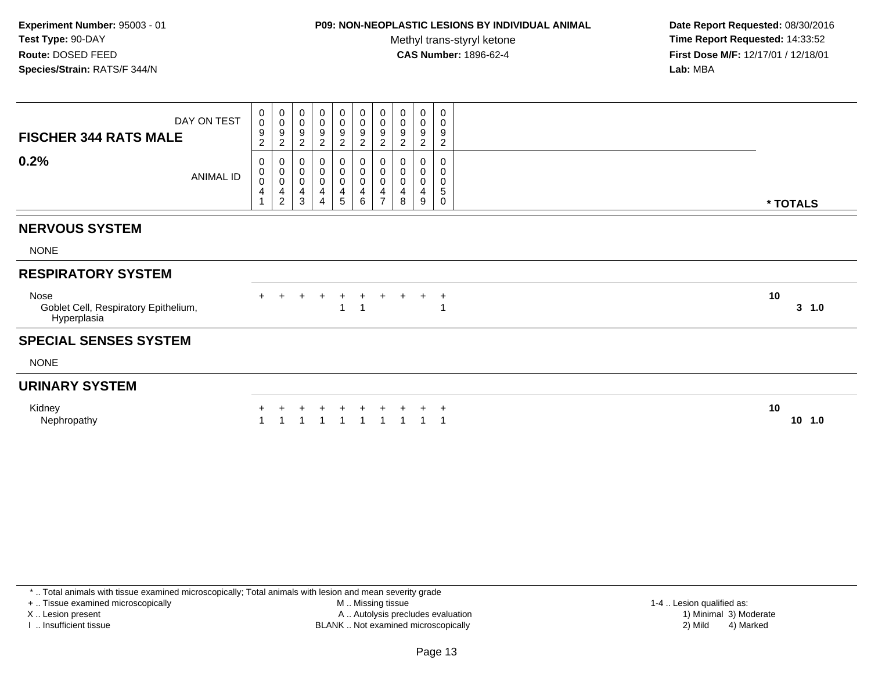### **P09: NON-NEOPLASTIC LESIONS BY INDIVIDUAL ANIMAL**

Methyl trans-styryl ketone<br>CAS Number: 1896-62-4

 **Date Report Requested:** 08/30/2016 **Time Report Requested:** 14:33:52 **First Dose M/F:** 12/17/01 / 12/18/01<br>**Lab:** MBA **Lab:** MBA

| DAY ON TEST<br><b>FISCHER 344 RATS MALE</b>                 | 0<br>0<br>9<br>$\overline{c}$ | $\begin{smallmatrix}0\0\0\end{smallmatrix}$<br>$\boldsymbol{9}$<br>$\overline{c}$ | $\boldsymbol{0}$<br>$\pmb{0}$<br>$\boldsymbol{9}$<br>$\overline{2}$ | 0<br>$\pmb{0}$<br>$\boldsymbol{9}$<br>$\overline{2}$ | $\begin{smallmatrix}0\\0\end{smallmatrix}$<br>$\frac{9}{2}$ | $\begin{smallmatrix} 0\\0 \end{smallmatrix}$<br>$\frac{9}{2}$ | 0<br>$\pmb{0}$<br>$\boldsymbol{9}$<br>$\overline{c}$ | 0<br>$\pmb{0}$<br>9<br>$\overline{c}$   | $\pmb{0}$<br>$\pmb{0}$<br>$\boldsymbol{9}$<br>$\overline{c}$ | $\pmb{0}$<br>$\pmb{0}$<br>$\boldsymbol{9}$<br>$\overline{2}$      |    |           |
|-------------------------------------------------------------|-------------------------------|-----------------------------------------------------------------------------------|---------------------------------------------------------------------|------------------------------------------------------|-------------------------------------------------------------|---------------------------------------------------------------|------------------------------------------------------|-----------------------------------------|--------------------------------------------------------------|-------------------------------------------------------------------|----|-----------|
| 0.2%<br>ANIMAL ID                                           | 0<br>0<br>0<br>4              | 0<br>$\pmb{0}$<br>$\pmb{0}$<br>4<br>$\overline{c}$                                | 0<br>$\pmb{0}$<br>$\pmb{0}$<br>$\overline{4}$<br>$\sqrt{3}$         | 0<br>$\pmb{0}$<br>0<br>$\overline{4}$<br>4           | 0<br>$\pmb{0}$<br>$\pmb{0}$<br>4<br>$\overline{5}$          | 0<br>$\pmb{0}$<br>$\pmb{0}$<br>4<br>6                         | 0<br>$\pmb{0}$<br>$\mathbf 0$<br>4<br>$\overline{7}$ | 0<br>$\pmb{0}$<br>$\mathbf 0$<br>4<br>8 | $\pmb{0}$<br>0<br>4<br>9                                     | $\pmb{0}$<br>$\pmb{0}$<br>$\pmb{0}$<br>$\mathbf 5$<br>$\mathbf 0$ |    | * TOTALS  |
| <b>NERVOUS SYSTEM</b>                                       |                               |                                                                                   |                                                                     |                                                      |                                                             |                                                               |                                                      |                                         |                                                              |                                                                   |    |           |
| <b>NONE</b>                                                 |                               |                                                                                   |                                                                     |                                                      |                                                             |                                                               |                                                      |                                         |                                                              |                                                                   |    |           |
| <b>RESPIRATORY SYSTEM</b>                                   |                               |                                                                                   |                                                                     |                                                      |                                                             |                                                               |                                                      |                                         |                                                              |                                                                   |    |           |
| Nose<br>Goblet Cell, Respiratory Epithelium,<br>Hyperplasia |                               | $+$                                                                               | $+$                                                                 | $\ddot{}$                                            | $\ddot{}$<br>1                                              | $+$<br>$\mathbf 1$                                            | $+$                                                  | $\ddot{}$                               | $+$                                                          | $\ddot{}$<br>-1                                                   | 10 | $3 \t1.0$ |
| <b>SPECIAL SENSES SYSTEM</b>                                |                               |                                                                                   |                                                                     |                                                      |                                                             |                                                               |                                                      |                                         |                                                              |                                                                   |    |           |
| <b>NONE</b>                                                 |                               |                                                                                   |                                                                     |                                                      |                                                             |                                                               |                                                      |                                         |                                                              |                                                                   |    |           |
| <b>URINARY SYSTEM</b>                                       |                               |                                                                                   |                                                                     |                                                      |                                                             |                                                               |                                                      |                                         |                                                              |                                                                   |    |           |
| Kidney<br>Nephropathy                                       |                               |                                                                                   |                                                                     |                                                      |                                                             |                                                               |                                                      |                                         |                                                              |                                                                   | 10 | 10<br>1.0 |

\* .. Total animals with tissue examined microscopically; Total animals with lesion and mean severity grade

+ .. Tissue examined microscopically

X .. Lesion present

I .. Insufficient tissue

 M .. Missing tissueA .. Autolysis precludes evaluation

BLANK .. Not examined microscopically 2) Mild 4) Marked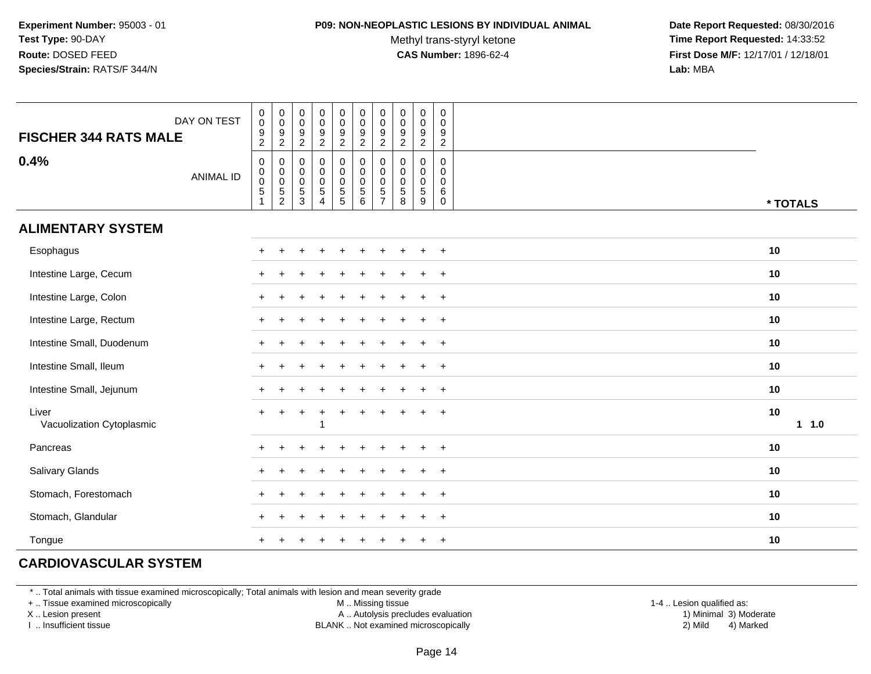#### **P09: NON-NEOPLASTIC LESIONS BY INDIVIDUAL ANIMAL**

Methyl trans-styryl ketone<br>CAS Number: 1896-62-4

 **Date Report Requested:** 08/30/2016 **Time Report Requested:** 14:33:52 **First Dose M/F:** 12/17/01 / 12/18/01<br>**Lab:** MBA **Lab:** MBA

| <b>FISCHER 344 RATS MALE</b>       | DAY ON TEST      | $\begin{smallmatrix} 0\\0 \end{smallmatrix}$<br>$\frac{9}{2}$                 | $\pmb{0}$<br>$\mathbf 0$<br>$\frac{9}{2}$           | $\pmb{0}$<br>$\mathbf 0$<br>$\frac{9}{2}$        | $\pmb{0}$<br>$\mathbf 0$<br>$\boldsymbol{9}$<br>$\overline{2}$        | $\pmb{0}$<br>$\mathsf{O}\xspace$<br>$\frac{9}{2}$    | $\begin{smallmatrix} 0\\0 \end{smallmatrix}$<br>$\frac{9}{2}$  | $\pmb{0}$<br>$\mathbf 0$<br>9<br>$\overline{2}$                  | $\pmb{0}$<br>$\pmb{0}$<br>9<br>$\overline{2}$   | $\begin{smallmatrix} 0\\0 \end{smallmatrix}$<br>$\overline{9}$<br>$\overline{2}$ | 0<br>$\mathsf 0$<br>9<br>$\sqrt{2}$                               |            |
|------------------------------------|------------------|-------------------------------------------------------------------------------|-----------------------------------------------------|--------------------------------------------------|-----------------------------------------------------------------------|------------------------------------------------------|----------------------------------------------------------------|------------------------------------------------------------------|-------------------------------------------------|----------------------------------------------------------------------------------|-------------------------------------------------------------------|------------|
| 0.4%                               | <b>ANIMAL ID</b> | $\pmb{0}$<br>$\begin{smallmatrix} 0\\0 \end{smallmatrix}$<br>$\overline{5}$ 1 | $\pmb{0}$<br>$\begin{matrix}0\\0\\5\\2\end{matrix}$ | $\pmb{0}$<br>$_{\rm 0}^{\rm 0}$<br>$\frac{5}{3}$ | $\pmb{0}$<br>$\mathbf 0$<br>$\pmb{0}$<br>$\sqrt{5}$<br>$\overline{4}$ | 0<br>$\begin{array}{c} 0 \\ 0 \\ 5 \\ 5 \end{array}$ | $\begin{smallmatrix}0\\0\\0\end{smallmatrix}$<br>$\frac{5}{6}$ | 0<br>$\mathbf 0$<br>$\mathbf 0$<br>$\,$ 5 $\,$<br>$\overline{7}$ | 0<br>$\pmb{0}$<br>$\pmb{0}$<br>$\,$ 5 $\,$<br>8 | $\pmb{0}$<br>$\begin{smallmatrix} 0\\0 \end{smallmatrix}$<br>$\frac{5}{9}$       | $\mathbf 0$<br>$\mathbf 0$<br>$\mathbf 0$<br>$\,6$<br>$\mathbf 0$ | * TOTALS   |
| <b>ALIMENTARY SYSTEM</b>           |                  |                                                                               |                                                     |                                                  |                                                                       |                                                      |                                                                |                                                                  |                                                 |                                                                                  |                                                                   |            |
| Esophagus                          |                  |                                                                               |                                                     |                                                  |                                                                       |                                                      |                                                                |                                                                  |                                                 |                                                                                  | $+$                                                               | 10         |
| Intestine Large, Cecum             |                  |                                                                               |                                                     |                                                  |                                                                       | +                                                    |                                                                | ÷.                                                               |                                                 | $\ddot{}$                                                                        | $+$                                                               | 10         |
| Intestine Large, Colon             |                  | $\ddot{}$                                                                     |                                                     |                                                  |                                                                       |                                                      |                                                                |                                                                  |                                                 |                                                                                  | $+$                                                               | 10         |
| Intestine Large, Rectum            |                  | $+$                                                                           |                                                     |                                                  |                                                                       |                                                      |                                                                |                                                                  |                                                 |                                                                                  | $+$                                                               | 10         |
| Intestine Small, Duodenum          |                  | $+$                                                                           |                                                     |                                                  |                                                                       |                                                      |                                                                |                                                                  |                                                 |                                                                                  | $\overline{+}$                                                    | 10         |
| Intestine Small, Ileum             |                  | $+$                                                                           | $\div$                                              |                                                  |                                                                       |                                                      |                                                                |                                                                  |                                                 |                                                                                  | $+$                                                               | 10         |
| Intestine Small, Jejunum           |                  | $+$                                                                           | $\div$                                              |                                                  |                                                                       |                                                      |                                                                |                                                                  |                                                 | $\div$                                                                           | $+$                                                               | 10         |
| Liver<br>Vacuolization Cytoplasmic |                  | $+$                                                                           | $\ddot{}$                                           | $+$                                              | $\ddot{}$                                                             | $\ddot{}$                                            |                                                                | $\ddot{}$                                                        |                                                 | $\ddot{}$                                                                        | $+$                                                               | 10<br>11.0 |
| Pancreas                           |                  | $\pm$                                                                         |                                                     |                                                  |                                                                       |                                                      |                                                                |                                                                  |                                                 |                                                                                  | $\ddot{}$                                                         | 10         |
| <b>Salivary Glands</b>             |                  | $\pm$                                                                         |                                                     |                                                  |                                                                       |                                                      |                                                                |                                                                  |                                                 |                                                                                  | $\ddot{}$                                                         | 10         |
| Stomach, Forestomach               |                  |                                                                               |                                                     |                                                  |                                                                       |                                                      |                                                                |                                                                  |                                                 |                                                                                  | $\overline{ }$                                                    | 10         |
| Stomach, Glandular                 |                  |                                                                               |                                                     |                                                  |                                                                       |                                                      |                                                                |                                                                  |                                                 |                                                                                  | $+$                                                               | 10         |
| Tongue                             |                  |                                                                               |                                                     |                                                  |                                                                       |                                                      |                                                                |                                                                  |                                                 |                                                                                  | $+$                                                               | 10         |

## **CARDIOVASCULAR SYSTEM**

\* .. Total animals with tissue examined microscopically; Total animals with lesion and mean severity grade

+ .. Tissue examined microscopically

X .. Lesion present

I .. Insufficient tissue

M .. Missing tissue

A .. Autolysis precludes evaluation

BLANK .. Not examined microscopically 2) Mild 4) Marked

1-4 .. Lesion qualified as: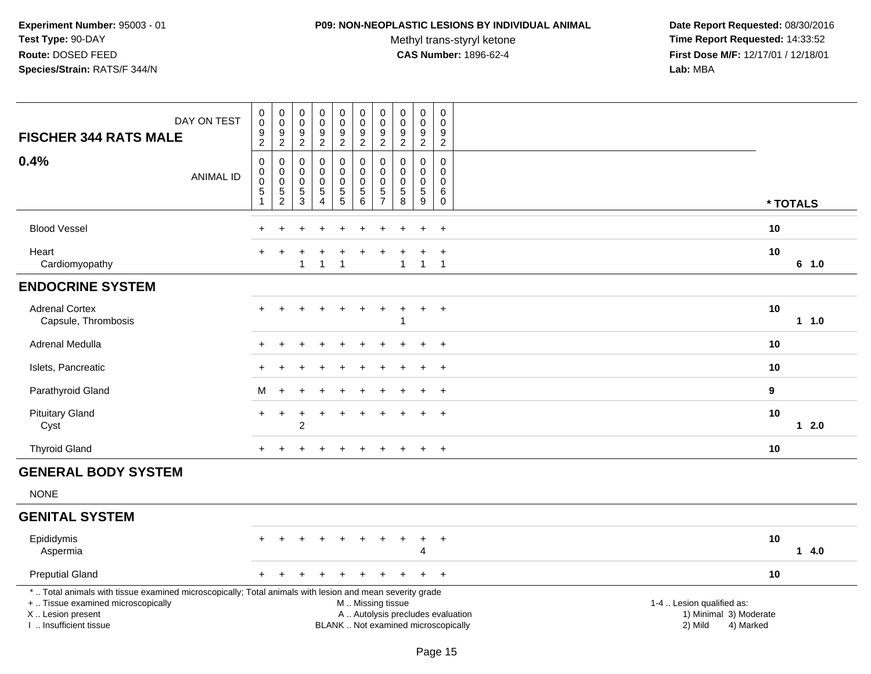#### **P09: NON-NEOPLASTIC LESIONS BY INDIVIDUAL ANIMAL**

Methyl trans-styryl ketone<br>CAS Number: 1896-62-4

| DAY ON TEST<br><b>FISCHER 344 RATS MALE</b>                                                                                                                                                   | $\pmb{0}$<br>$\,0\,$<br>$\boldsymbol{9}$<br>$\boldsymbol{2}$         | $\pmb{0}$<br>$\mathbf 0$<br>$\boldsymbol{9}$<br>$\overline{c}$ | $\begin{smallmatrix} 0\\0 \end{smallmatrix}$<br>$\boldsymbol{9}$<br>$\overline{c}$ | $_{\rm 0}^{\rm 0}$<br>$\overline{9}$<br>$\overline{2}$                       | $\begin{smallmatrix}0\0\0\9\end{smallmatrix}$<br>$\overline{2}$ | $_{\rm 0}^{\rm 0}$<br>$\boldsymbol{9}$<br>$\overline{c}$          | $\pmb{0}$<br>$\pmb{0}$<br>9<br>$\overline{c}$          | $\begin{smallmatrix} 0\\0 \end{smallmatrix}$<br>$\overline{9}$<br>$\overline{c}$ | $\begin{smallmatrix}0\0\0\end{smallmatrix}$<br>$\overline{9}$<br>$\overline{2}$ | $\pmb{0}$<br>$\mathbf 0$<br>$\boldsymbol{9}$<br>$\overline{c}$ |                                                                                                                  |  |
|-----------------------------------------------------------------------------------------------------------------------------------------------------------------------------------------------|----------------------------------------------------------------------|----------------------------------------------------------------|------------------------------------------------------------------------------------|------------------------------------------------------------------------------|-----------------------------------------------------------------|-------------------------------------------------------------------|--------------------------------------------------------|----------------------------------------------------------------------------------|---------------------------------------------------------------------------------|----------------------------------------------------------------|------------------------------------------------------------------------------------------------------------------|--|
| 0.4%<br><b>ANIMAL ID</b>                                                                                                                                                                      | $\mathbf 0$<br>$\pmb{0}$<br>$\pmb{0}$<br>$\mathbf 5$<br>$\mathbf{1}$ | 0<br>$\,0\,$<br>$\pmb{0}$<br>$\mathbf 5$<br>$\overline{2}$     | $\mathbf 0$<br>$\mathbf 0$<br>$\mathbf 0$<br>5<br>$\overline{3}$                   | $\pmb{0}$<br>$\pmb{0}$<br>$\pmb{0}$<br>$\,$ 5 $\,$<br>$\boldsymbol{\Lambda}$ | $\pmb{0}$<br>$\mathbf 0$<br>$\mathbf 0$<br>$\frac{5}{5}$        | $\mathbf 0$<br>$\mathbf 0$<br>$\pmb{0}$<br>$\,$ 5 $\,$<br>$\,6\,$ | 0<br>$\mathbf 0$<br>$\mathbf 0$<br>5<br>$\overline{7}$ | $\mathbf 0$<br>$\mathbf 0$<br>$\pmb{0}$<br>$\frac{5}{8}$                         | $\mathbf 0$<br>$\mathbf 0$<br>$\mathsf{O}\xspace$<br>$\overline{5}$<br>9        | $\mathbf 0$<br>$\mathbf 0$<br>0<br>6<br>$\pmb{0}$              | * TOTALS                                                                                                         |  |
| <b>Blood Vessel</b>                                                                                                                                                                           |                                                                      |                                                                |                                                                                    |                                                                              |                                                                 |                                                                   |                                                        |                                                                                  |                                                                                 | $\ddot{}$                                                      | 10                                                                                                               |  |
| Heart<br>Cardiomyopathy                                                                                                                                                                       |                                                                      |                                                                | $\overline{1}$                                                                     | $\overline{1}$                                                               | 1                                                               |                                                                   |                                                        | $\mathbf{1}$                                                                     | +<br>$\mathbf{1}$                                                               | $\ddot{}$<br>$\overline{1}$                                    | 10<br>6 1.0                                                                                                      |  |
| <b>ENDOCRINE SYSTEM</b>                                                                                                                                                                       |                                                                      |                                                                |                                                                                    |                                                                              |                                                                 |                                                                   |                                                        |                                                                                  |                                                                                 |                                                                |                                                                                                                  |  |
| <b>Adrenal Cortex</b><br>Capsule, Thrombosis                                                                                                                                                  |                                                                      |                                                                |                                                                                    |                                                                              |                                                                 |                                                                   |                                                        |                                                                                  | $+$                                                                             | $+$                                                            | 10<br>$1 1.0$                                                                                                    |  |
| Adrenal Medulla                                                                                                                                                                               |                                                                      |                                                                |                                                                                    |                                                                              |                                                                 |                                                                   |                                                        |                                                                                  |                                                                                 | $\ddot{}$                                                      | 10                                                                                                               |  |
| Islets, Pancreatic                                                                                                                                                                            |                                                                      |                                                                |                                                                                    |                                                                              |                                                                 |                                                                   |                                                        |                                                                                  |                                                                                 | $\ddot{}$                                                      | 10                                                                                                               |  |
| Parathyroid Gland                                                                                                                                                                             | м                                                                    | $\ddot{}$                                                      |                                                                                    |                                                                              |                                                                 |                                                                   |                                                        |                                                                                  |                                                                                 | $\ddot{}$                                                      | 9                                                                                                                |  |
| <b>Pituitary Gland</b><br>Cyst                                                                                                                                                                | ÷                                                                    |                                                                | $\overline{2}$                                                                     | $\div$                                                                       | +                                                               |                                                                   |                                                        |                                                                                  | $\ddot{}$                                                                       | $\ddot{}$                                                      | 10<br>$12.0$                                                                                                     |  |
| <b>Thyroid Gland</b>                                                                                                                                                                          |                                                                      |                                                                |                                                                                    |                                                                              |                                                                 |                                                                   |                                                        |                                                                                  | $\pm$                                                                           | $\overline{+}$                                                 | 10                                                                                                               |  |
| <b>GENERAL BODY SYSTEM</b>                                                                                                                                                                    |                                                                      |                                                                |                                                                                    |                                                                              |                                                                 |                                                                   |                                                        |                                                                                  |                                                                                 |                                                                |                                                                                                                  |  |
| <b>NONE</b>                                                                                                                                                                                   |                                                                      |                                                                |                                                                                    |                                                                              |                                                                 |                                                                   |                                                        |                                                                                  |                                                                                 |                                                                |                                                                                                                  |  |
| <b>GENITAL SYSTEM</b>                                                                                                                                                                         |                                                                      |                                                                |                                                                                    |                                                                              |                                                                 |                                                                   |                                                        |                                                                                  |                                                                                 |                                                                |                                                                                                                  |  |
| Epididymis<br>Aspermia                                                                                                                                                                        |                                                                      |                                                                |                                                                                    |                                                                              |                                                                 |                                                                   |                                                        |                                                                                  | $\div$<br>4                                                                     | $+$                                                            | 10<br>14.0                                                                                                       |  |
| <b>Preputial Gland</b>                                                                                                                                                                        |                                                                      |                                                                |                                                                                    |                                                                              |                                                                 |                                                                   |                                                        |                                                                                  | $\ddot{}$                                                                       | $+$                                                            | 10                                                                                                               |  |
| *  Total animals with tissue examined microscopically; Total animals with lesion and mean severity grade<br>+  Tissue examined microscopically<br>X  Lesion present<br>I. Insufficient tissue |                                                                      |                                                                |                                                                                    |                                                                              |                                                                 | M  Missing tissue<br>BLANK  Not examined microscopically          |                                                        |                                                                                  |                                                                                 |                                                                | 1-4  Lesion qualified as:<br>A  Autolysis precludes evaluation<br>1) Minimal 3) Moderate<br>2) Mild<br>4) Marked |  |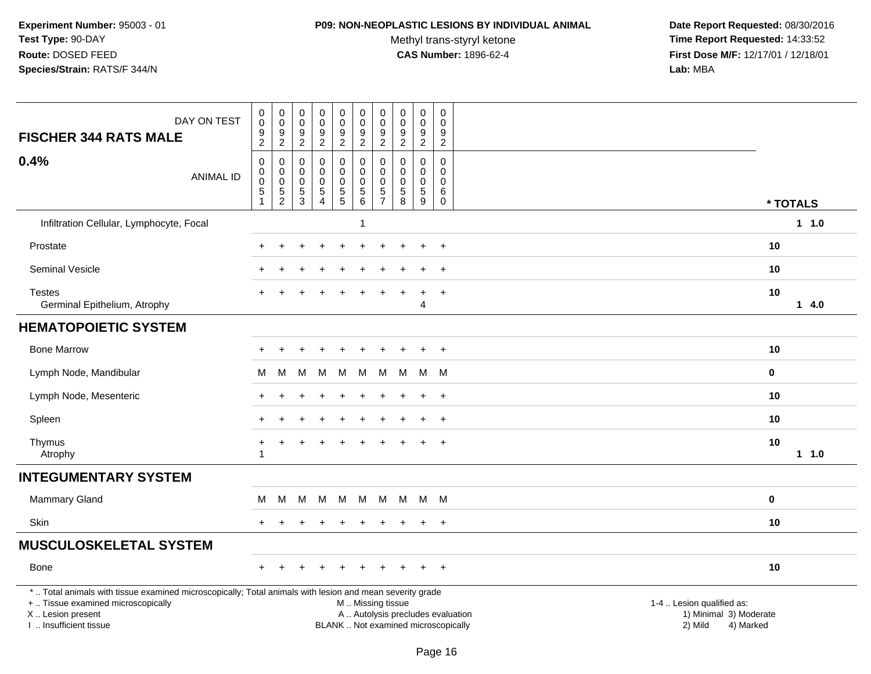#### **P09: NON-NEOPLASTIC LESIONS BY INDIVIDUAL ANIMAL**

Methyl trans-styryl ketone<br>CAS Number: 1896-62-4

| DAY ON TEST<br><b>FISCHER 344 RATS MALE</b>                                                                                                                                                  | $\,0\,$<br>$\mathsf{O}\xspace$<br>9<br>$\overline{2}$ | $\pmb{0}$<br>$\mathbf 0$<br>$\boldsymbol{9}$<br>$\sqrt{2}$                          | $\pmb{0}$<br>0<br>$\boldsymbol{9}$<br>$\overline{c}$ | $\pmb{0}$<br>$\mathsf 0$<br>$\boldsymbol{9}$<br>$\overline{2}$          | $\pmb{0}$<br>$\mathbf 0$<br>$\overline{9}$<br>$\overline{a}$ | $\pmb{0}$<br>0<br>$9\,$<br>$\overline{2}$                                    | $\pmb{0}$<br>$\mathbf 0$<br>$\boldsymbol{9}$<br>$\overline{2}$        | 0<br>$\mathbf 0$<br>9<br>$\overline{c}$ | $\pmb{0}$<br>$\mathbf 0$<br>9<br>$\overline{2}$     | $\mathbf 0$<br>$\mathbf 0$<br>9<br>$\overline{c}$ |                                                                          |                                                                             |             |      |
|----------------------------------------------------------------------------------------------------------------------------------------------------------------------------------------------|-------------------------------------------------------|-------------------------------------------------------------------------------------|------------------------------------------------------|-------------------------------------------------------------------------|--------------------------------------------------------------|------------------------------------------------------------------------------|-----------------------------------------------------------------------|-----------------------------------------|-----------------------------------------------------|---------------------------------------------------|--------------------------------------------------------------------------|-----------------------------------------------------------------------------|-------------|------|
| 0.4%<br><b>ANIMAL ID</b>                                                                                                                                                                     | 0<br>$\pmb{0}$<br>$\mathbf 0$<br>5<br>1               | $\mathbf 0$<br>$\boldsymbol{0}$<br>$\boldsymbol{0}$<br>$\sqrt{5}$<br>$\overline{2}$ | 0<br>0<br>$\mathbf 0$<br>5<br>3                      | $\mathbf 0$<br>$\mathbf 0$<br>$\pmb{0}$<br>$\sqrt{5}$<br>$\overline{4}$ | $\mathsf 0$<br>$\mathbf 0$<br>$\pmb{0}$<br>$\frac{5}{5}$     | 0<br>$\mathsf{O}\xspace$<br>$\mathsf{O}\xspace$<br>$\overline{5}$<br>$\,6\,$ | $\mathbf 0$<br>$\pmb{0}$<br>$\pmb{0}$<br>$\sqrt{5}$<br>$\overline{7}$ | $\Omega$<br>0<br>$\Omega$<br>5<br>8     | $\mathbf 0$<br>$\mathbf 0$<br>$\mathbf 0$<br>5<br>9 | $\Omega$<br>0<br>$\Omega$<br>6<br>$\mathsf 0$     |                                                                          |                                                                             | * TOTALS    |      |
| Infiltration Cellular, Lymphocyte, Focal                                                                                                                                                     |                                                       |                                                                                     |                                                      |                                                                         |                                                              |                                                                              |                                                                       |                                         |                                                     |                                                   |                                                                          |                                                                             |             | 11.0 |
| Prostate                                                                                                                                                                                     |                                                       |                                                                                     |                                                      |                                                                         |                                                              |                                                                              |                                                                       |                                         |                                                     | $\overline{1}$                                    |                                                                          |                                                                             | 10          |      |
| <b>Seminal Vesicle</b>                                                                                                                                                                       |                                                       |                                                                                     |                                                      |                                                                         |                                                              |                                                                              |                                                                       |                                         |                                                     | $\overline{+}$                                    |                                                                          |                                                                             | 10          |      |
| <b>Testes</b><br>Germinal Epithelium, Atrophy                                                                                                                                                | $+$                                                   |                                                                                     |                                                      |                                                                         |                                                              |                                                                              |                                                                       |                                         | 4                                                   | $\ddot{}$                                         |                                                                          |                                                                             | 10          | 14.0 |
| <b>HEMATOPOIETIC SYSTEM</b>                                                                                                                                                                  |                                                       |                                                                                     |                                                      |                                                                         |                                                              |                                                                              |                                                                       |                                         |                                                     |                                                   |                                                                          |                                                                             |             |      |
| <b>Bone Marrow</b>                                                                                                                                                                           |                                                       |                                                                                     |                                                      |                                                                         |                                                              |                                                                              |                                                                       |                                         |                                                     | $\ddot{}$                                         |                                                                          |                                                                             | 10          |      |
| Lymph Node, Mandibular                                                                                                                                                                       | м                                                     | M                                                                                   | М                                                    | M                                                                       | M                                                            | M                                                                            | M                                                                     | M                                       | M                                                   | M                                                 |                                                                          |                                                                             | $\mathbf 0$ |      |
| Lymph Node, Mesenteric                                                                                                                                                                       |                                                       |                                                                                     |                                                      |                                                                         |                                                              |                                                                              |                                                                       |                                         |                                                     | $+$                                               |                                                                          |                                                                             | 10          |      |
| Spleen                                                                                                                                                                                       | $+$                                                   |                                                                                     |                                                      |                                                                         |                                                              |                                                                              |                                                                       |                                         |                                                     | $+$                                               |                                                                          |                                                                             | 10          |      |
| Thymus<br>Atrophy                                                                                                                                                                            | +<br>-1                                               |                                                                                     |                                                      |                                                                         |                                                              |                                                                              |                                                                       |                                         |                                                     |                                                   |                                                                          |                                                                             | 10          | 11.0 |
| <b>INTEGUMENTARY SYSTEM</b>                                                                                                                                                                  |                                                       |                                                                                     |                                                      |                                                                         |                                                              |                                                                              |                                                                       |                                         |                                                     |                                                   |                                                                          |                                                                             |             |      |
| <b>Mammary Gland</b>                                                                                                                                                                         | м                                                     | M                                                                                   | м                                                    | M                                                                       | M                                                            | M                                                                            | M                                                                     | M                                       |                                                     | M M                                               |                                                                          |                                                                             | $\bf{0}$    |      |
| Skin                                                                                                                                                                                         | $+$                                                   |                                                                                     |                                                      |                                                                         |                                                              |                                                                              |                                                                       |                                         |                                                     | $+$                                               |                                                                          |                                                                             | 10          |      |
| <b>MUSCULOSKELETAL SYSTEM</b>                                                                                                                                                                |                                                       |                                                                                     |                                                      |                                                                         |                                                              |                                                                              |                                                                       |                                         |                                                     |                                                   |                                                                          |                                                                             |             |      |
| Bone                                                                                                                                                                                         | $+$                                                   | $\ddot{}$                                                                           | ÷                                                    |                                                                         | $\ddot{}$                                                    | $\ddot{}$                                                                    | $\ddot{}$                                                             | $+$                                     | $+$                                                 | $+$                                               |                                                                          |                                                                             | 10          |      |
| *  Total animals with tissue examined microscopically; Total animals with lesion and mean severity grade<br>+  Tissue examined microscopically<br>X Lesion present<br>I  Insufficient tissue |                                                       |                                                                                     |                                                      |                                                                         |                                                              | M  Missing tissue                                                            |                                                                       |                                         |                                                     |                                                   | A  Autolysis precludes evaluation<br>BLANK  Not examined microscopically | 1-4  Lesion qualified as:<br>1) Minimal 3) Moderate<br>2) Mild<br>4) Marked |             |      |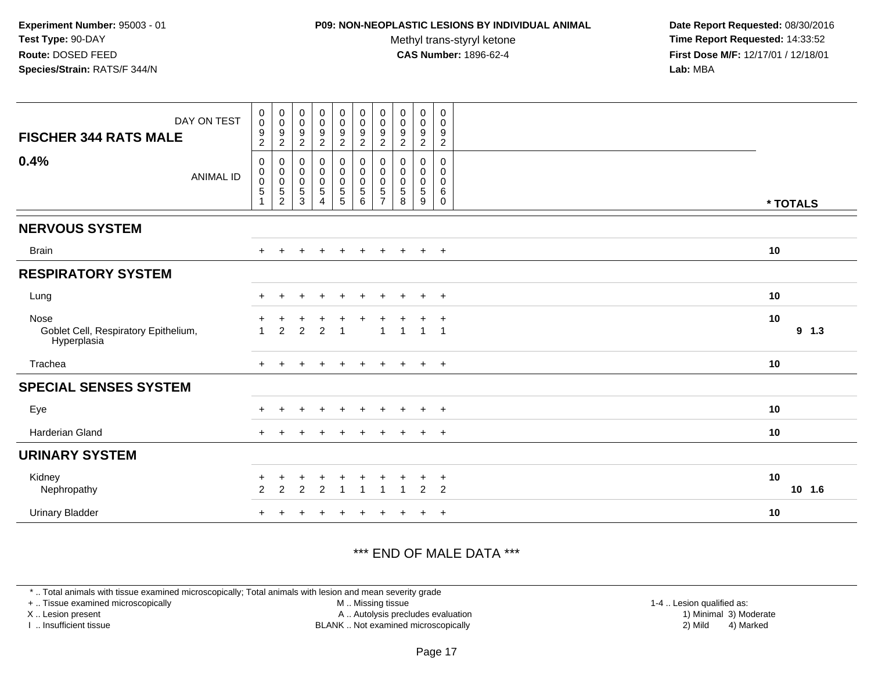### **P09: NON-NEOPLASTIC LESIONS BY INDIVIDUAL ANIMAL**

Methyl trans-styryl ketone<br>CAS Number: 1896-62-4

 **Date Report Requested:** 08/30/2016 **Time Report Requested:** 14:33:52 **First Dose M/F:** 12/17/01 / 12/18/01<br>**Lab:** MBA **Lab:** MBA

| DAY ON TEST<br><b>FISCHER 344 RATS MALE</b>                 | $_{\rm 0}^{\rm 0}$<br>$\frac{9}{2}$                      | $\boldsymbol{0}$<br>$\boldsymbol{0}$<br>9<br>$\sqrt{2}$                        | $\begin{smallmatrix}0\\0\end{smallmatrix}$<br>9<br>$\overline{c}$ | $\begin{smallmatrix}0\0\0\end{smallmatrix}$<br>$\frac{9}{2}$ | $\pmb{0}$<br>$\mathsf{O}\xspace$<br>9<br>$\overline{2}$                              | $_{\rm 0}^{\rm 0}$<br>$\boldsymbol{9}$<br>$\overline{2}$     | 0<br>$\mathbf 0$<br>9<br>$\overline{c}$ | $\mathbf 0$<br>$\mathbf 0$<br>9<br>$\overline{c}$ | $\mathbf 0$<br>0<br>9<br>$\overline{2}$ | $\pmb{0}$<br>0<br>$9\,$<br>$\overline{2}$ |               |
|-------------------------------------------------------------|----------------------------------------------------------|--------------------------------------------------------------------------------|-------------------------------------------------------------------|--------------------------------------------------------------|--------------------------------------------------------------------------------------|--------------------------------------------------------------|-----------------------------------------|---------------------------------------------------|-----------------------------------------|-------------------------------------------|---------------|
| 0.4%<br><b>ANIMAL ID</b>                                    | $\mathbf 0$<br>$\mathbf 0$<br>$\,0\,$<br>$\sqrt{5}$<br>1 | $\pmb{0}$<br>$\boldsymbol{0}$<br>$\boldsymbol{0}$<br>$\mathbf 5$<br>$\sqrt{2}$ | $\pmb{0}$<br>$\pmb{0}$<br>$\pmb{0}$<br>$\mathbf 5$<br>3           | 0<br>$\boldsymbol{0}$<br>0<br>5                              | $\mathbf 0$<br>$\boldsymbol{0}$<br>$\boldsymbol{0}$<br>$\sqrt{5}$<br>$5\phantom{.0}$ | $\pmb{0}$<br>$\pmb{0}$<br>$\pmb{0}$<br>$\sqrt{5}$<br>$\,6\,$ | 0<br>0<br>0<br>5<br>$\overline{7}$      | 0<br>0<br>$\mathbf 0$<br>5<br>8                   | 0<br>$\pmb{0}$<br>$\mathbf 0$<br>5<br>9 | 0<br>$\pmb{0}$<br>0<br>6<br>$\mathsf{O}$  | * TOTALS      |
| <b>NERVOUS SYSTEM</b>                                       |                                                          |                                                                                |                                                                   |                                                              |                                                                                      |                                                              |                                         |                                                   |                                         |                                           |               |
| <b>Brain</b>                                                | $+$                                                      | $\ddot{}$                                                                      | $+$                                                               | $+$                                                          | $+$                                                                                  | $+$                                                          | $+$                                     | $+$                                               | $+$                                     | $+$                                       | 10            |
| <b>RESPIRATORY SYSTEM</b>                                   |                                                          |                                                                                |                                                                   |                                                              |                                                                                      |                                                              |                                         |                                                   |                                         |                                           |               |
| Lung                                                        | $+$                                                      | $+$                                                                            | $\pm$                                                             | $+$                                                          | $+$                                                                                  | $+$                                                          | $+$                                     | $\pm$                                             | $+$                                     | $+$                                       | 10            |
| Nose<br>Goblet Cell, Respiratory Epithelium,<br>Hyperplasia | $\overline{ }$                                           | $\overline{2}$                                                                 | 2                                                                 | $\overline{2}$                                               |                                                                                      |                                                              | 1                                       | $\overline{\phantom{a}}$                          | $\overline{1}$                          | $\overline{+}$<br>$\overline{1}$          | 10<br>$9$ 1.3 |
| Trachea                                                     |                                                          |                                                                                |                                                                   |                                                              | $\pm$                                                                                |                                                              |                                         |                                                   | $\ddot{}$                               | $+$                                       | 10            |
| <b>SPECIAL SENSES SYSTEM</b>                                |                                                          |                                                                                |                                                                   |                                                              |                                                                                      |                                                              |                                         |                                                   |                                         |                                           |               |
| Eye                                                         |                                                          |                                                                                |                                                                   | $\div$                                                       | $\pm$                                                                                |                                                              |                                         |                                                   | $\ddot{}$                               | $+$                                       | 10            |
| <b>Harderian Gland</b>                                      |                                                          |                                                                                |                                                                   |                                                              |                                                                                      |                                                              |                                         |                                                   | $\ddot{}$                               | $+$                                       | 10            |
| <b>URINARY SYSTEM</b>                                       |                                                          |                                                                                |                                                                   |                                                              |                                                                                      |                                                              |                                         |                                                   |                                         |                                           |               |
| Kidney<br>Nephropathy                                       | $\ddot{}$<br>2                                           | $\sqrt{2}$                                                                     | $\overline{c}$                                                    | +<br>$\overline{2}$                                          |                                                                                      | -1                                                           | 1                                       |                                                   | $\overline{c}$                          | $+$<br>2                                  | 10<br>10 1.6  |
| <b>Urinary Bladder</b>                                      |                                                          |                                                                                |                                                                   |                                                              |                                                                                      |                                                              |                                         |                                                   | $\ddot{}$                               | $+$                                       | 10            |

## \*\*\* END OF MALE DATA \*\*\*

\* .. Total animals with tissue examined microscopically; Total animals with lesion and mean severity grade

+ .. Tissue examined microscopically

X .. Lesion present

I .. Insufficient tissue

 M .. Missing tissueA .. Autolysis precludes evaluation

BLANK .. Not examined microscopically 2) Mild 4) Marked

1-4 .. Lesion qualified as:<br>1) Minimal 3) Moderate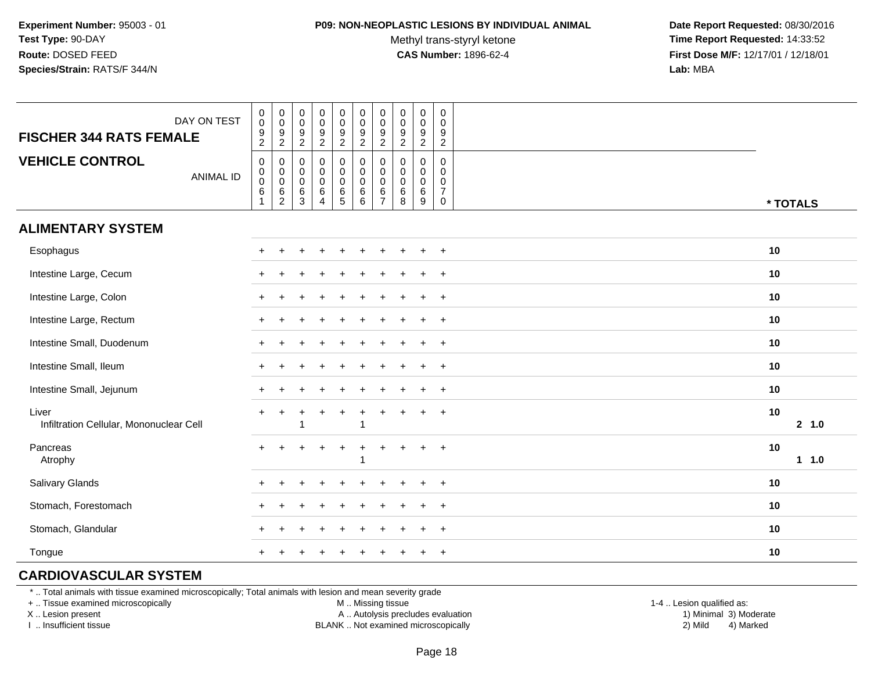#### **P09: NON-NEOPLASTIC LESIONS BY INDIVIDUAL ANIMAL**

Methyl trans-styryl ketone<br>CAS Number: 1896-62-4

 **Date Report Requested:** 08/30/2016 **Time Report Requested:** 14:33:52 **First Dose M/F:** 12/17/01 / 12/18/01<br>**Lab:** MBA **Lab:** MBA

| DAY ON TEST<br><b>FISCHER 344 RATS FEMALE</b>    | $_{\rm 0}^{\rm 0}$<br>$\frac{9}{2}$                                      | $_{\rm 0}^{\rm 0}$<br>$\frac{9}{2}$                                    | $\pmb{0}$<br>$\pmb{0}$<br>$\frac{9}{2}$                         | $\pmb{0}$<br>$\mathbf 0$<br>$\frac{9}{2}$                            | $\begin{smallmatrix} 0\\0 \end{smallmatrix}$<br>9<br>$\overline{2}$ | $\begin{smallmatrix}0\\0\end{smallmatrix}$<br>$\frac{9}{2}$       | $_{\rm 0}^{\rm 0}$<br>$\frac{9}{2}$                                  | 0<br>$\mathbf 0$<br>$\frac{9}{2}$         | $\mathbf 0$<br>$\pmb{0}$<br>$\frac{9}{2}$           | 0<br>$\mathbf 0$<br>9<br>$\sqrt{2}$                 |              |
|--------------------------------------------------|--------------------------------------------------------------------------|------------------------------------------------------------------------|-----------------------------------------------------------------|----------------------------------------------------------------------|---------------------------------------------------------------------|-------------------------------------------------------------------|----------------------------------------------------------------------|-------------------------------------------|-----------------------------------------------------|-----------------------------------------------------|--------------|
| <b>VEHICLE CONTROL</b><br><b>ANIMAL ID</b>       | $\pmb{0}$<br>$\begin{matrix} 0 \\ 0 \\ 6 \end{matrix}$<br>$\overline{1}$ | $\mathbf 0$<br>$\begin{matrix} 0 \\ 0 \\ 6 \end{matrix}$<br>$\sqrt{2}$ | $\mathbf 0$<br>$\mathbf 0$<br>$\mathsf{O}$<br>6<br>$\mathbf{3}$ | $\mathbf 0$<br>$\pmb{0}$<br>$\mathbf 0$<br>$\,6\,$<br>$\overline{4}$ | 0<br>$\mathbf 0$<br>$\mathbf 0$<br>$^6_5$                           | $\mathbf 0$<br>$\mathbf 0$<br>$\pmb{0}$<br>$\,6\,$<br>$6^{\circ}$ | $\mathbf 0$<br>$\mathsf 0$<br>$\pmb{0}$<br>$\,6\,$<br>$\overline{7}$ | $\mathbf 0$<br>0<br>$\mathbf 0$<br>6<br>8 | $\mathbf 0$<br>$\mathbf 0$<br>$\mathbf 0$<br>6<br>9 | 0<br>$\Omega$<br>0<br>$\overline{7}$<br>$\mathbf 0$ | * TOTALS     |
| <b>ALIMENTARY SYSTEM</b>                         |                                                                          |                                                                        |                                                                 |                                                                      |                                                                     |                                                                   |                                                                      |                                           |                                                     |                                                     |              |
| Esophagus                                        | $+$                                                                      | $\div$                                                                 |                                                                 |                                                                      | $\pm$                                                               |                                                                   |                                                                      |                                           |                                                     | $+$                                                 | 10           |
| Intestine Large, Cecum                           |                                                                          |                                                                        |                                                                 |                                                                      |                                                                     |                                                                   |                                                                      |                                           |                                                     | $+$                                                 | 10           |
| Intestine Large, Colon                           |                                                                          |                                                                        |                                                                 |                                                                      |                                                                     |                                                                   |                                                                      |                                           |                                                     | $\ddot{}$                                           | 10           |
| Intestine Large, Rectum                          |                                                                          |                                                                        |                                                                 |                                                                      |                                                                     |                                                                   |                                                                      |                                           |                                                     | $\ddot{}$                                           | 10           |
| Intestine Small, Duodenum                        |                                                                          |                                                                        |                                                                 |                                                                      |                                                                     |                                                                   |                                                                      |                                           |                                                     | $+$                                                 | 10           |
| Intestine Small, Ileum                           |                                                                          |                                                                        |                                                                 |                                                                      |                                                                     |                                                                   |                                                                      |                                           |                                                     | $+$                                                 | 10           |
| Intestine Small, Jejunum                         |                                                                          |                                                                        |                                                                 |                                                                      |                                                                     |                                                                   |                                                                      |                                           |                                                     | $+$                                                 | 10           |
| Liver<br>Infiltration Cellular, Mononuclear Cell |                                                                          |                                                                        |                                                                 |                                                                      | $\ddot{}$                                                           |                                                                   | $\ddot{}$                                                            |                                           |                                                     | $+$                                                 | 10<br>2, 1.0 |
| Pancreas<br>Atrophy                              | $\ddot{}$                                                                |                                                                        |                                                                 | ÷                                                                    | $\ddot{}$                                                           | $\div$                                                            | $\ddot{}$                                                            |                                           | $\pm$                                               | $+$                                                 | 10<br>11.0   |
| Salivary Glands                                  |                                                                          |                                                                        |                                                                 |                                                                      |                                                                     |                                                                   |                                                                      |                                           |                                                     | $\ddot{}$                                           | 10           |
| Stomach, Forestomach                             |                                                                          |                                                                        |                                                                 |                                                                      |                                                                     |                                                                   |                                                                      |                                           |                                                     | $\ddot{}$                                           | 10           |
| Stomach, Glandular                               |                                                                          |                                                                        |                                                                 |                                                                      |                                                                     |                                                                   |                                                                      |                                           |                                                     | $+$                                                 | 10           |
| Tongue                                           | $+$                                                                      |                                                                        |                                                                 |                                                                      |                                                                     |                                                                   |                                                                      |                                           |                                                     | $+$                                                 | 10           |

## **CARDIOVASCULAR SYSTEM**

\* .. Total animals with tissue examined microscopically; Total animals with lesion and mean severity grade

+ .. Tissue examined microscopically

X .. Lesion present

I .. Insufficient tissue

M .. Missing tissue

A .. Autolysis precludes evaluation

 1-4 .. Lesion qualified as: BLANK .. Not examined microscopically 2) Mild 4) Marked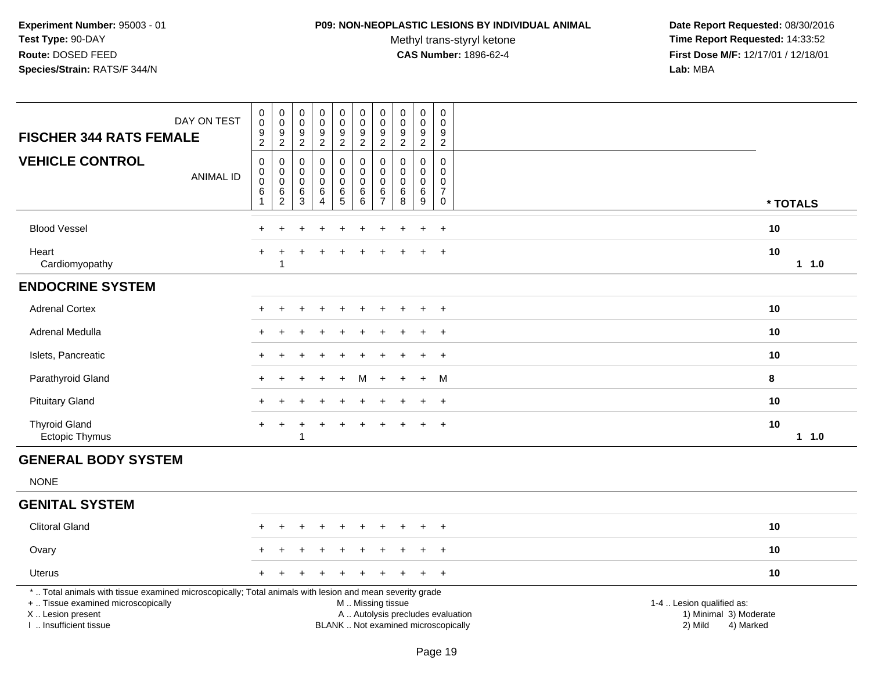#### **P09: NON-NEOPLASTIC LESIONS BY INDIVIDUAL ANIMAL**

Methyl trans-styryl ketone<br>CAS Number: 1896-62-4

| DAY ON TEST<br><b>FISCHER 344 RATS FEMALE</b>                                                                                                                                                 | $\pmb{0}$<br>$\pmb{0}$<br>$\frac{9}{2}$           | $\pmb{0}$<br>$\ddot{\mathbf{0}}$<br>9<br>$\overline{2}$        | 0<br>$\mathbf 0$<br>9<br>$\overline{2}$ | $\pmb{0}$<br>$\ddot{\mathbf{0}}$<br>$\frac{9}{2}$                | $\pmb{0}$<br>$\ddot{\mathbf{0}}$<br>$\frac{9}{2}$         | $\pmb{0}$<br>$\mathbf 0$<br>$\frac{9}{2}$                | $\mathbf 0$<br>$\boldsymbol{0}$<br>9<br>$\overline{2}$ | $\pmb{0}$<br>$\ddot{\mathbf{0}}$<br>$\frac{9}{2}$       | $\pmb{0}$<br>$\ddot{\mathbf{0}}$<br>9<br>$\overline{2}$    | 0<br>$\Omega$<br>9<br>$\overline{2}$                    |                                                                                                                  |
|-----------------------------------------------------------------------------------------------------------------------------------------------------------------------------------------------|---------------------------------------------------|----------------------------------------------------------------|-----------------------------------------|------------------------------------------------------------------|-----------------------------------------------------------|----------------------------------------------------------|--------------------------------------------------------|---------------------------------------------------------|------------------------------------------------------------|---------------------------------------------------------|------------------------------------------------------------------------------------------------------------------|
| <b>VEHICLE CONTROL</b><br><b>ANIMAL ID</b>                                                                                                                                                    | $\mathbf 0$<br>$\pmb{0}$<br>$\mathbf 0$<br>6<br>1 | $\mathbf 0$<br>$\mathbf 0$<br>$\pmb{0}$<br>6<br>$\overline{2}$ | 0<br>0<br>0<br>$\,6\,$<br>3             | $\pmb{0}$<br>$\pmb{0}$<br>$\pmb{0}$<br>$\,6\,$<br>$\overline{4}$ | $\mathbf 0$<br>$\mathbf 0$<br>$\mathbf 0$<br>$\,6\,$<br>5 | 0<br>$\mathbf 0$<br>$\mathbf 0$<br>$\,6\,$<br>6          | $\mathbf 0$<br>$\mathbf 0$<br>$\mathbf 0$<br>6<br>7    | $\mathbf 0$<br>$\mathbf 0$<br>$\pmb{0}$<br>$\,6\,$<br>8 | $\mathbf 0$<br>$\mathsf{O}$<br>$\mathbf 0$<br>$\,6\,$<br>9 | $\mathbf 0$<br>0<br>0<br>$\overline{7}$<br>$\mathsf{O}$ | * TOTALS                                                                                                         |
| <b>Blood Vessel</b>                                                                                                                                                                           |                                                   |                                                                |                                         |                                                                  |                                                           |                                                          |                                                        |                                                         | $\overline{1}$                                             | $\overline{+}$                                          | 10                                                                                                               |
| Heart<br>Cardiomyopathy                                                                                                                                                                       |                                                   | 1                                                              |                                         |                                                                  |                                                           |                                                          |                                                        |                                                         | $\ddot{}$                                                  | $+$                                                     | 10<br>$1 \t1.0$                                                                                                  |
| <b>ENDOCRINE SYSTEM</b>                                                                                                                                                                       |                                                   |                                                                |                                         |                                                                  |                                                           |                                                          |                                                        |                                                         |                                                            |                                                         |                                                                                                                  |
| <b>Adrenal Cortex</b>                                                                                                                                                                         |                                                   |                                                                |                                         |                                                                  | ÷                                                         | $\div$                                                   |                                                        |                                                         | $\ddot{}$                                                  | $+$                                                     | 10                                                                                                               |
| Adrenal Medulla                                                                                                                                                                               |                                                   |                                                                |                                         |                                                                  |                                                           |                                                          |                                                        |                                                         |                                                            | $\ddot{}$                                               | 10                                                                                                               |
| Islets, Pancreatic                                                                                                                                                                            |                                                   |                                                                |                                         |                                                                  |                                                           |                                                          |                                                        |                                                         |                                                            | $+$                                                     | 10                                                                                                               |
| Parathyroid Gland                                                                                                                                                                             | $\pm$                                             |                                                                |                                         |                                                                  | $\ddot{}$                                                 | M                                                        | $\pm$                                                  |                                                         | $\ddot{}$                                                  | M                                                       | 8                                                                                                                |
| <b>Pituitary Gland</b>                                                                                                                                                                        |                                                   |                                                                |                                         |                                                                  |                                                           |                                                          |                                                        |                                                         | $\ddot{}$                                                  | $+$                                                     | 10                                                                                                               |
| <b>Thyroid Gland</b><br>Ectopic Thymus                                                                                                                                                        | $\pm$                                             | +                                                              |                                         | $\div$                                                           | $\ddot{}$                                                 |                                                          |                                                        |                                                         | ÷                                                          | $+$                                                     | 10<br>11.0                                                                                                       |
| <b>GENERAL BODY SYSTEM</b>                                                                                                                                                                    |                                                   |                                                                |                                         |                                                                  |                                                           |                                                          |                                                        |                                                         |                                                            |                                                         |                                                                                                                  |
| <b>NONE</b>                                                                                                                                                                                   |                                                   |                                                                |                                         |                                                                  |                                                           |                                                          |                                                        |                                                         |                                                            |                                                         |                                                                                                                  |
| <b>GENITAL SYSTEM</b>                                                                                                                                                                         |                                                   |                                                                |                                         |                                                                  |                                                           |                                                          |                                                        |                                                         |                                                            |                                                         |                                                                                                                  |
| <b>Clitoral Gland</b>                                                                                                                                                                         |                                                   |                                                                |                                         |                                                                  |                                                           |                                                          |                                                        |                                                         |                                                            | $\div$                                                  | 10                                                                                                               |
| Ovary                                                                                                                                                                                         |                                                   |                                                                |                                         |                                                                  |                                                           |                                                          |                                                        |                                                         |                                                            | $\ddot{}$                                               | 10                                                                                                               |
| <b>Uterus</b>                                                                                                                                                                                 |                                                   |                                                                |                                         |                                                                  |                                                           |                                                          |                                                        |                                                         |                                                            | $\overline{+}$                                          | 10                                                                                                               |
| *  Total animals with tissue examined microscopically; Total animals with lesion and mean severity grade<br>+  Tissue examined microscopically<br>X  Lesion present<br>I. Insufficient tissue |                                                   |                                                                |                                         |                                                                  |                                                           | M  Missing tissue<br>BLANK  Not examined microscopically |                                                        |                                                         |                                                            |                                                         | 1-4  Lesion qualified as:<br>A  Autolysis precludes evaluation<br>1) Minimal 3) Moderate<br>2) Mild<br>4) Marked |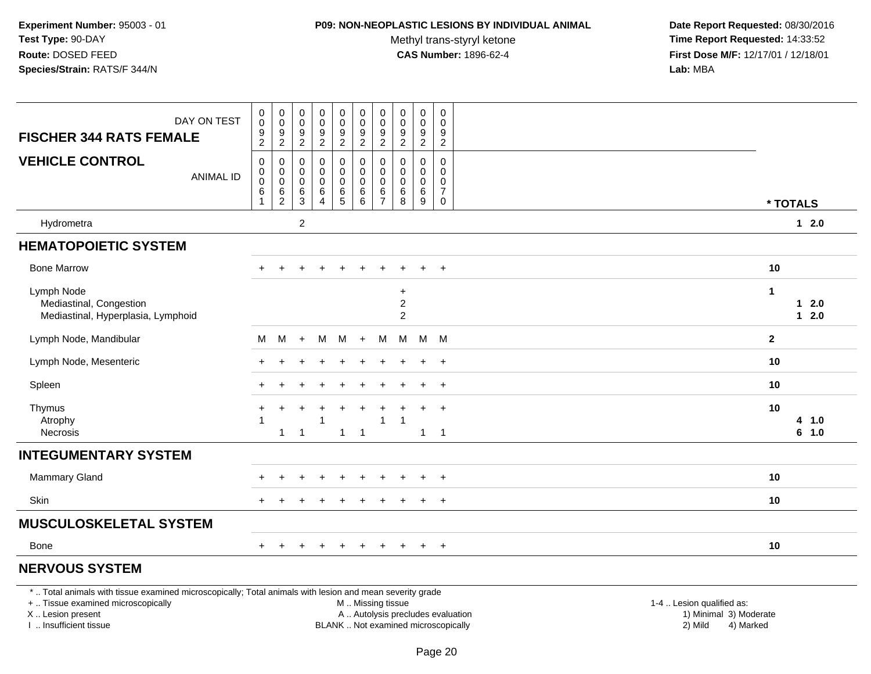#### **P09: NON-NEOPLASTIC LESIONS BY INDIVIDUAL ANIMAL**

Methyl trans-styryl ketone<br>CAS Number: 1896-62-4

 **Date Report Requested:** 08/30/2016 **Time Report Requested:** 14:33:52 **First Dose M/F:** 12/17/01 / 12/18/01<br>Lab: MBA **Lab:** MBA

| <b>FISCHER 344 RATS FEMALE</b>                                                                                                                                      | DAY ON TEST      | 0<br>$\pmb{0}$<br>9                                          | $\pmb{0}$<br>$\pmb{0}$<br>9               | 0<br>0<br>9           | $\pmb{0}$<br>$\pmb{0}$<br>$9\,$     | 0<br>$\pmb{0}$<br>$\boldsymbol{9}$ | $\mathbf 0$<br>$\mathbf 0$<br>9                        | 0<br>$\mathbf 0$<br>9                        | $\pmb{0}$<br>$\mathsf{O}\xspace$<br>9     | $\mathbf 0$<br>$\pmb{0}$<br>9                | 0<br>0<br>9                                                    |                                                     |                |
|---------------------------------------------------------------------------------------------------------------------------------------------------------------------|------------------|--------------------------------------------------------------|-------------------------------------------|-----------------------|-------------------------------------|------------------------------------|--------------------------------------------------------|----------------------------------------------|-------------------------------------------|----------------------------------------------|----------------------------------------------------------------|-----------------------------------------------------|----------------|
|                                                                                                                                                                     |                  | $\overline{2}$                                               | $\overline{c}$                            | $\overline{2}$        | $\overline{2}$                      | $\boldsymbol{2}$                   | $\overline{2}$                                         | $\overline{c}$                               | $\overline{2}$                            | $\overline{c}$                               | $\overline{2}$                                                 |                                                     |                |
| <b>VEHICLE CONTROL</b>                                                                                                                                              | <b>ANIMAL ID</b> | $\mathbf 0$<br>$\pmb{0}$<br>$\pmb{0}$<br>6<br>$\overline{1}$ | 0<br>$\mathbf 0$<br>$\mathbf 0$<br>$^6_2$ | 0<br>0<br>0<br>$^6_3$ | 0<br>0<br>$\mathbf 0$<br>$\,6$<br>4 | 0<br>0<br>0<br>$^6$ 5              | $\mathbf 0$<br>$\mathbf 0$<br>$\mathbf 0$<br>6<br>6    | 0<br>0<br>$\mathbf 0$<br>6<br>$\overline{7}$ | $\mathbf 0$<br>$\mathbf 0$<br>0<br>$^6_8$ | 0<br>$\mathbf 0$<br>0<br>6<br>$\overline{9}$ | $\mathbf 0$<br>0<br>0<br>$\overline{7}$<br>$\mathsf{O}\xspace$ | * TOTALS                                            |                |
| Hydrometra                                                                                                                                                          |                  |                                                              |                                           | $\overline{2}$        |                                     |                                    |                                                        |                                              |                                           |                                              |                                                                |                                                     | $12.0$         |
| <b>HEMATOPOIETIC SYSTEM</b>                                                                                                                                         |                  |                                                              |                                           |                       |                                     |                                    |                                                        |                                              |                                           |                                              |                                                                |                                                     |                |
| <b>Bone Marrow</b>                                                                                                                                                  |                  |                                                              | $\div$                                    |                       |                                     |                                    |                                                        |                                              |                                           | $\ddot{}$                                    | $\overline{+}$                                                 | 10                                                  |                |
| Lymph Node<br>Mediastinal, Congestion<br>Mediastinal, Hyperplasia, Lymphoid                                                                                         |                  |                                                              |                                           |                       |                                     |                                    |                                                        |                                              | $+$<br>$\overline{2}$<br>$\overline{2}$   |                                              |                                                                | 1<br>$\mathbf{1}$                                   | $12.0$<br>2.0  |
| Lymph Node, Mandibular                                                                                                                                              |                  | М                                                            | M                                         | $+$                   | M                                   | M                                  | $+$                                                    | M                                            | M                                         | M                                            | - M                                                            | $\mathbf{2}$                                        |                |
| Lymph Node, Mesenteric                                                                                                                                              |                  |                                                              |                                           |                       |                                     |                                    |                                                        |                                              |                                           | $\ddot{}$                                    | $\overline{+}$                                                 | 10                                                  |                |
| Spleen                                                                                                                                                              |                  |                                                              |                                           |                       |                                     |                                    |                                                        |                                              |                                           | $\ddot{}$                                    | $+$                                                            | 10                                                  |                |
| Thymus<br>Atrophy<br><b>Necrosis</b>                                                                                                                                |                  |                                                              | $\mathbf{1}$                              | -1                    |                                     | $\mathbf{1}$                       | $\overline{1}$                                         | 1                                            |                                           | $\ddot{}$<br>$\mathbf{1}$                    | $\ddot{}$<br>$\overline{1}$                                    | 10                                                  | 4 1.0<br>6 1.0 |
| <b>INTEGUMENTARY SYSTEM</b>                                                                                                                                         |                  |                                                              |                                           |                       |                                     |                                    |                                                        |                                              |                                           |                                              |                                                                |                                                     |                |
| <b>Mammary Gland</b>                                                                                                                                                |                  |                                                              |                                           |                       |                                     |                                    |                                                        |                                              |                                           |                                              | $\ddot{}$                                                      | 10                                                  |                |
| Skin                                                                                                                                                                |                  |                                                              |                                           |                       |                                     |                                    |                                                        |                                              |                                           | $\ddot{}$                                    | $+$                                                            | 10                                                  |                |
| MUSCULOSKELETAL SYSTEM                                                                                                                                              |                  |                                                              |                                           |                       |                                     |                                    |                                                        |                                              |                                           |                                              |                                                                |                                                     |                |
| <b>Bone</b>                                                                                                                                                         |                  |                                                              | ÷                                         |                       |                                     | $\div$                             |                                                        |                                              |                                           | $+$                                          | $+$                                                            | 10                                                  |                |
| <b>NERVOUS SYSTEM</b>                                                                                                                                               |                  |                                                              |                                           |                       |                                     |                                    |                                                        |                                              |                                           |                                              |                                                                |                                                     |                |
| *  Total animals with tissue examined microscopically; Total animals with lesion and mean severity grade<br>+  Tissue examined microscopically<br>X  Lesion present |                  |                                                              |                                           |                       |                                     |                                    | M  Missing tissue<br>A  Autolysis precludes evaluation |                                              |                                           |                                              |                                                                | 1-4  Lesion qualified as:<br>1) Minimal 3) Moderate |                |

I .. Insufficient tissue

BLANK .. Not examined microscopically 2) Mild 4) Marked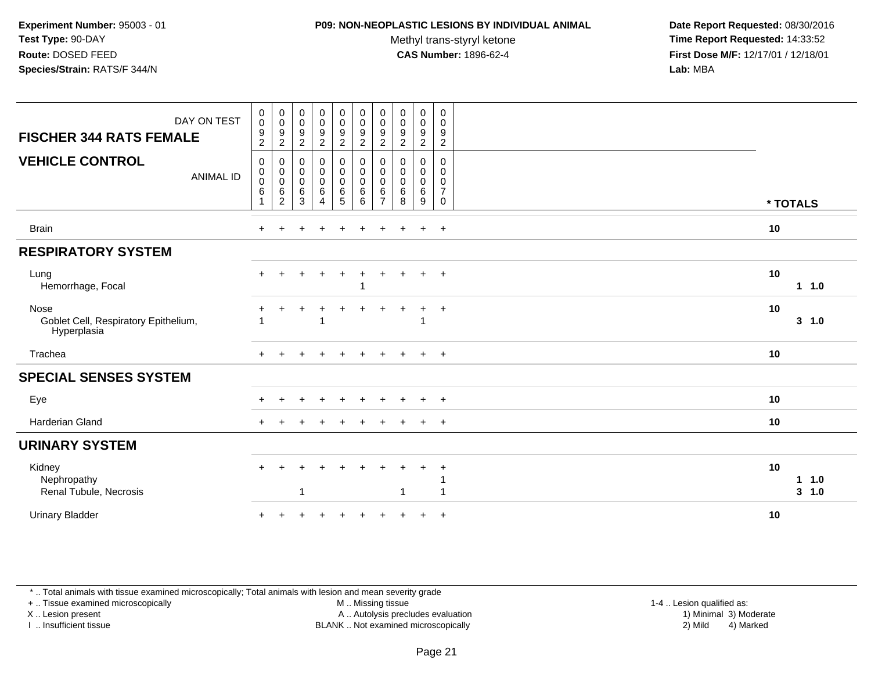#### **P09: NON-NEOPLASTIC LESIONS BY INDIVIDUAL ANIMAL**

Methyl trans-styryl ketone<br>CAS Number: 1896-62-4

 **Date Report Requested:** 08/30/2016 **Time Report Requested:** 14:33:52 **First Dose M/F:** 12/17/01 / 12/18/01<br>**Lab:** MBA **Lab:** MBA

| DAY ON TEST<br><b>FISCHER 344 RATS FEMALE</b>               | $\pmb{0}$<br>$\mathbf 0$<br>$\frac{9}{2}$                         | $\boldsymbol{0}$<br>$\pmb{0}$<br>$\frac{9}{2}$           | $_{\rm 0}^{\rm 0}$<br>$\boldsymbol{9}$<br>$\overline{c}$ | $\begin{array}{c} 0 \\ 0 \\ 9 \\ 2 \end{array}$       | $\begin{array}{c} 0 \\ 0 \\ 9 \\ 2 \end{array}$                     | $\begin{array}{c} 0 \\ 0 \\ 9 \\ 2 \end{array}$            | $\pmb{0}$<br>$\pmb{0}$<br>$\boldsymbol{9}$<br>$\boldsymbol{2}$ | $\pmb{0}$<br>$\mathbf 0$<br>$\boldsymbol{9}$<br>$\sqrt{2}$ | $\bf{0}$<br>$\mathbf 0$<br>$\boldsymbol{9}$<br>$\overline{2}$ | $\mathbf 0$<br>0<br>$\boldsymbol{9}$<br>$\sqrt{2}$ |                          |
|-------------------------------------------------------------|-------------------------------------------------------------------|----------------------------------------------------------|----------------------------------------------------------|-------------------------------------------------------|---------------------------------------------------------------------|------------------------------------------------------------|----------------------------------------------------------------|------------------------------------------------------------|---------------------------------------------------------------|----------------------------------------------------|--------------------------|
| <b>VEHICLE CONTROL</b><br><b>ANIMAL ID</b>                  | $\mathbf 0$<br>$\mathbf 0$<br>$\boldsymbol{0}$<br>$6\phantom{1}6$ | $\pmb{0}$<br>$\boldsymbol{0}$<br>$\pmb{0}$<br>$\,6$<br>2 | 0<br>0<br>$\mathbf 0$<br>6<br>3                          | 0<br>$\mathbf 0$<br>0<br>6<br>$\overline{\mathbf{4}}$ | $\pmb{0}$<br>$\boldsymbol{0}$<br>$\pmb{0}$<br>$\,6\,$<br>$\sqrt{5}$ | $\boldsymbol{0}$<br>$\pmb{0}$<br>$\pmb{0}$<br>$\,6\,$<br>6 | 0<br>$\mathbf 0$<br>0<br>6<br>$\overline{ }$                   | 0<br>$\mathbf 0$<br>$\mathbf 0$<br>6<br>8                  | 0<br>0<br>0<br>$\,6\,$<br>9                                   | $\mathbf 0$<br>0<br>0<br>$\overline{7}$<br>0       | * TOTALS                 |
| <b>Brain</b>                                                | $+$                                                               | $\pm$                                                    | $\pm$                                                    | $\div$                                                | $\ddot{}$                                                           | $\ddot{}$                                                  | $\ddot{}$                                                      | $+$                                                        | $\ddot{}$                                                     | $+$                                                | 10                       |
| <b>RESPIRATORY SYSTEM</b>                                   |                                                                   |                                                          |                                                          |                                                       |                                                                     |                                                            |                                                                |                                                            |                                                               |                                                    |                          |
| Lung<br>Hemorrhage, Focal                                   | $+$                                                               | +                                                        |                                                          | $\ddot{}$                                             | $\ddot{}$                                                           | ÷                                                          | $\pm$                                                          | $\pm$                                                      | $\ddot{}$                                                     | $+$                                                | 10<br>11.0               |
| Nose<br>Goblet Cell, Respiratory Epithelium,<br>Hyperplasia |                                                                   | $\ddot{}$                                                |                                                          | $\ddot{}$                                             | $\ddot{}$                                                           | $\pm$                                                      | $\pm$                                                          | ÷                                                          | $\ddot{}$                                                     | $+$                                                | 10<br>$3 - 1.0$          |
| Trachea                                                     |                                                                   |                                                          |                                                          |                                                       | $\ddot{}$                                                           | $+$                                                        | $\ddot{}$                                                      | $\ddot{}$                                                  | $\pm$                                                         | $+$                                                | 10                       |
| <b>SPECIAL SENSES SYSTEM</b>                                |                                                                   |                                                          |                                                          |                                                       |                                                                     |                                                            |                                                                |                                                            |                                                               |                                                    |                          |
| Eye                                                         |                                                                   |                                                          |                                                          |                                                       | ÷.                                                                  |                                                            |                                                                |                                                            | $\div$                                                        | $+$                                                | 10                       |
| Harderian Gland                                             |                                                                   |                                                          |                                                          |                                                       |                                                                     |                                                            |                                                                |                                                            |                                                               | $\overline{+}$                                     | 10                       |
| <b>URINARY SYSTEM</b>                                       |                                                                   |                                                          |                                                          |                                                       |                                                                     |                                                            |                                                                |                                                            |                                                               |                                                    |                          |
| Kidney<br>Nephropathy<br>Renal Tubule, Necrosis             |                                                                   |                                                          |                                                          |                                                       |                                                                     |                                                            |                                                                | -1                                                         |                                                               | $\div$                                             | 10<br>1 1.0<br>$3 - 1.0$ |
| <b>Urinary Bladder</b>                                      |                                                                   |                                                          |                                                          |                                                       |                                                                     |                                                            |                                                                |                                                            |                                                               | $\ddot{}$                                          | 10                       |

\* .. Total animals with tissue examined microscopically; Total animals with lesion and mean severity grade

+ .. Tissue examined microscopically

X .. Lesion present

I .. Insufficient tissue

M .. Missing tissue

Lesion present A .. Autolysis precludes evaluation 1) Minimal 3) Moderate

1-4 .. Lesion qualified as:<br>1) Minimal 3) Moderate BLANK .. Not examined microscopically 2) Mild 4) Marked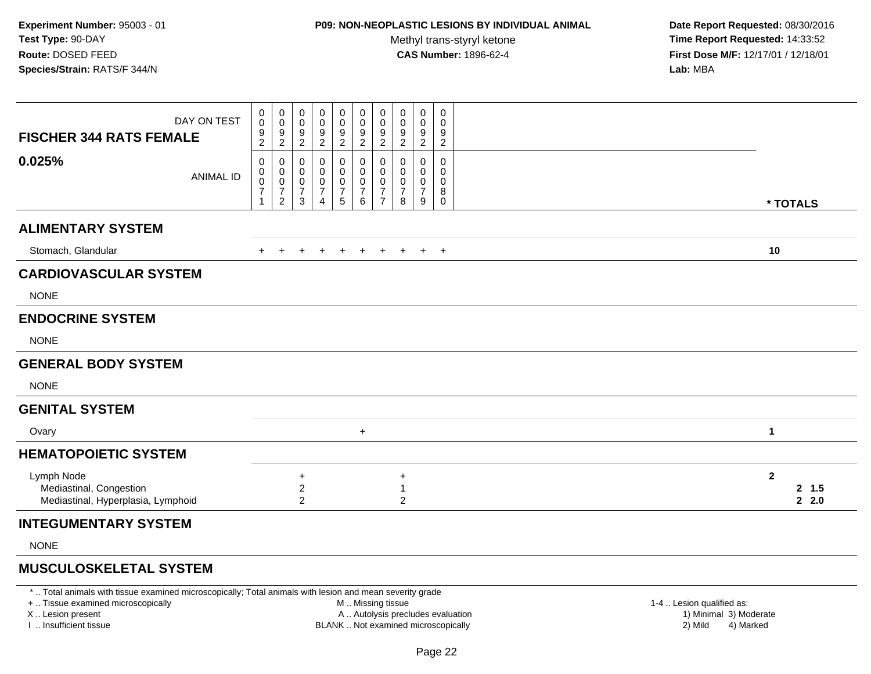## **P09: NON-NEOPLASTIC LESIONS BY INDIVIDUAL ANIMAL**

Methyl trans-styryl ketone<br>CAS Number: 1896-62-4

 **Date Report Requested:** 08/30/2016 **Time Report Requested:** 14:33:52 **First Dose M/F:** 12/17/01 / 12/18/01<br>**Lab:** MBA **Lab:** MBA

| <b>FISCHER 344 RATS FEMALE</b>                                              | DAY ON TEST | 0<br>0<br>9<br>$\overline{c}$         | 0<br>$\mathsf{O}\xspace$<br>$\frac{9}{2}$                        | $\,0\,$<br>$\,0\,$<br>$\frac{9}{2}$                | 0<br>0<br>9<br>$\overline{2}$      | 0<br>$\pmb{0}$<br>$\frac{9}{2}$                                            | 0<br>$\boldsymbol{0}$<br>$\boldsymbol{9}$<br>$\overline{2}$ | $\pmb{0}$<br>$\pmb{0}$<br>9<br>2                                  | 0<br>0<br>9<br>$\overline{2}$               | $\mathbf 0$<br>0<br>$\boldsymbol{9}$<br>$\overline{2}$ | $\mathbf 0$<br>0<br>9<br>$\overline{2}$ |              |                         |
|-----------------------------------------------------------------------------|-------------|---------------------------------------|------------------------------------------------------------------|----------------------------------------------------|------------------------------------|----------------------------------------------------------------------------|-------------------------------------------------------------|-------------------------------------------------------------------|---------------------------------------------|--------------------------------------------------------|-----------------------------------------|--------------|-------------------------|
| 0.025%                                                                      | ANIMAL ID   | 0<br>0<br>$\pmb{0}$<br>$\overline{7}$ | 0<br>$\begin{matrix} 0 \\ 0 \\ 7 \end{matrix}$<br>$\overline{c}$ | 0<br>$\pmb{0}$<br>$\pmb{0}$<br>$\overline{7}$<br>3 | 0<br>0<br>0<br>$\overline{7}$<br>4 | 0<br>$\pmb{0}$<br>$\begin{smallmatrix}0\\7\end{smallmatrix}$<br>$\sqrt{5}$ | 0<br>$\pmb{0}$<br>$\pmb{0}$<br>$\overline{7}$<br>6          | 0<br>$\mathbf 0$<br>$\pmb{0}$<br>$\overline{7}$<br>$\overline{7}$ | 0<br>$\mathbf 0$<br>0<br>7<br>8             | 0<br>0<br>0<br>$\overline{7}$<br>9                     | 0<br>0<br>0<br>8<br>$\mathbf 0$         |              | * TOTALS                |
| <b>ALIMENTARY SYSTEM</b>                                                    |             |                                       |                                                                  |                                                    |                                    |                                                                            |                                                             |                                                                   |                                             |                                                        |                                         |              |                         |
| Stomach, Glandular                                                          |             | $+$                                   | $+$                                                              | $+$                                                | $+$                                | $+$                                                                        |                                                             |                                                                   | + + + + +                                   |                                                        |                                         | 10           |                         |
| <b>CARDIOVASCULAR SYSTEM</b>                                                |             |                                       |                                                                  |                                                    |                                    |                                                                            |                                                             |                                                                   |                                             |                                                        |                                         |              |                         |
| <b>NONE</b>                                                                 |             |                                       |                                                                  |                                                    |                                    |                                                                            |                                                             |                                                                   |                                             |                                                        |                                         |              |                         |
| <b>ENDOCRINE SYSTEM</b>                                                     |             |                                       |                                                                  |                                                    |                                    |                                                                            |                                                             |                                                                   |                                             |                                                        |                                         |              |                         |
| <b>NONE</b>                                                                 |             |                                       |                                                                  |                                                    |                                    |                                                                            |                                                             |                                                                   |                                             |                                                        |                                         |              |                         |
| <b>GENERAL BODY SYSTEM</b>                                                  |             |                                       |                                                                  |                                                    |                                    |                                                                            |                                                             |                                                                   |                                             |                                                        |                                         |              |                         |
| <b>NONE</b>                                                                 |             |                                       |                                                                  |                                                    |                                    |                                                                            |                                                             |                                                                   |                                             |                                                        |                                         |              |                         |
| <b>GENITAL SYSTEM</b>                                                       |             |                                       |                                                                  |                                                    |                                    |                                                                            |                                                             |                                                                   |                                             |                                                        |                                         |              |                         |
| Ovary                                                                       |             |                                       |                                                                  |                                                    |                                    |                                                                            | $\ddot{}$                                                   |                                                                   |                                             |                                                        |                                         | 1            |                         |
| <b>HEMATOPOIETIC SYSTEM</b>                                                 |             |                                       |                                                                  |                                                    |                                    |                                                                            |                                                             |                                                                   |                                             |                                                        |                                         |              |                         |
| Lymph Node<br>Mediastinal, Congestion<br>Mediastinal, Hyperplasia, Lymphoid |             |                                       |                                                                  | $\ddot{}$<br>$\overline{c}$<br>$\overline{2}$      |                                    |                                                                            |                                                             |                                                                   | $\ddot{}$<br>$\mathbf{1}$<br>$\overline{c}$ |                                                        |                                         | $\mathbf{2}$ | 2, 1.5<br>$2 \quad 2.0$ |
| <b>INTEGUMENTARY SYSTEM</b>                                                 |             |                                       |                                                                  |                                                    |                                    |                                                                            |                                                             |                                                                   |                                             |                                                        |                                         |              |                         |

NONE

### **MUSCULOSKELETAL SYSTEM**

\* .. Total animals with tissue examined microscopically; Total animals with lesion and mean severity grade

+ .. Tissue examined microscopically

X .. Lesion present

I .. Insufficient tissue

- M .. Missing tissue
- A .. Autolysis precludes evaluation
- BLANK .. Not examined microscopically 2) Mild 4) Marked

1-4 .. Lesion qualified as: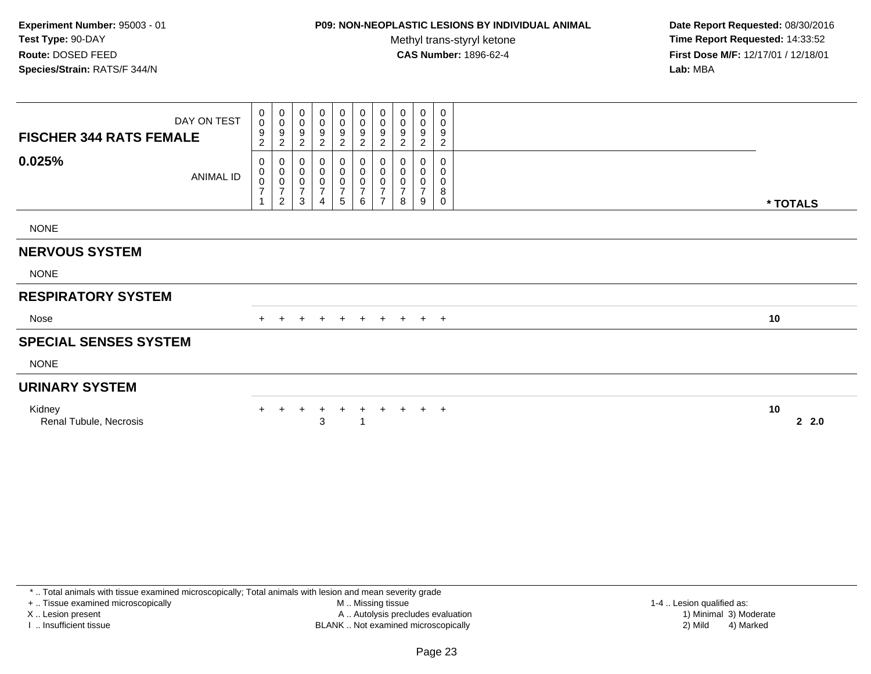# **P09: NON-NEOPLASTIC LESIONS BY INDIVIDUAL ANIMAL**

Methyl trans-styryl ketone<br>CAS Number: 1896-62-4

 **Date Report Requested:** 08/30/2016 **Time Report Requested:** 14:33:52 **First Dose M/F:** 12/17/01 / 12/18/01<br>**Lab:** MBA **Lab:** MBA

| <b>FISCHER 344 RATS FEMALE</b>   | DAY ON TEST | 0<br>$\mathbf 0$<br>9<br>$\overline{c}$ | 0<br>$\mathbf 0$<br>$\boldsymbol{9}$<br>$\overline{c}$      | 0<br>$\mathbf 0$<br>9<br>2                         | 0<br>0<br>9<br>2                                                | 0<br>0<br>9<br>$\overline{c}$        | $\begin{matrix} 0 \\ 0 \\ 9 \end{matrix}$<br>$\overline{c}$ | 0<br>$\boldsymbol{0}$<br>$\boldsymbol{9}$<br>$\overline{c}$       | 0<br>0<br>9<br>2                           | 0<br>$\pmb{0}$<br>$\boldsymbol{9}$<br>$\overline{2}$ | 0<br>0<br>9<br>$\overline{c}$ |                           |
|----------------------------------|-------------|-----------------------------------------|-------------------------------------------------------------|----------------------------------------------------|-----------------------------------------------------------------|--------------------------------------|-------------------------------------------------------------|-------------------------------------------------------------------|--------------------------------------------|------------------------------------------------------|-------------------------------|---------------------------|
| 0.025%                           | ANIMAL ID   | 0<br>$\pmb{0}$<br>$\frac{0}{7}$         | 0<br>$_{\rm 0}^{\rm 0}$<br>$\overline{7}$<br>$\overline{2}$ | 0<br>$\pmb{0}$<br>$\pmb{0}$<br>$\overline{7}$<br>3 | 0<br>$\pmb{0}$<br>$\,0\,$<br>$\boldsymbol{7}$<br>$\overline{4}$ | 0<br>0<br>0<br>$\boldsymbol{7}$<br>5 | 0<br>$\pmb{0}$<br>$\frac{0}{7}$<br>6                        | 0<br>$\pmb{0}$<br>$\mathbf 0$<br>$\overline{7}$<br>$\overline{ }$ | 0<br>$\pmb{0}$<br>0<br>$\overline{7}$<br>8 | 0<br>$\pmb{0}$<br>$\pmb{0}$<br>$\overline{7}$<br>9   | 0<br>0<br>0<br>8<br>0         | * TOTALS                  |
| <b>NONE</b>                      |             |                                         |                                                             |                                                    |                                                                 |                                      |                                                             |                                                                   |                                            |                                                      |                               |                           |
| <b>NERVOUS SYSTEM</b>            |             |                                         |                                                             |                                                    |                                                                 |                                      |                                                             |                                                                   |                                            |                                                      |                               |                           |
| <b>NONE</b>                      |             |                                         |                                                             |                                                    |                                                                 |                                      |                                                             |                                                                   |                                            |                                                      |                               |                           |
| <b>RESPIRATORY SYSTEM</b>        |             |                                         |                                                             |                                                    |                                                                 |                                      |                                                             |                                                                   |                                            |                                                      |                               |                           |
| Nose                             |             |                                         |                                                             |                                                    | $\pm$                                                           | $+$                                  | $+$                                                         | $+$                                                               | $+$                                        | $+$ $+$                                              |                               | 10                        |
| <b>SPECIAL SENSES SYSTEM</b>     |             |                                         |                                                             |                                                    |                                                                 |                                      |                                                             |                                                                   |                                            |                                                      |                               |                           |
| <b>NONE</b>                      |             |                                         |                                                             |                                                    |                                                                 |                                      |                                                             |                                                                   |                                            |                                                      |                               |                           |
| <b>URINARY SYSTEM</b>            |             |                                         |                                                             |                                                    |                                                                 |                                      |                                                             |                                                                   |                                            |                                                      |                               |                           |
| Kidney<br>Renal Tubule, Necrosis |             |                                         |                                                             |                                                    | 3                                                               | $\ddot{}$                            | $\pm$                                                       | $\pm$                                                             | $+$                                        |                                                      | $+$ $+$                       | 10<br>2.0<br>$\mathbf{2}$ |

\* .. Total animals with tissue examined microscopically; Total animals with lesion and mean severity grade

+ .. Tissue examined microscopically

X .. Lesion present

I .. Insufficient tissue

 M .. Missing tissueA .. Autolysis precludes evaluation

BLANK .. Not examined microscopically 2) Mild 4) Marked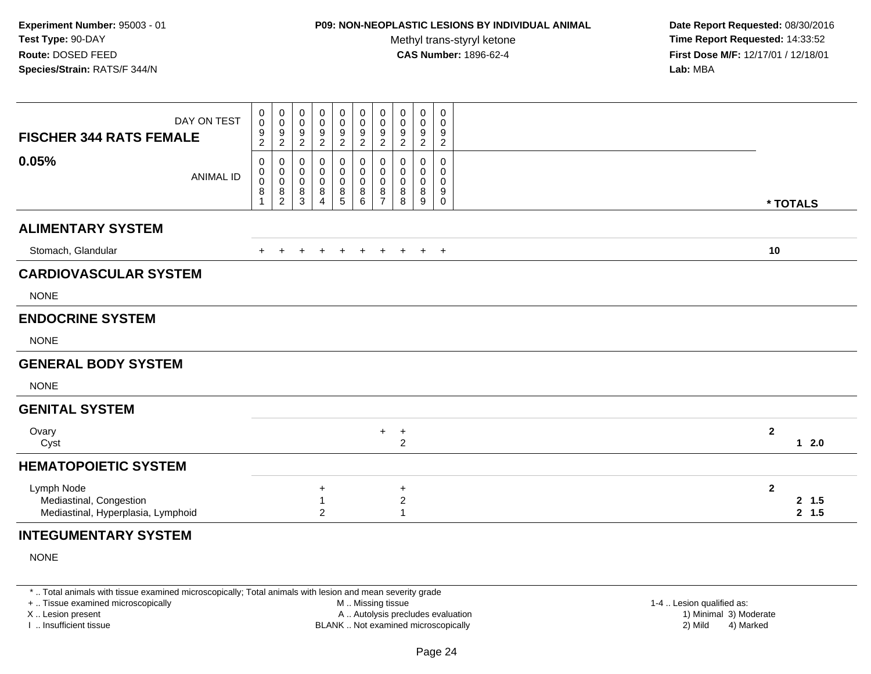## **P09: NON-NEOPLASTIC LESIONS BY INDIVIDUAL ANIMAL**

Methyl trans-styryl ketone<br>CAS Number: 1896-62-4

 **Date Report Requested:** 08/30/2016 **Time Report Requested:** 14:33:52 **First Dose M/F:** 12/17/01 / 12/18/01<br>**Lab:** MBA **Lab:** MBA

| DAY ON TEST<br><b>FISCHER 344 RATS FEMALE</b>                               |        | 0<br>$\mathbf 0$<br>$\frac{9}{2}$ | $\begin{array}{c} 0 \\ 0 \\ 9 \\ 2 \end{array}$          | 0<br>0<br>9<br>$\sqrt{2}$ | 0<br>0<br>9<br>$\overline{c}$      | 0<br>$\begin{array}{c} 0 \\ 9 \\ 2 \end{array}$ | $\mathsf{O}\xspace$<br>$\begin{array}{c} 0 \\ 9 \\ 2 \end{array}$ | $\pmb{0}$<br>$\pmb{0}$<br>$\frac{9}{2}$ | 0<br>0<br>$\frac{9}{2}$          | $\mathbf 0$<br>0<br>$9\,$<br>$\sqrt{2}$ | $\boldsymbol{0}$<br>0<br>9<br>$\sqrt{2}$ |                |                  |
|-----------------------------------------------------------------------------|--------|-----------------------------------|----------------------------------------------------------|---------------------------|------------------------------------|-------------------------------------------------|-------------------------------------------------------------------|-----------------------------------------|----------------------------------|-----------------------------------------|------------------------------------------|----------------|------------------|
| 0.05%<br><b>ANIMAL ID</b>                                                   | 8<br>1 | 0<br>$\mathbf 0$<br>0             | 0<br>$\pmb{0}$<br>$\pmb{0}$<br>$\,8\,$<br>$\overline{2}$ | 0<br>0<br>0<br>8<br>3     | 0<br>0<br>0<br>8<br>$\overline{4}$ | 0<br>0<br>0<br>$\frac{8}{5}$                    | $\boldsymbol{0}$<br>0<br>0<br>8<br>6                              | 0<br>0<br>0<br>8<br>$\overline{7}$      | 0<br>0<br>0<br>8<br>8            | 0<br>0<br>0<br>8<br>9                   | 0<br>0<br>0<br>9<br>$\mathsf{O}\xspace$  |                | * TOTALS         |
| <b>ALIMENTARY SYSTEM</b>                                                    |        |                                   |                                                          |                           |                                    |                                                 |                                                                   |                                         |                                  |                                         |                                          |                |                  |
| Stomach, Glandular                                                          |        |                                   |                                                          |                           |                                    |                                                 | $\ddot{}$                                                         | $\ddot{}$                               | $+$                              | $+$ $+$                                 |                                          | 10             |                  |
| <b>CARDIOVASCULAR SYSTEM</b>                                                |        |                                   |                                                          |                           |                                    |                                                 |                                                                   |                                         |                                  |                                         |                                          |                |                  |
| <b>NONE</b>                                                                 |        |                                   |                                                          |                           |                                    |                                                 |                                                                   |                                         |                                  |                                         |                                          |                |                  |
| <b>ENDOCRINE SYSTEM</b>                                                     |        |                                   |                                                          |                           |                                    |                                                 |                                                                   |                                         |                                  |                                         |                                          |                |                  |
| <b>NONE</b>                                                                 |        |                                   |                                                          |                           |                                    |                                                 |                                                                   |                                         |                                  |                                         |                                          |                |                  |
| <b>GENERAL BODY SYSTEM</b>                                                  |        |                                   |                                                          |                           |                                    |                                                 |                                                                   |                                         |                                  |                                         |                                          |                |                  |
| <b>NONE</b>                                                                 |        |                                   |                                                          |                           |                                    |                                                 |                                                                   |                                         |                                  |                                         |                                          |                |                  |
| <b>GENITAL SYSTEM</b>                                                       |        |                                   |                                                          |                           |                                    |                                                 |                                                                   |                                         |                                  |                                         |                                          |                |                  |
| Ovary<br>Cyst                                                               |        |                                   |                                                          |                           |                                    |                                                 |                                                                   | $+$                                     | $\ddot{}$<br>$\overline{c}$      |                                         |                                          | $\overline{2}$ | $12.0$           |
| <b>HEMATOPOIETIC SYSTEM</b>                                                 |        |                                   |                                                          |                           |                                    |                                                 |                                                                   |                                         |                                  |                                         |                                          |                |                  |
| Lymph Node<br>Mediastinal, Congestion<br>Mediastinal, Hyperplasia, Lymphoid |        |                                   |                                                          |                           | ÷<br>$\overline{c}$                |                                                 |                                                                   |                                         | $\ddot{}$<br>$\overline{c}$<br>1 |                                         |                                          | $\mathbf{2}$   | 2, 1.5<br>2, 1.5 |
| <b>INTEGUMENTARY SYSTEM</b>                                                 |        |                                   |                                                          |                           |                                    |                                                 |                                                                   |                                         |                                  |                                         |                                          |                |                  |

NONE

\* .. Total animals with tissue examined microscopically; Total animals with lesion and mean severity grade

+ .. Tissue examined microscopically

X .. Lesion present

I .. Insufficient tissue

 M .. Missing tissueA .. Autolysis precludes evaluation

 1-4 .. Lesion qualified as: BLANK .. Not examined microscopically 2) Mild 4) Marked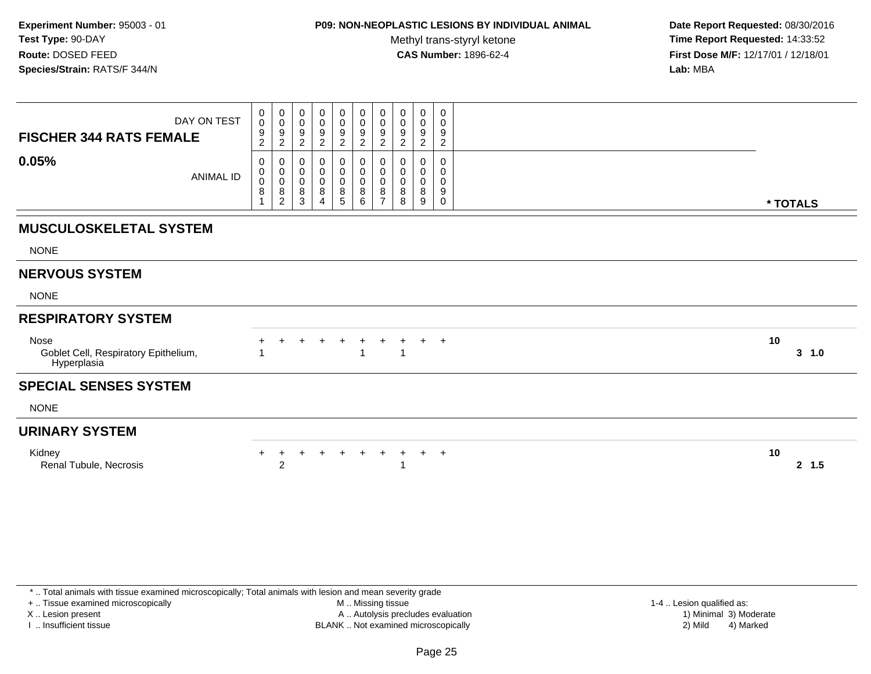### **P09: NON-NEOPLASTIC LESIONS BY INDIVIDUAL ANIMAL**

Methyl trans-styryl ketone<br>CAS Number: 1896-62-4

 **Date Report Requested:** 08/30/2016 **Time Report Requested:** 14:33:52 **First Dose M/F:** 12/17/01 / 12/18/01<br>**Lab:** MBA **Lab:** MBA

| DAY ON TEST<br><b>FISCHER 344 RATS FEMALE</b>               |                  | 0<br>$\pmb{0}$<br>9<br>$\boldsymbol{2}$ | $\pmb{0}$<br>$\mathbf 0$<br>$\boldsymbol{9}$<br>$\overline{c}$ | 0<br>$\mathsf 0$<br>$\boldsymbol{9}$<br>$\overline{c}$ | 0<br>$\pmb{0}$<br>9<br>$\boldsymbol{2}$          | 0<br>$\pmb{0}$<br>$\boldsymbol{9}$<br>$\overline{c}$ | $\mathbf 0$<br>$\mathbf 0$<br>$\boldsymbol{9}$<br>$\overline{2}$ | $\begin{smallmatrix} 0\\0 \end{smallmatrix}$<br>$\boldsymbol{9}$<br>$\overline{2}$ | 0<br>0<br>9<br>$\boldsymbol{2}$ | 0<br>$\pmb{0}$<br>9<br>$\sqrt{2}$      | 0<br>0<br>9<br>$\overline{c}$ |              |
|-------------------------------------------------------------|------------------|-----------------------------------------|----------------------------------------------------------------|--------------------------------------------------------|--------------------------------------------------|------------------------------------------------------|------------------------------------------------------------------|------------------------------------------------------------------------------------|---------------------------------|----------------------------------------|-------------------------------|--------------|
| 0.05%                                                       | <b>ANIMAL ID</b> | 0<br>0<br>$\mathbf 0$<br>8              | 0<br>$\pmb{0}$<br>$\pmb{0}$<br>$\bf 8$<br>2                    | 0<br>0<br>$\pmb{0}$<br>8<br>3                          | 0<br>0<br>$\,0\,$<br>8<br>$\boldsymbol{\Lambda}$ | 0<br>$\pmb{0}$<br>$\pmb{0}$<br>$^8_5$                | $\mathbf{0}$<br>$\mathbf 0$<br>$\mathbf 0$<br>$\bf 8$<br>6       | 0<br>$\pmb{0}$<br>$\pmb{0}$<br>8<br>$\overline{ }$                                 | $\Omega$<br>0<br>0<br>8<br>8    | $\Omega$<br>0<br>$\mathbf 0$<br>8<br>9 | $\Omega$<br>0<br>0<br>9<br>0  | * TOTALS     |
| <b>MUSCULOSKELETAL SYSTEM</b>                               |                  |                                         |                                                                |                                                        |                                                  |                                                      |                                                                  |                                                                                    |                                 |                                        |                               |              |
| <b>NONE</b>                                                 |                  |                                         |                                                                |                                                        |                                                  |                                                      |                                                                  |                                                                                    |                                 |                                        |                               |              |
| <b>NERVOUS SYSTEM</b>                                       |                  |                                         |                                                                |                                                        |                                                  |                                                      |                                                                  |                                                                                    |                                 |                                        |                               |              |
| <b>NONE</b>                                                 |                  |                                         |                                                                |                                                        |                                                  |                                                      |                                                                  |                                                                                    |                                 |                                        |                               |              |
| <b>RESPIRATORY SYSTEM</b>                                   |                  |                                         |                                                                |                                                        |                                                  |                                                      |                                                                  |                                                                                    |                                 |                                        |                               |              |
| Nose<br>Goblet Cell, Respiratory Epithelium,<br>Hyperplasia |                  |                                         |                                                                |                                                        |                                                  |                                                      |                                                                  |                                                                                    | -1                              | $\pm$                                  | $+$                           | 10<br>3 1.0  |
| <b>SPECIAL SENSES SYSTEM</b>                                |                  |                                         |                                                                |                                                        |                                                  |                                                      |                                                                  |                                                                                    |                                 |                                        |                               |              |
| <b>NONE</b>                                                 |                  |                                         |                                                                |                                                        |                                                  |                                                      |                                                                  |                                                                                    |                                 |                                        |                               |              |
| <b>URINARY SYSTEM</b>                                       |                  |                                         |                                                                |                                                        |                                                  |                                                      |                                                                  |                                                                                    |                                 |                                        |                               |              |
| Kidney<br>Renal Tubule, Necrosis                            |                  | +                                       | $\overline{2}$                                                 |                                                        |                                                  | $\ddot{}$                                            | $\ddot{}$                                                        |                                                                                    | $\ddot{}$<br>1                  |                                        | $+$ $+$                       | 10<br>2, 1.5 |

\* .. Total animals with tissue examined microscopically; Total animals with lesion and mean severity grade

+ .. Tissue examined microscopically

X .. Lesion present

I .. Insufficient tissue

 M .. Missing tissueA .. Autolysis precludes evaluation

BLANK .. Not examined microscopically 2) Mild 4) Marked

1-4 .. Lesion qualified as:<br>1) Minimal 3) Moderate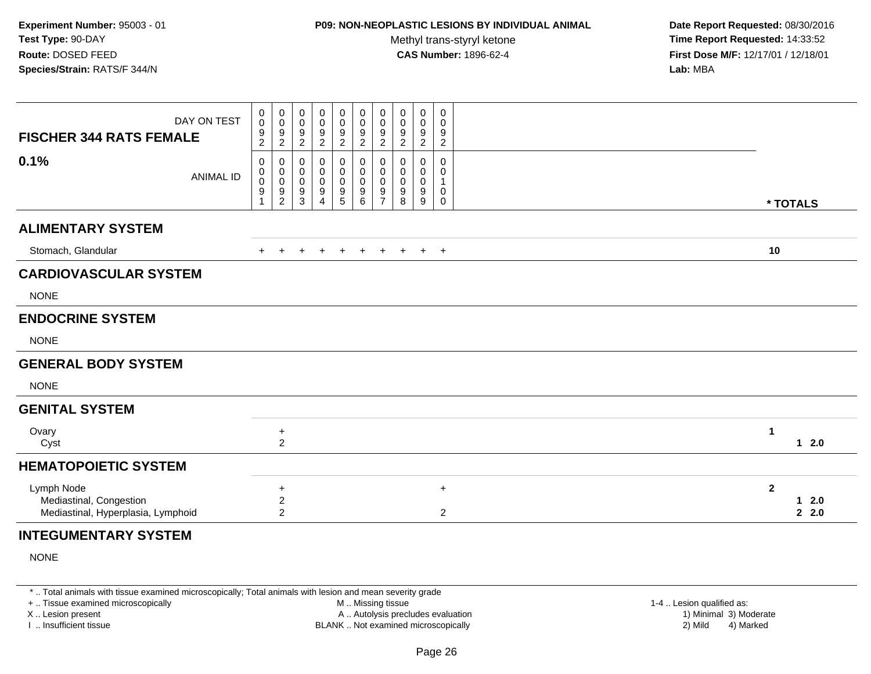## **P09: NON-NEOPLASTIC LESIONS BY INDIVIDUAL ANIMAL**

Methyl trans-styryl ketone<br>CAS Number: 1896-62-4

 **Date Report Requested:** 08/30/2016 **Time Report Requested:** 14:33:52 **First Dose M/F:** 12/17/01 / 12/18/01<br>**Lab:** MBA **Lab:** MBA

| <b>FISCHER 344 RATS FEMALE</b>                                              | DAY ON TEST      | 0<br>$\mathsf{O}\xspace$<br>$\frac{9}{2}$ | $\begin{smallmatrix} 0\\0 \end{smallmatrix}$<br>$\frac{9}{2}$ | 0<br>0<br>9<br>$\overline{2}$    | 0<br>0<br>9<br>$\overline{2}$ | 0<br>$\ddot{\mathbf{0}}$<br>$\frac{9}{2}$ | 0<br>$\mathbf 0$<br>$\frac{9}{2}$ | $\pmb{0}$<br>$\pmb{0}$<br>$\frac{9}{2}$                | 0<br>0<br>9<br>$\overline{2}$ | 0<br>0<br>9<br>2                | $\mathbf 0$<br>0<br>9<br>$\overline{2}$ |              |                           |
|-----------------------------------------------------------------------------|------------------|-------------------------------------------|---------------------------------------------------------------|----------------------------------|-------------------------------|-------------------------------------------|-----------------------------------|--------------------------------------------------------|-------------------------------|---------------------------------|-----------------------------------------|--------------|---------------------------|
| 0.1%                                                                        | <b>ANIMAL ID</b> | 0<br>0<br>$\pmb{0}$<br>9                  | $\mathbf 0$<br>$\pmb{0}$<br>$\mathbf 0$<br>$\frac{9}{2}$      | 0<br>0<br>0<br>9<br>$\mathbf{3}$ | $\Omega$<br>0<br>0<br>9<br>4  | 0<br>0<br>$\pmb{0}$<br>$\frac{9}{5}$      | 0<br>0<br>0<br>$\frac{9}{6}$      | $\mathbf 0$<br>$\pmb{0}$<br>$\pmb{0}$<br>$\frac{9}{7}$ | 0<br>0<br>0<br>9<br>8         | 0<br>0<br>$\mathbf 0$<br>9<br>9 | 0<br>0<br>0<br>$\mathbf 0$              | * TOTALS     |                           |
| <b>ALIMENTARY SYSTEM</b>                                                    |                  |                                           |                                                               |                                  |                               |                                           |                                   |                                                        |                               |                                 |                                         |              |                           |
| Stomach, Glandular                                                          |                  | $+$                                       |                                                               |                                  |                               | $+$                                       | $\ddot{}$                         | $+$                                                    | $+$                           |                                 | $+$ $+$                                 | 10           |                           |
| <b>CARDIOVASCULAR SYSTEM</b>                                                |                  |                                           |                                                               |                                  |                               |                                           |                                   |                                                        |                               |                                 |                                         |              |                           |
| <b>NONE</b>                                                                 |                  |                                           |                                                               |                                  |                               |                                           |                                   |                                                        |                               |                                 |                                         |              |                           |
| <b>ENDOCRINE SYSTEM</b>                                                     |                  |                                           |                                                               |                                  |                               |                                           |                                   |                                                        |                               |                                 |                                         |              |                           |
| <b>NONE</b>                                                                 |                  |                                           |                                                               |                                  |                               |                                           |                                   |                                                        |                               |                                 |                                         |              |                           |
| <b>GENERAL BODY SYSTEM</b>                                                  |                  |                                           |                                                               |                                  |                               |                                           |                                   |                                                        |                               |                                 |                                         |              |                           |
| <b>NONE</b>                                                                 |                  |                                           |                                                               |                                  |                               |                                           |                                   |                                                        |                               |                                 |                                         |              |                           |
| <b>GENITAL SYSTEM</b>                                                       |                  |                                           |                                                               |                                  |                               |                                           |                                   |                                                        |                               |                                 |                                         |              |                           |
| Ovary<br>Cyst                                                               |                  |                                           | $\ddot{}$<br>$\overline{2}$                                   |                                  |                               |                                           |                                   |                                                        |                               |                                 |                                         | 1            | $12.0$                    |
| <b>HEMATOPOIETIC SYSTEM</b>                                                 |                  |                                           |                                                               |                                  |                               |                                           |                                   |                                                        |                               |                                 |                                         |              |                           |
| Lymph Node<br>Mediastinal, Congestion<br>Mediastinal, Hyperplasia, Lymphoid |                  |                                           | +<br>$\overline{c}$<br>$\overline{a}$                         |                                  |                               |                                           |                                   |                                                        |                               |                                 | $\ddot{}$<br>$\overline{2}$             | $\mathbf{2}$ | 2.0<br>$\mathbf 1$<br>2.0 |
| <b>INTEGUMENTARY SYSTEM</b>                                                 |                  |                                           |                                                               |                                  |                               |                                           |                                   |                                                        |                               |                                 |                                         |              |                           |

NONE

\* .. Total animals with tissue examined microscopically; Total animals with lesion and mean severity grade

+ .. Tissue examined microscopically

X .. Lesion present

I .. Insufficient tissue

 M .. Missing tissueA .. Autolysis precludes evaluation

 1-4 .. Lesion qualified as: BLANK .. Not examined microscopically 2) Mild 4) Marked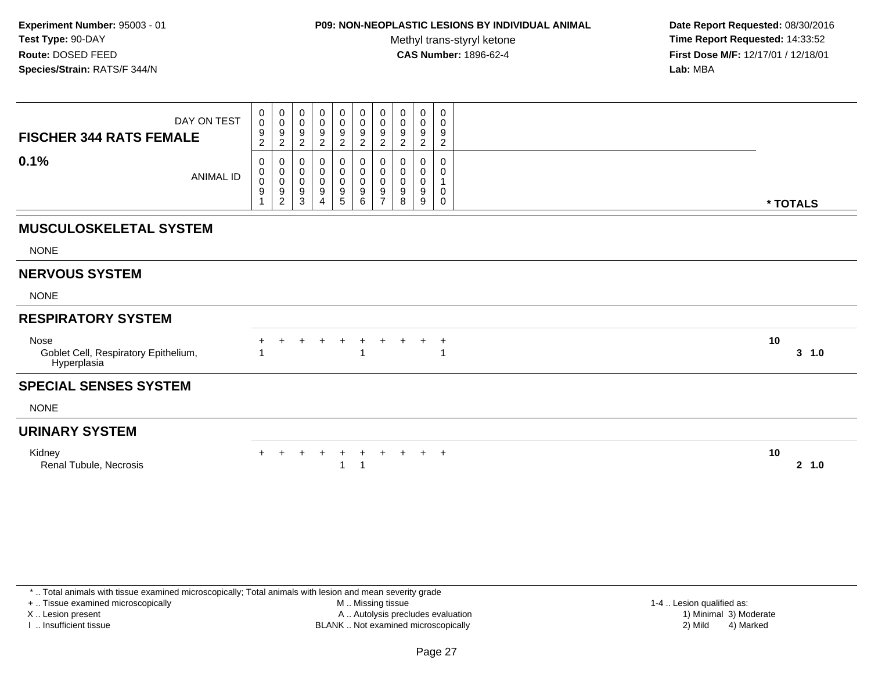### **P09: NON-NEOPLASTIC LESIONS BY INDIVIDUAL ANIMAL**

Methyl trans-styryl ketone<br>CAS Number: 1896-62-4

 **Date Report Requested:** 08/30/2016 **Time Report Requested:** 14:33:52 **First Dose M/F:** 12/17/01 / 12/18/01<br>**Lab:** MBA **Lab:** MBA

| DAY ON TEST<br><b>FISCHER 344 RATS FEMALE</b>               | 0<br>$\mathsf{O}\xspace$<br>9<br>$\overline{2}$ | $\begin{smallmatrix}0\0\0\end{smallmatrix}$<br>$\boldsymbol{9}$<br>$\overline{2}$ | $\pmb{0}$<br>$\mathbf 0$<br>9<br>$\overline{2}$                            | 0<br>0<br>9<br>$\overline{2}$      | $\begin{smallmatrix} 0\\0 \end{smallmatrix}$<br>$\overline{9}$<br>$\overline{2}$ | $\begin{smallmatrix} 0\\0 \end{smallmatrix}$<br>$\overline{9}$<br>$\overline{c}$ | $\begin{smallmatrix}0\\0\end{smallmatrix}$<br>$9\,$<br>$\overline{2}$ | 0<br>$\mathbf 0$<br>9<br>$\overline{c}$ | $\pmb{0}$<br>$\pmb{0}$<br>9<br>$\overline{c}$ | 0<br>0<br>9<br>$\overline{c}$ |              |
|-------------------------------------------------------------|-------------------------------------------------|-----------------------------------------------------------------------------------|----------------------------------------------------------------------------|------------------------------------|----------------------------------------------------------------------------------|----------------------------------------------------------------------------------|-----------------------------------------------------------------------|-----------------------------------------|-----------------------------------------------|-------------------------------|--------------|
| 0.1%<br><b>ANIMAL ID</b>                                    | 0<br>$\pmb{0}$<br>$\pmb{0}$<br>9                | 0<br>$_{\rm 0}^{\rm 0}$<br>$\boldsymbol{9}$<br>$\sqrt{2}$                         | 0<br>$\begin{smallmatrix} 0\\0 \end{smallmatrix}$<br>$\boldsymbol{9}$<br>3 | 0<br>0<br>0<br>9<br>$\overline{4}$ | $\mathbf 0$<br>$\begin{array}{c} 0 \\ 0 \\ 9 \\ 5 \end{array}$                   | 0<br>00000                                                                       | 0<br>$\pmb{0}$<br>$\mathbf 0$<br>$\boldsymbol{9}$<br>$\overline{7}$   | 0<br>$\pmb{0}$<br>$\mathbf 0$<br>9<br>8 | 0<br>$\boldsymbol{0}$<br>$\pmb{0}$<br>9<br>9  | 0<br>0<br>0<br>0              | * TOTALS     |
| <b>MUSCULOSKELETAL SYSTEM</b>                               |                                                 |                                                                                   |                                                                            |                                    |                                                                                  |                                                                                  |                                                                       |                                         |                                               |                               |              |
| <b>NONE</b>                                                 |                                                 |                                                                                   |                                                                            |                                    |                                                                                  |                                                                                  |                                                                       |                                         |                                               |                               |              |
| <b>NERVOUS SYSTEM</b>                                       |                                                 |                                                                                   |                                                                            |                                    |                                                                                  |                                                                                  |                                                                       |                                         |                                               |                               |              |
| <b>NONE</b>                                                 |                                                 |                                                                                   |                                                                            |                                    |                                                                                  |                                                                                  |                                                                       |                                         |                                               |                               |              |
| <b>RESPIRATORY SYSTEM</b>                                   |                                                 |                                                                                   |                                                                            |                                    |                                                                                  |                                                                                  |                                                                       |                                         |                                               |                               |              |
| Nose<br>Goblet Cell, Respiratory Epithelium,<br>Hyperplasia |                                                 |                                                                                   | +                                                                          | +                                  | $\ddot{}$                                                                        | $\ddot{}$                                                                        | $+$                                                                   | $\ddot{}$                               | $+$                                           | $\overline{1}$                | 10<br>3, 1.0 |
| <b>SPECIAL SENSES SYSTEM</b>                                |                                                 |                                                                                   |                                                                            |                                    |                                                                                  |                                                                                  |                                                                       |                                         |                                               |                               |              |
| <b>NONE</b>                                                 |                                                 |                                                                                   |                                                                            |                                    |                                                                                  |                                                                                  |                                                                       |                                         |                                               |                               |              |
| <b>URINARY SYSTEM</b>                                       |                                                 |                                                                                   |                                                                            |                                    |                                                                                  |                                                                                  |                                                                       |                                         |                                               |                               |              |
| Kidney<br>Renal Tubule, Necrosis                            |                                                 |                                                                                   | $\ddot{}$                                                                  | $\ddot{}$                          | $\overline{+}$                                                                   | $+$<br>$\overline{1}$                                                            | $+$                                                                   | $+$                                     | $+$ $+$                                       |                               | 10<br>2 1.0  |

\* .. Total animals with tissue examined microscopically; Total animals with lesion and mean severity grade

+ .. Tissue examined microscopically

X .. Lesion present

I .. Insufficient tissue

 M .. Missing tissueA .. Autolysis precludes evaluation

BLANK .. Not examined microscopically 2) Mild 4) Marked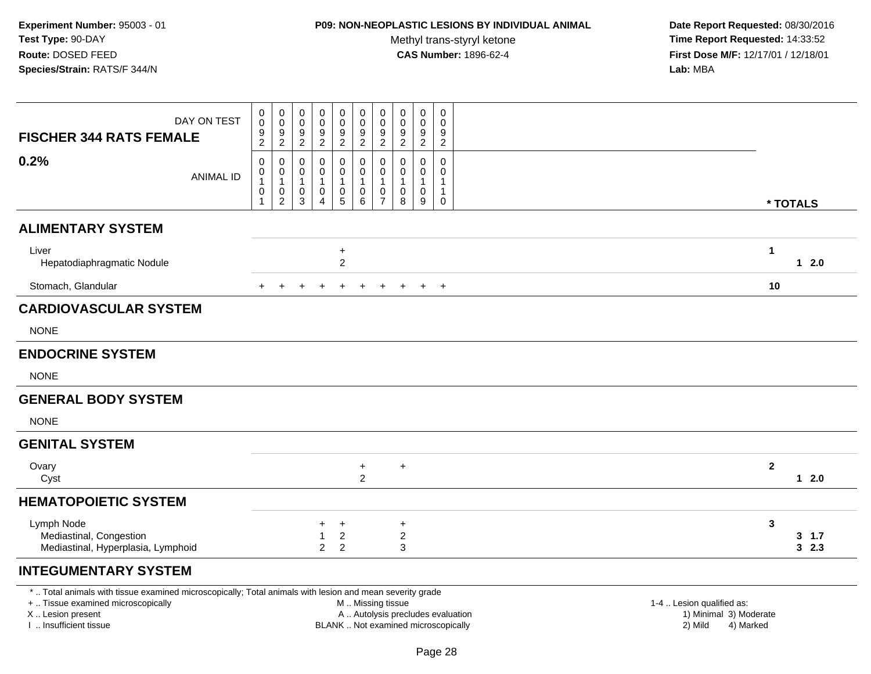## **P09: NON-NEOPLASTIC LESIONS BY INDIVIDUAL ANIMAL**

Methyl trans-styryl ketone<br>CAS Number: 1896-62-4

 **Date Report Requested:** 08/30/2016 **Time Report Requested:** 14:33:52 **First Dose M/F:** 12/17/01 / 12/18/01<br>**Lab:** MBA **Lab:** MBA

| DAY ON TEST<br><b>FISCHER 344 RATS FEMALE</b>                               | 0<br>$\pmb{0}$<br>$\begin{array}{c} 9 \\ 2 \end{array}$                      | 0<br>$\mathsf 0$<br>$\frac{9}{2}$                               | 0<br>$\mathbf 0$<br>$\frac{9}{2}$                   | $\mathbf 0$<br>$\mathbf 0$<br>$\frac{9}{2}$   | 0<br>$\pmb{0}$<br>$\frac{9}{2}$                                         | $\mathbf 0$<br>$\mathbf 0$<br>$\frac{9}{2}$                              | $\boldsymbol{0}$<br>$\pmb{0}$<br>$\frac{9}{2}$    | 0<br>$\mathbf 0$<br>$\frac{9}{2}$   | $\mathbf 0$<br>0<br>9<br>$\overline{c}$              | 0<br>$\mathbf 0$<br>9<br>$\boldsymbol{2}$ |              |                |
|-----------------------------------------------------------------------------|------------------------------------------------------------------------------|-----------------------------------------------------------------|-----------------------------------------------------|-----------------------------------------------|-------------------------------------------------------------------------|--------------------------------------------------------------------------|---------------------------------------------------|-------------------------------------|------------------------------------------------------|-------------------------------------------|--------------|----------------|
| 0.2%<br><b>ANIMAL ID</b>                                                    | 0<br>$\begin{smallmatrix}0\\1\end{smallmatrix}$<br>$\pmb{0}$<br>$\mathbf{1}$ | 0<br>$\pmb{0}$<br>$\mathbf{1}$<br>$\mathbf 0$<br>$\overline{c}$ | 0<br>$\pmb{0}$<br>$\mathbf{1}$<br>0<br>$\mathbf{3}$ | 0<br>0<br>$\mathbf{1}$<br>0<br>$\overline{4}$ | 0<br>$\pmb{0}$<br>$\mathbf{1}$<br>$\begin{array}{c} 0 \\ 5 \end{array}$ | 0<br>$\mathbf 0$<br>$\mathbf{1}$<br>$\begin{matrix} 0 \\ 6 \end{matrix}$ | 0<br>$\pmb{0}$<br>$\overline{1}$<br>$\frac{0}{7}$ | 0<br>0<br>$\mathbf{1}$<br>0<br>8    | $\mathbf 0$<br>0<br>$\mathbf{1}$<br>$\mathbf 0$<br>9 | 0<br>0<br>1<br>$\mathbf{1}$<br>0          |              | * TOTALS       |
| <b>ALIMENTARY SYSTEM</b>                                                    |                                                                              |                                                                 |                                                     |                                               |                                                                         |                                                                          |                                                   |                                     |                                                      |                                           |              |                |
| Liver<br>Hepatodiaphragmatic Nodule                                         |                                                                              |                                                                 |                                                     |                                               | $\ddot{}$<br>$\overline{2}$                                             |                                                                          |                                                   |                                     |                                                      |                                           | 1            | $12.0$         |
| Stomach, Glandular                                                          | $+$                                                                          | $\overline{+}$                                                  | $\ddot{}$                                           | $\ddot{}$                                     | $\ddot{}$                                                               | $+$                                                                      | $+$                                               | $+$                                 |                                                      | $+$ $+$                                   | 10           |                |
| <b>CARDIOVASCULAR SYSTEM</b>                                                |                                                                              |                                                                 |                                                     |                                               |                                                                         |                                                                          |                                                   |                                     |                                                      |                                           |              |                |
| <b>NONE</b>                                                                 |                                                                              |                                                                 |                                                     |                                               |                                                                         |                                                                          |                                                   |                                     |                                                      |                                           |              |                |
| <b>ENDOCRINE SYSTEM</b>                                                     |                                                                              |                                                                 |                                                     |                                               |                                                                         |                                                                          |                                                   |                                     |                                                      |                                           |              |                |
| <b>NONE</b>                                                                 |                                                                              |                                                                 |                                                     |                                               |                                                                         |                                                                          |                                                   |                                     |                                                      |                                           |              |                |
| <b>GENERAL BODY SYSTEM</b>                                                  |                                                                              |                                                                 |                                                     |                                               |                                                                         |                                                                          |                                                   |                                     |                                                      |                                           |              |                |
| <b>NONE</b>                                                                 |                                                                              |                                                                 |                                                     |                                               |                                                                         |                                                                          |                                                   |                                     |                                                      |                                           |              |                |
| <b>GENITAL SYSTEM</b>                                                       |                                                                              |                                                                 |                                                     |                                               |                                                                         |                                                                          |                                                   |                                     |                                                      |                                           |              |                |
| Ovary<br>Cyst                                                               |                                                                              |                                                                 |                                                     |                                               |                                                                         | $\ddot{}$<br>$\overline{2}$                                              |                                                   | $\ddot{}$                           |                                                      |                                           | $\mathbf{2}$ | $12.0$         |
| <b>HEMATOPOIETIC SYSTEM</b>                                                 |                                                                              |                                                                 |                                                     |                                               |                                                                         |                                                                          |                                                   |                                     |                                                      |                                           |              |                |
| Lymph Node<br>Mediastinal, Congestion<br>Mediastinal, Hyperplasia, Lymphoid |                                                                              |                                                                 |                                                     | $+$<br>$\overline{2}$                         | $+$<br>$\sqrt{2}$<br>$\overline{2}$                                     |                                                                          |                                                   | $+$<br>$\overline{\mathbf{c}}$<br>3 |                                                      |                                           | 3            | 3, 1.7<br>32.3 |
| INITECHMENTADV CVCTEM                                                       |                                                                              |                                                                 |                                                     |                                               |                                                                         |                                                                          |                                                   |                                     |                                                      |                                           |              |                |

## **INTEGUMENTARY SYSTEM**

\* .. Total animals with tissue examined microscopically; Total animals with lesion and mean severity grade

+ .. Tissue examined microscopically

X .. Lesion present

I .. Insufficient tissue

M .. Missing tissue

A .. Autolysis precludes evaluation

BLANK .. Not examined microscopically 2) Mild 4) Marked

1-4 .. Lesion qualified as:<br>1) Minimal 3) Moderate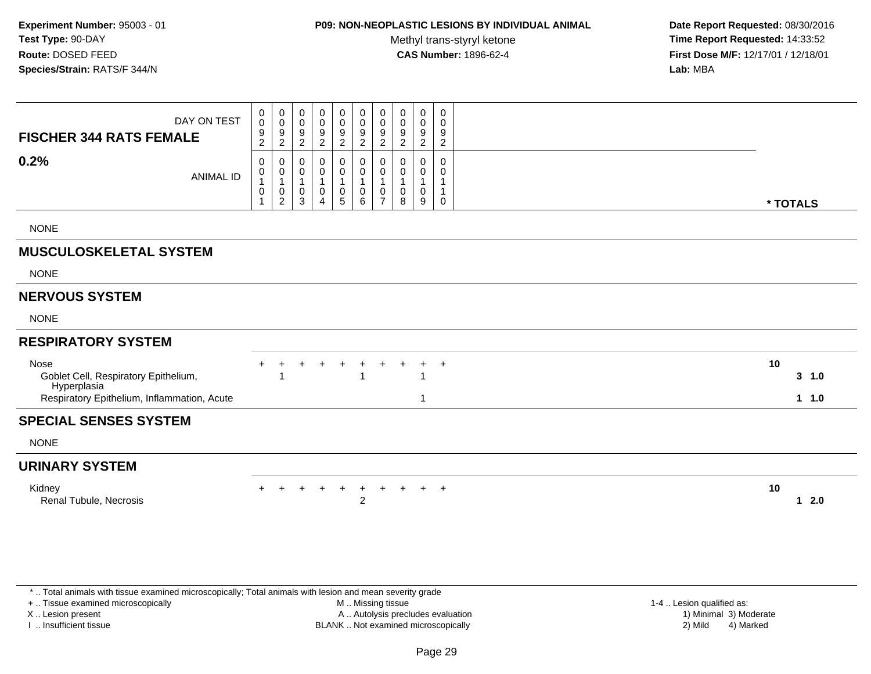## **P09: NON-NEOPLASTIC LESIONS BY INDIVIDUAL ANIMAL**

Methyl trans-styryl ketone<br>CAS Number: 1896-62-4

 **Date Report Requested:** 08/30/2016 **Time Report Requested:** 14:33:52 **First Dose M/F:** 12/17/01 / 12/18/01<br>**Lab:** MBA **Lab:** MBA

| DAY ON TEST<br><b>FISCHER 344 RATS FEMALE</b>                                                              | 0<br>0<br>9<br>$\overline{2}$ | 0<br>$\mathbf 0$<br>$9\,$<br>$\overline{2}$                     | 0<br>0<br>9<br>2 | 0<br>$\mathbf 0$<br>9<br>$\overline{2}$       | 0<br>$\mathbf 0$<br>9<br>$\overline{2}$ | 0<br>$\pmb{0}$<br>$\boldsymbol{9}$<br>$\overline{2}$  | 0<br>$\mathbf 0$<br>9<br>2    | 0<br>$\mathbf 0$<br>9<br>$\overline{2}$ | 0<br>$\pmb{0}$<br>$9\,$<br>$\overline{2}$ | 0<br>$\mathbf 0$<br>9<br>$\overline{2}$                      |                      |  |
|------------------------------------------------------------------------------------------------------------|-------------------------------|-----------------------------------------------------------------|------------------|-----------------------------------------------|-----------------------------------------|-------------------------------------------------------|-------------------------------|-----------------------------------------|-------------------------------------------|--------------------------------------------------------------|----------------------|--|
| 0.2%<br><b>ANIMAL ID</b>                                                                                   | 0<br>0<br>$\pmb{0}$           | $\mathbf 0$<br>0<br>$\overline{1}$<br>$\mathbf 0$<br>$\sqrt{2}$ | 0<br>0<br>0<br>3 | 0<br>0<br>$\mathbf{1}$<br>0<br>$\overline{4}$ | 0<br>0<br>0<br>5                        | 0<br>0<br>$\mathbf{1}$<br>$\pmb{0}$<br>$6\phantom{1}$ | 0<br>0<br>0<br>$\overline{7}$ | 0<br>0<br>0<br>8                        | $\mathbf 0$<br>0<br>$\pmb{0}$<br>9        | 0<br>$\mathbf 0$<br>-1<br>$\overline{1}$<br>$\boldsymbol{0}$ | * TOTALS             |  |
| <b>NONE</b>                                                                                                |                               |                                                                 |                  |                                               |                                         |                                                       |                               |                                         |                                           |                                                              |                      |  |
| <b>MUSCULOSKELETAL SYSTEM</b>                                                                              |                               |                                                                 |                  |                                               |                                         |                                                       |                               |                                         |                                           |                                                              |                      |  |
| <b>NONE</b>                                                                                                |                               |                                                                 |                  |                                               |                                         |                                                       |                               |                                         |                                           |                                                              |                      |  |
| <b>NERVOUS SYSTEM</b>                                                                                      |                               |                                                                 |                  |                                               |                                         |                                                       |                               |                                         |                                           |                                                              |                      |  |
| <b>NONE</b>                                                                                                |                               |                                                                 |                  |                                               |                                         |                                                       |                               |                                         |                                           |                                                              |                      |  |
| <b>RESPIRATORY SYSTEM</b>                                                                                  |                               |                                                                 |                  |                                               |                                         |                                                       |                               |                                         |                                           |                                                              |                      |  |
| Nose<br>Goblet Cell, Respiratory Epithelium,<br>Hyperplasia<br>Respiratory Epithelium, Inflammation, Acute |                               |                                                                 |                  |                                               |                                         |                                                       |                               |                                         | 1                                         | $^{+}$                                                       | 10<br>3, 1.0<br>11.0 |  |
| <b>SPECIAL SENSES SYSTEM</b>                                                                               |                               |                                                                 |                  |                                               |                                         |                                                       |                               |                                         |                                           |                                                              |                      |  |
| <b>NONE</b>                                                                                                |                               |                                                                 |                  |                                               |                                         |                                                       |                               |                                         |                                           |                                                              |                      |  |
| <b>URINARY SYSTEM</b>                                                                                      |                               |                                                                 |                  |                                               |                                         |                                                       |                               |                                         |                                           |                                                              |                      |  |
| Kidney<br>Renal Tubule, Necrosis                                                                           |                               |                                                                 | $+$              | $+$                                           | $+$                                     | $+$<br>2                                              |                               |                                         | $+ + + + +$                               |                                                              | 10<br>2.0<br>1       |  |

\* .. Total animals with tissue examined microscopically; Total animals with lesion and mean severity grade

+ .. Tissue examined microscopically

X .. Lesion present

I .. Insufficient tissue

 M .. Missing tissueA .. Autolysis precludes evaluation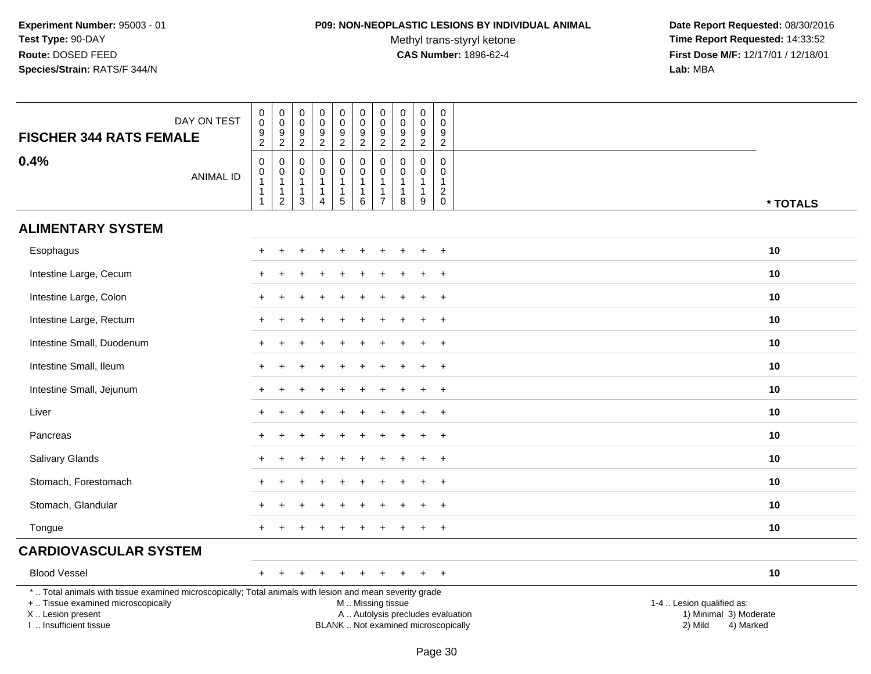### **P09: NON-NEOPLASTIC LESIONS BY INDIVIDUAL ANIMAL**

Methyl trans-styryl ketone<br>CAS Number: 1896-62-4

| DAY ON TEST<br><b>FISCHER 344 RATS FEMALE</b>                                                                                                                                                 | 0<br>$\mathsf{O}\xspace$<br>$\frac{9}{2}$               | $\pmb{0}$<br>$\overline{0}$<br>$\frac{9}{2}$                                   | $\pmb{0}$<br>$\pmb{0}$<br>9<br>$\overline{2}$                   | $\begin{smallmatrix}0\0\0\end{smallmatrix}$<br>$\frac{9}{2}$                 | $\begin{smallmatrix} 0\\0 \end{smallmatrix}$<br>$\frac{9}{2}$                         | $\mathsf{O}\xspace$<br>$\overline{0}$<br>$\frac{9}{2}$     | $\pmb{0}$<br>$\ddot{\mathbf{0}}$<br>$\frac{9}{2}$                              | $\mathbf 0$<br>$\mathsf 0$<br>$\frac{9}{2}$                              | $\mathbf 0$<br>$\mathbf 0$<br>$\frac{9}{2}$                       | $\pmb{0}$<br>$\mathbf 0$<br>9<br>$\overline{c}$                             |                                                                                                                                                         |
|-----------------------------------------------------------------------------------------------------------------------------------------------------------------------------------------------|---------------------------------------------------------|--------------------------------------------------------------------------------|-----------------------------------------------------------------|------------------------------------------------------------------------------|---------------------------------------------------------------------------------------|------------------------------------------------------------|--------------------------------------------------------------------------------|--------------------------------------------------------------------------|-------------------------------------------------------------------|-----------------------------------------------------------------------------|---------------------------------------------------------------------------------------------------------------------------------------------------------|
| 0.4%<br><b>ANIMAL ID</b>                                                                                                                                                                      | $\mathbf 0$<br>0<br>$\mathbf{1}$<br>$\overline{1}$<br>1 | $\pmb{0}$<br>$\mathbf 0$<br>$\overline{1}$<br>$\overline{1}$<br>$\overline{2}$ | $\mathbf 0$<br>$\mathbf 0$<br>$\mathbf{1}$<br>$\mathbf{1}$<br>3 | $\mathbf 0$<br>$\mathbf 0$<br>$\mathbf{1}$<br>$\mathbf{1}$<br>$\overline{A}$ | $\mathsf{O}$<br>$\mathsf{O}\xspace$<br>$\mathbf{1}$<br>$\mathbf{1}$<br>$\overline{5}$ | $\mathbf 0$<br>$\mathbf 0$<br>$\mathbf{1}$<br>1<br>$\,6\,$ | $\mathbf 0$<br>$\pmb{0}$<br>$\overline{1}$<br>$\overline{1}$<br>$\overline{7}$ | $\boldsymbol{0}$<br>$\mathbf 0$<br>$\overline{1}$<br>$\overline{1}$<br>8 | $\mathbf 0$<br>$\mathbf 0$<br>$\overline{1}$<br>$\mathbf{1}$<br>9 | $\mathbf 0$<br>$\mathbf 0$<br>$\mathbf{1}$<br>$\overline{c}$<br>$\mathbf 0$ | * TOTALS                                                                                                                                                |
| <b>ALIMENTARY SYSTEM</b>                                                                                                                                                                      |                                                         |                                                                                |                                                                 |                                                                              |                                                                                       |                                                            |                                                                                |                                                                          |                                                                   |                                                                             |                                                                                                                                                         |
| Esophagus                                                                                                                                                                                     | +                                                       |                                                                                |                                                                 |                                                                              |                                                                                       | ÷.                                                         |                                                                                |                                                                          |                                                                   | $+$                                                                         | 10                                                                                                                                                      |
| Intestine Large, Cecum                                                                                                                                                                        |                                                         |                                                                                |                                                                 |                                                                              |                                                                                       |                                                            |                                                                                |                                                                          |                                                                   | $\ddot{}$                                                                   | 10                                                                                                                                                      |
| Intestine Large, Colon                                                                                                                                                                        |                                                         |                                                                                |                                                                 |                                                                              |                                                                                       |                                                            |                                                                                |                                                                          |                                                                   | $\ddot{}$                                                                   | 10                                                                                                                                                      |
| Intestine Large, Rectum                                                                                                                                                                       |                                                         |                                                                                |                                                                 |                                                                              |                                                                                       |                                                            |                                                                                |                                                                          |                                                                   | $\ddot{}$                                                                   | 10                                                                                                                                                      |
| Intestine Small, Duodenum                                                                                                                                                                     | +                                                       |                                                                                |                                                                 |                                                                              |                                                                                       |                                                            |                                                                                |                                                                          |                                                                   | $+$                                                                         | 10                                                                                                                                                      |
| Intestine Small, Ileum                                                                                                                                                                        | +                                                       |                                                                                |                                                                 |                                                                              |                                                                                       |                                                            |                                                                                |                                                                          | ÷                                                                 | $+$                                                                         | 10                                                                                                                                                      |
| Intestine Small, Jejunum                                                                                                                                                                      |                                                         |                                                                                |                                                                 |                                                                              |                                                                                       |                                                            |                                                                                |                                                                          |                                                                   | $\ddot{}$                                                                   | 10                                                                                                                                                      |
| Liver                                                                                                                                                                                         |                                                         |                                                                                |                                                                 |                                                                              |                                                                                       |                                                            |                                                                                |                                                                          |                                                                   | $+$                                                                         | 10                                                                                                                                                      |
| Pancreas                                                                                                                                                                                      | $\ddot{}$                                               |                                                                                |                                                                 |                                                                              |                                                                                       |                                                            |                                                                                |                                                                          |                                                                   | $+$                                                                         | 10                                                                                                                                                      |
| Salivary Glands                                                                                                                                                                               | $\ddot{}$                                               |                                                                                |                                                                 |                                                                              |                                                                                       |                                                            |                                                                                |                                                                          |                                                                   | $+$                                                                         | 10                                                                                                                                                      |
| Stomach, Forestomach                                                                                                                                                                          |                                                         |                                                                                |                                                                 |                                                                              |                                                                                       |                                                            |                                                                                |                                                                          |                                                                   | $\ddot{}$                                                                   | 10                                                                                                                                                      |
| Stomach, Glandular                                                                                                                                                                            |                                                         |                                                                                |                                                                 |                                                                              |                                                                                       |                                                            |                                                                                |                                                                          |                                                                   | $\ddot{}$                                                                   | 10                                                                                                                                                      |
| Tongue                                                                                                                                                                                        | $+$                                                     |                                                                                |                                                                 |                                                                              |                                                                                       |                                                            |                                                                                |                                                                          | $\ddot{}$                                                         | $+$                                                                         | 10                                                                                                                                                      |
| <b>CARDIOVASCULAR SYSTEM</b>                                                                                                                                                                  |                                                         |                                                                                |                                                                 |                                                                              |                                                                                       |                                                            |                                                                                |                                                                          |                                                                   |                                                                             |                                                                                                                                                         |
| <b>Blood Vessel</b>                                                                                                                                                                           |                                                         |                                                                                |                                                                 |                                                                              |                                                                                       |                                                            |                                                                                | $\pm$                                                                    | $+$                                                               | $+$                                                                         | 10                                                                                                                                                      |
| *  Total animals with tissue examined microscopically; Total animals with lesion and mean severity grade<br>+  Tissue examined microscopically<br>X  Lesion present<br>I  Insufficient tissue |                                                         |                                                                                |                                                                 |                                                                              |                                                                                       | M  Missing tissue                                          |                                                                                |                                                                          |                                                                   |                                                                             | 1-4  Lesion qualified as:<br>A  Autolysis precludes evaluation<br>1) Minimal 3) Moderate<br>BLANK  Not examined microscopically<br>2) Mild<br>4) Marked |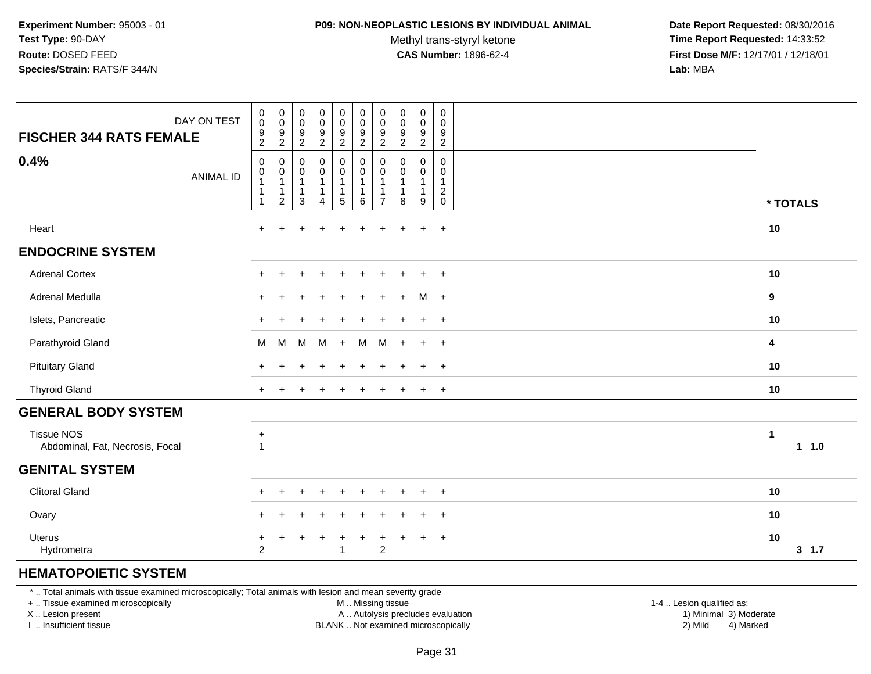#### **P09: NON-NEOPLASTIC LESIONS BY INDIVIDUAL ANIMAL**

Methyl trans-styryl ketone<br>CAS Number: 1896-62-4

 **Date Report Requested:** 08/30/2016 **Time Report Requested:** 14:33:52 **First Dose M/F:** 12/17/01 / 12/18/01<br>**Lab:** MBA **Lab:** MBA

| DAY ON TEST                                          | $_{\rm 0}^{\rm 0}$                         | $\pmb{0}$<br>$\mathsf{O}\xspace$                                   | $\pmb{0}$<br>$\mathbf 0$                              | $\pmb{0}$<br>$\mathsf 0$                                      | $\pmb{0}$<br>$\pmb{0}$                                                      | $\pmb{0}$<br>$\mathbf 0$        | 0<br>0                                                   | $\begin{smallmatrix} 0\\0 \end{smallmatrix}$ | $\pmb{0}$<br>$\pmb{0}$               | $\mathbf 0$<br>$\mathbf 0$                                              |                         |
|------------------------------------------------------|--------------------------------------------|--------------------------------------------------------------------|-------------------------------------------------------|---------------------------------------------------------------|-----------------------------------------------------------------------------|---------------------------------|----------------------------------------------------------|----------------------------------------------|--------------------------------------|-------------------------------------------------------------------------|-------------------------|
| <b>FISCHER 344 RATS FEMALE</b>                       | 9<br>$\overline{2}$                        | 9<br>$\sqrt{2}$                                                    | 9<br>$\overline{2}$                                   | $\boldsymbol{9}$<br>$\sqrt{2}$                                | $\boldsymbol{9}$<br>$\overline{c}$                                          | 9<br>$\overline{a}$             | $\boldsymbol{9}$<br>$\overline{c}$                       | $\boldsymbol{9}$<br>$\overline{c}$           | $\boldsymbol{9}$<br>$\boldsymbol{2}$ | 9<br>$\overline{2}$                                                     |                         |
| 0.4%<br><b>ANIMAL ID</b>                             | $\mathbf 0$<br>0<br>1<br>1<br>$\mathbf{1}$ | $\mathbf 0$<br>0<br>$\mathbf{1}$<br>$\mathbf{1}$<br>$\overline{2}$ | 0<br>$\mathbf 0$<br>$\mathbf{1}$<br>$\mathbf{1}$<br>3 | $\pmb{0}$<br>$\mathsf 0$<br>$\mathbf{1}$<br>$\mathbf{1}$<br>4 | $\pmb{0}$<br>$\mathbf 0$<br>$\mathbf{1}$<br>$\mathbf{1}$<br>$5\overline{)}$ | 0<br>0<br>$\mathbf 1$<br>1<br>6 | $\mathbf 0$<br>0<br>-1<br>$\mathbf{1}$<br>$\overline{7}$ | $\mathbf 0$<br>$\mathbf 0$<br>1<br>8         | 0<br>0<br>$\overline{1}$<br>-1<br>9  | $\mathbf 0$<br>$\mathbf 0$<br>$\mathbf{1}$<br>$\sqrt{2}$<br>$\mathbf 0$ | * TOTALS                |
| Heart                                                | $\ddot{}$                                  |                                                                    |                                                       |                                                               |                                                                             |                                 |                                                          |                                              | $\ddot{}$                            | $\ddot{}$                                                               | 10                      |
| <b>ENDOCRINE SYSTEM</b>                              |                                            |                                                                    |                                                       |                                                               |                                                                             |                                 |                                                          |                                              |                                      |                                                                         |                         |
| <b>Adrenal Cortex</b>                                |                                            |                                                                    |                                                       |                                                               |                                                                             |                                 |                                                          |                                              |                                      | $+$                                                                     | 10                      |
| Adrenal Medulla                                      |                                            |                                                                    |                                                       |                                                               |                                                                             |                                 |                                                          |                                              | м                                    | $+$                                                                     | 9                       |
| Islets, Pancreatic                                   | $\pm$                                      |                                                                    |                                                       |                                                               |                                                                             |                                 |                                                          | $\overline{ }$                               | $\ddot{}$                            | $+$                                                                     | 10                      |
| Parathyroid Gland                                    | M                                          | M                                                                  | M                                                     | M                                                             | $+$                                                                         | м                               | M                                                        | $+$                                          | $+$                                  | $+$                                                                     | $\overline{\mathbf{4}}$ |
| <b>Pituitary Gland</b>                               | $\ddot{}$                                  |                                                                    |                                                       |                                                               |                                                                             |                                 |                                                          |                                              | $\ddot{}$                            | $+$                                                                     | 10                      |
| <b>Thyroid Gland</b>                                 | $\pm$                                      |                                                                    |                                                       |                                                               |                                                                             |                                 |                                                          |                                              | $\ddot{}$                            | $+$                                                                     | 10                      |
| <b>GENERAL BODY SYSTEM</b>                           |                                            |                                                                    |                                                       |                                                               |                                                                             |                                 |                                                          |                                              |                                      |                                                                         |                         |
| <b>Tissue NOS</b><br>Abdominal, Fat, Necrosis, Focal | $+$<br>$\overline{1}$                      |                                                                    |                                                       |                                                               |                                                                             |                                 |                                                          |                                              |                                      |                                                                         | 1<br>1 1.0              |
| <b>GENITAL SYSTEM</b>                                |                                            |                                                                    |                                                       |                                                               |                                                                             |                                 |                                                          |                                              |                                      |                                                                         |                         |
| <b>Clitoral Gland</b>                                |                                            |                                                                    |                                                       |                                                               |                                                                             |                                 |                                                          |                                              |                                      | $+$                                                                     | 10                      |
| Ovary                                                | $\div$                                     |                                                                    |                                                       |                                                               |                                                                             |                                 |                                                          |                                              |                                      | $\ddot{}$                                                               | 10                      |
| Uterus<br>Hydrometra                                 | $\ddot{}$<br>$\overline{2}$                |                                                                    |                                                       |                                                               | -1                                                                          | $\pm$                           | $\overline{c}$                                           |                                              | $\ddot{}$                            | $+$                                                                     | 10<br>3, 1.7            |
| <b>HEMATOPOIETIC SYSTEM</b>                          |                                            |                                                                    |                                                       |                                                               |                                                                             |                                 |                                                          |                                              |                                      |                                                                         |                         |

#### \* .. Total animals with tissue examined microscopically; Total animals with lesion and mean severity grade

+ .. Tissue examined microscopically

X .. Lesion present

I .. Insufficient tissue

M .. Missing tissue

A .. Autolysis precludes evaluation

BLANK .. Not examined microscopically 2) Mild 4) Marked

1-4 .. Lesion qualified as: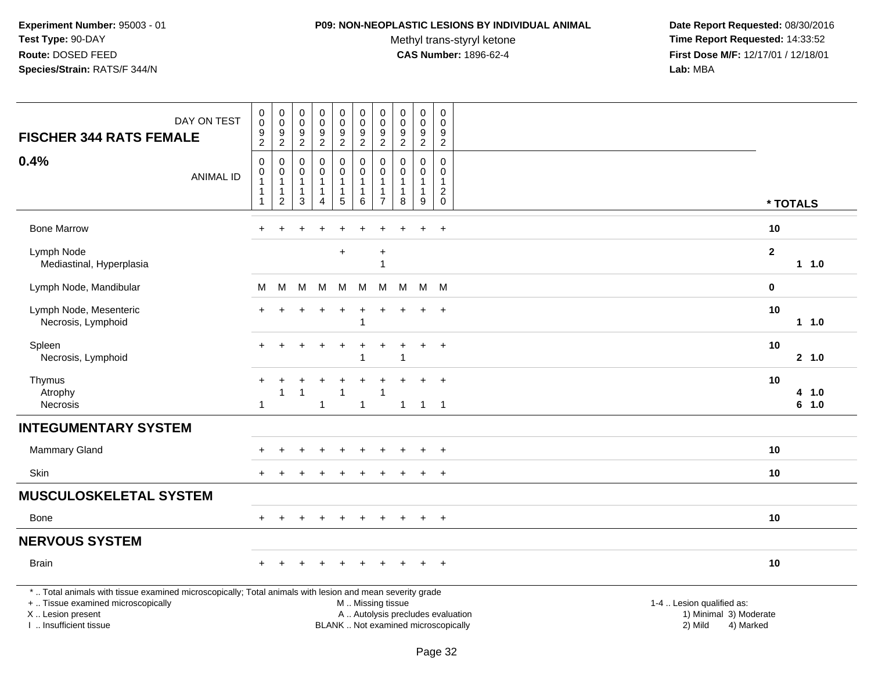#### **P09: NON-NEOPLASTIC LESIONS BY INDIVIDUAL ANIMAL**

Methyl trans-styryl ketone<br>CAS Number: 1896-62-4

| DAY ON TEST<br><b>FISCHER 344 RATS FEMALE</b>                                                                                                                                                 | $\pmb{0}$<br>$\mathbf 0$<br>$\boldsymbol{9}$<br>$\overline{2}$                      | $\pmb{0}$<br>$\mathsf 0$<br>$\boldsymbol{9}$<br>$\overline{c}$  | $\boldsymbol{0}$<br>$\mathsf{O}$<br>$\boldsymbol{9}$<br>$\overline{c}$ | $\pmb{0}$<br>$\mathsf 0$<br>$\overline{9}$<br>$\overline{a}$      | $\mathsf{O}\xspace$<br>$\mathbf 0$<br>$\boldsymbol{9}$<br>$\overline{2}$              | $\pmb{0}$<br>$\pmb{0}$<br>$\boldsymbol{9}$<br>$\overline{a}$ | $\pmb{0}$<br>$\mathbf 0$<br>$\boldsymbol{9}$<br>$\boldsymbol{2}$                 | $\pmb{0}$<br>$\mathbf 0$<br>$\boldsymbol{9}$<br>$\overline{2}$ | $\pmb{0}$<br>$\mathsf{O}\xspace$<br>$\boldsymbol{9}$<br>$\overline{c}$ | $\pmb{0}$<br>$\mathbf 0$<br>9<br>$\overline{c}$  |                                                                                                                  |                |
|-----------------------------------------------------------------------------------------------------------------------------------------------------------------------------------------------|-------------------------------------------------------------------------------------|-----------------------------------------------------------------|------------------------------------------------------------------------|-------------------------------------------------------------------|---------------------------------------------------------------------------------------|--------------------------------------------------------------|----------------------------------------------------------------------------------|----------------------------------------------------------------|------------------------------------------------------------------------|--------------------------------------------------|------------------------------------------------------------------------------------------------------------------|----------------|
| 0.4%<br><b>ANIMAL ID</b>                                                                                                                                                                      | $\boldsymbol{0}$<br>$\pmb{0}$<br>$\overline{1}$<br>$\overline{1}$<br>$\overline{1}$ | $\mathbf 0$<br>$\pmb{0}$<br>$\mathbf{1}$<br>1<br>$\overline{c}$ | $\Omega$<br>$\mathbf 0$<br>$\mathbf{1}$<br>$\mathbf{1}$<br>3           | $\mathbf 0$<br>0<br>$\mathbf{1}$<br>$\mathbf 1$<br>$\overline{4}$ | $\mathsf 0$<br>$\ddot{\mathbf{0}}$<br>$\mathbf{1}$<br>$\mathbf{1}$<br>$5\phantom{.0}$ | $\mathbf 0$<br>$\pmb{0}$<br>1<br>1<br>$\,6$                  | $\mathbf 0$<br>$\mathbf 0$<br>$\overline{1}$<br>$\overline{1}$<br>$\overline{7}$ | $\Omega$<br>$\pmb{0}$<br>$\mathbf{1}$<br>$\mathbf{1}$<br>8     | $\mathbf 0$<br>0<br>$\mathbf{1}$<br>1<br>$\boldsymbol{9}$              | $\mathbf 0$<br>0<br>$\mathbf{1}$<br>$^2_{\rm 0}$ | * TOTALS                                                                                                         |                |
| <b>Bone Marrow</b>                                                                                                                                                                            | $\ddot{}$                                                                           | $\ddot{}$                                                       |                                                                        |                                                                   |                                                                                       |                                                              |                                                                                  |                                                                | $\ddot{}$                                                              | $+$                                              | 10                                                                                                               |                |
| Lymph Node<br>Mediastinal, Hyperplasia                                                                                                                                                        |                                                                                     |                                                                 |                                                                        |                                                                   | $\ddot{}$                                                                             |                                                              | $\ddot{}$<br>$\overline{1}$                                                      |                                                                |                                                                        |                                                  | $\mathbf{2}$                                                                                                     | 11.0           |
| Lymph Node, Mandibular                                                                                                                                                                        | M                                                                                   | M                                                               | M                                                                      | M                                                                 | M                                                                                     | М                                                            | M                                                                                | м                                                              | M M                                                                    |                                                  | $\bf{0}$                                                                                                         |                |
| Lymph Node, Mesenteric<br>Necrosis, Lymphoid                                                                                                                                                  |                                                                                     |                                                                 |                                                                        |                                                                   | $\ddot{}$                                                                             | $\ddot{}$<br>$\overline{1}$                                  | +                                                                                |                                                                | $\ddot{}$                                                              | $\overline{+}$                                   | 10                                                                                                               | $1 1.0$        |
| Spleen<br>Necrosis, Lymphoid                                                                                                                                                                  |                                                                                     |                                                                 |                                                                        |                                                                   |                                                                                       |                                                              |                                                                                  | 1                                                              | $\ddot{}$                                                              | $+$                                              | 10                                                                                                               | 2, 1.0         |
| Thymus<br>Atrophy<br><b>Necrosis</b>                                                                                                                                                          | $\ddot{}$<br>-1                                                                     | $\mathbf{1}$                                                    |                                                                        | $\mathbf{1}$                                                      |                                                                                       | $\mathbf{1}$                                                 |                                                                                  | $\overline{1}$                                                 | $\ddot{}$<br>$1 \quad 1$                                               | $+$                                              | 10                                                                                                               | 4 1.0<br>6 1.0 |
| <b>INTEGUMENTARY SYSTEM</b>                                                                                                                                                                   |                                                                                     |                                                                 |                                                                        |                                                                   |                                                                                       |                                                              |                                                                                  |                                                                |                                                                        |                                                  |                                                                                                                  |                |
| <b>Mammary Gland</b>                                                                                                                                                                          |                                                                                     |                                                                 |                                                                        |                                                                   |                                                                                       |                                                              |                                                                                  |                                                                |                                                                        |                                                  | 10                                                                                                               |                |
| Skin                                                                                                                                                                                          |                                                                                     |                                                                 |                                                                        |                                                                   |                                                                                       |                                                              |                                                                                  |                                                                | $\div$                                                                 | $\overline{+}$                                   | 10                                                                                                               |                |
| <b>MUSCULOSKELETAL SYSTEM</b>                                                                                                                                                                 |                                                                                     |                                                                 |                                                                        |                                                                   |                                                                                       |                                                              |                                                                                  |                                                                |                                                                        |                                                  |                                                                                                                  |                |
| Bone                                                                                                                                                                                          | $+$                                                                                 | $+$                                                             | $\ddot{}$                                                              | $+$                                                               | $+$                                                                                   | $+$                                                          | $+$                                                                              | $+$                                                            | $+$                                                                    | $+$                                              | 10                                                                                                               |                |
| <b>NERVOUS SYSTEM</b>                                                                                                                                                                         |                                                                                     |                                                                 |                                                                        |                                                                   |                                                                                       |                                                              |                                                                                  |                                                                |                                                                        |                                                  |                                                                                                                  |                |
| <b>Brain</b>                                                                                                                                                                                  |                                                                                     |                                                                 |                                                                        |                                                                   |                                                                                       |                                                              |                                                                                  |                                                                |                                                                        | $\ddot{}$                                        | 10                                                                                                               |                |
| *  Total animals with tissue examined microscopically; Total animals with lesion and mean severity grade<br>+  Tissue examined microscopically<br>X  Lesion present<br>I  Insufficient tissue |                                                                                     |                                                                 |                                                                        |                                                                   |                                                                                       | M  Missing tissue                                            |                                                                                  | BLANK  Not examined microscopically                            |                                                                        |                                                  | 1-4  Lesion qualified as:<br>A  Autolysis precludes evaluation<br>1) Minimal 3) Moderate<br>2) Mild<br>4) Marked |                |